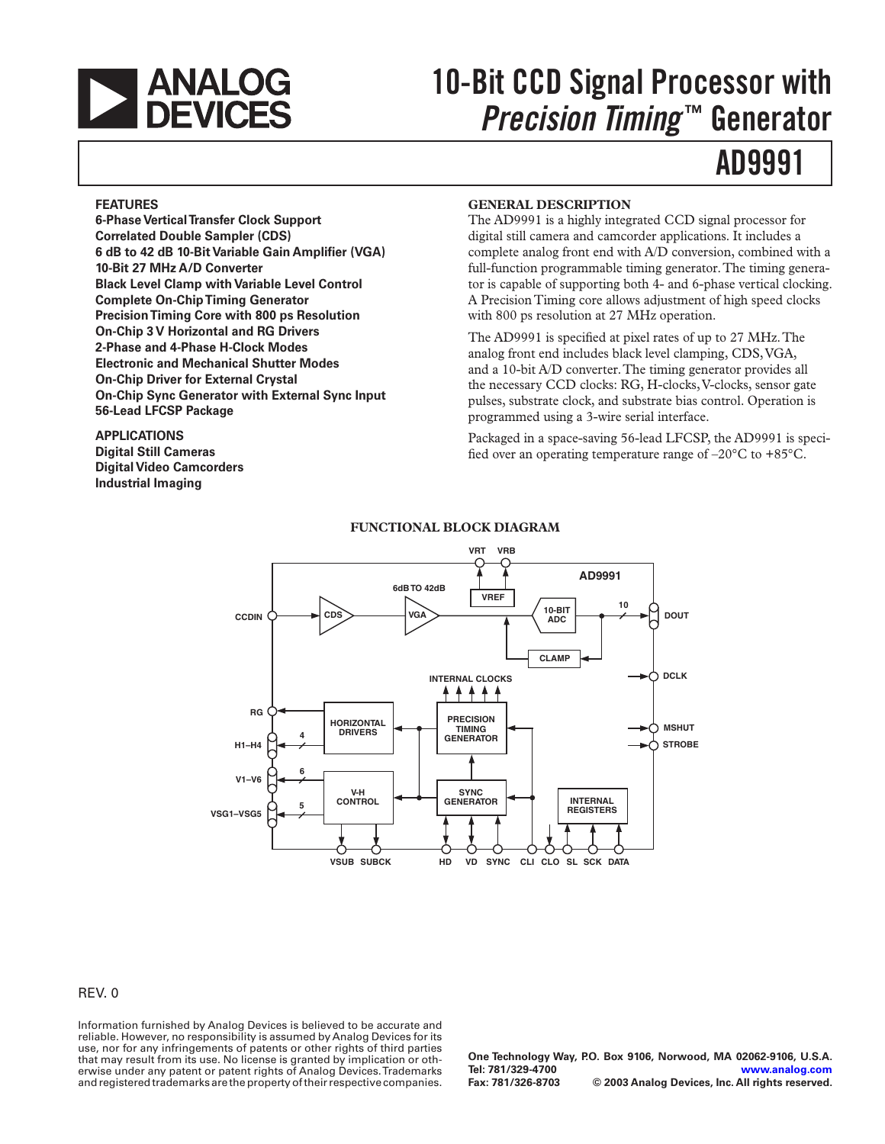

# **10-Bit CCD Signal Processor with** *Precision Timing* **™ Generator**

## **AD9991**

#### **FEATURES**

**6-Phase Vertical Transfer Clock Support Correlated Double Sampler (CDS) 6 dB to 42 dB 10-Bit Variable Gain Amplifier (VGA) 10-Bit 27 MHz A/D Converter Black Level Clamp with Variable Level Control Complete On-Chip Timing Generator Precision Timing Core with 800 ps Resolution On-Chip 3 V Horizontal and RG Drivers 2-Phase and 4-Phase H-Clock Modes Electronic and Mechanical Shutter Modes On-Chip Driver for External Crystal On-Chip Sync Generator with External Sync Input 56-Lead LFCSP Package** 

#### **APPLICATIONS Digital Still Cameras**

**Digital Video Camcorders Industrial Imaging**

#### **GENERAL DESCRIPTION**

The AD9991 is a highly integrated CCD signal processor for digital still camera and camcorder applications. It includes a complete analog front end with A/D conversion, combined with a full-function programmable timing generator. The timing generator is capable of supporting both 4- and 6-phase vertical clocking. A Precision Timing core allows adjustment of high speed clocks with 800 ps resolution at 27 MHz operation.

The AD9991 is specified at pixel rates of up to 27 MHz. The analog front end includes black level clamping, CDS, VGA, and a 10-bit A/D converter. The timing generator provides all the necessary CCD clocks: RG, H-clocks, V-clocks, sensor gate pulses, substrate clock, and substrate bias control. Operation is programmed using a 3-wire serial interface.

Packaged in a space-saving 56-lead LFCSP, the AD9991 is specified over an operating temperature range of –20°C to +85°C.



#### **FUNCTIONAL BLOCK DIAGRAM**

#### REV. 0

Information furnished by Analog Devices is believed to be accurate and reliable. However, no responsibility is assumed by Analog Devices for its use, nor for any infringements of patents or other rights of third parties that may result from its use. No license is granted by implication or otherwise under any patent or patent rights of Analog Devices. Trademarks and registered trademarks are the property of their respective companies.

**One Technology Way, P.O. Box 9106, Norwood, MA 02062-9106, U.S.A. Tel: 781/329-4700 [www.analog.com](http://www.analog.com)**  $©$  2003 Analog Devices, Inc. All rights reserved.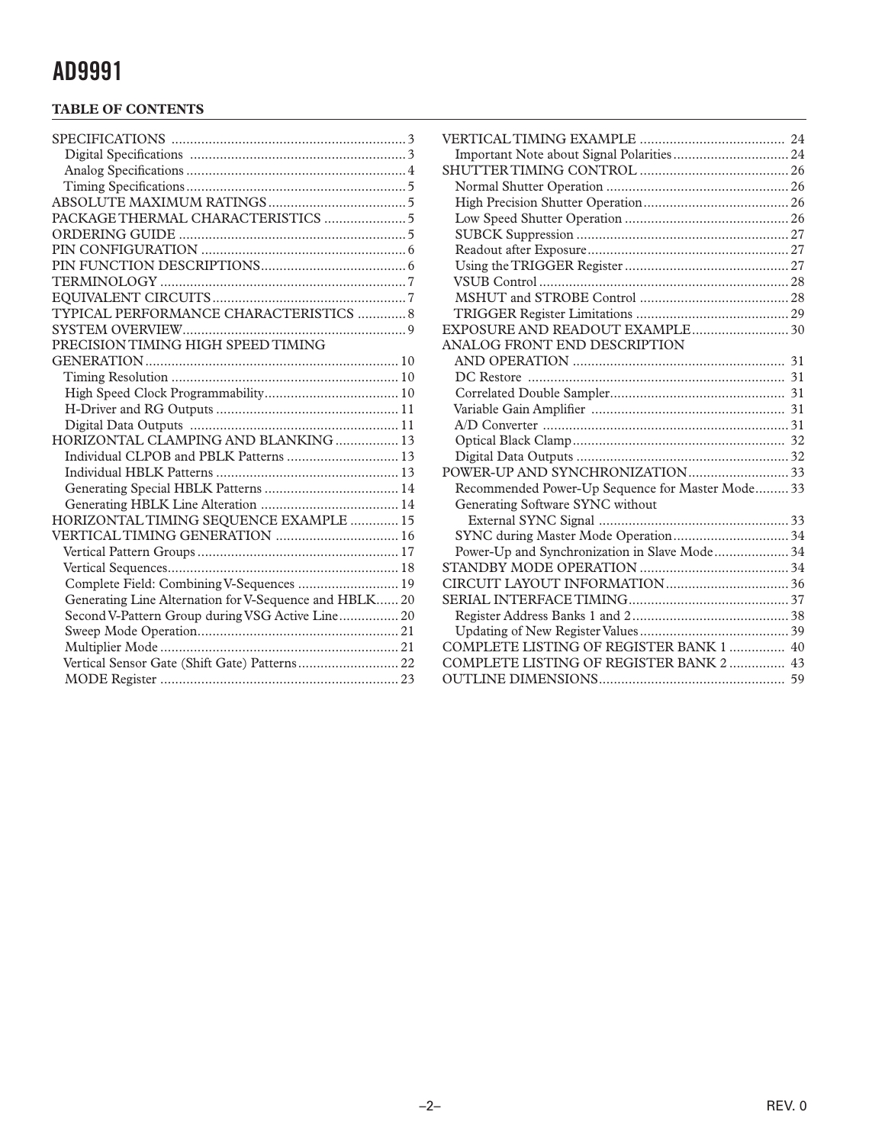#### **TABLE OF CONTENTS**

| PACKAGE THERMAL CHARACTERISTICS  5                     |
|--------------------------------------------------------|
|                                                        |
|                                                        |
|                                                        |
|                                                        |
|                                                        |
| TYPICAL PERFORMANCE CHARACTERISTICS  8                 |
|                                                        |
| PRECISION TIMING HIGH SPEED TIMING                     |
|                                                        |
|                                                        |
|                                                        |
|                                                        |
|                                                        |
| HORIZONTAL CLAMPING AND BLANKING  13                   |
| Individual CLPOB and PBLK Patterns  13                 |
|                                                        |
|                                                        |
|                                                        |
| HORIZONTAL TIMING SEQUENCE EXAMPLE  15                 |
| VERTICAL TIMING GENERATION  16                         |
|                                                        |
|                                                        |
| Complete Field: Combining V-Sequences  19              |
| Generating Line Alternation for V-Sequence and HBLK 20 |
| Second V-Pattern Group during VSG Active Line 20       |
|                                                        |
|                                                        |
|                                                        |
|                                                        |

| EXPOSURE AND READOUT EXAMPLE 30                  |  |
|--------------------------------------------------|--|
| ANALOG FRONT END DESCRIPTION                     |  |
|                                                  |  |
|                                                  |  |
|                                                  |  |
|                                                  |  |
|                                                  |  |
|                                                  |  |
|                                                  |  |
|                                                  |  |
| Recommended Power-Up Sequence for Master Mode 33 |  |
| Generating Software SYNC without                 |  |
|                                                  |  |
| SYNC during Master Mode Operation 34             |  |
| Power-Up and Synchronization in Slave Mode 34    |  |
|                                                  |  |
|                                                  |  |
|                                                  |  |
|                                                  |  |
|                                                  |  |
| COMPLETE LISTING OF REGISTER BANK 1  40          |  |
| COMPLETE LISTING OF REGISTER BANK 2  43          |  |
|                                                  |  |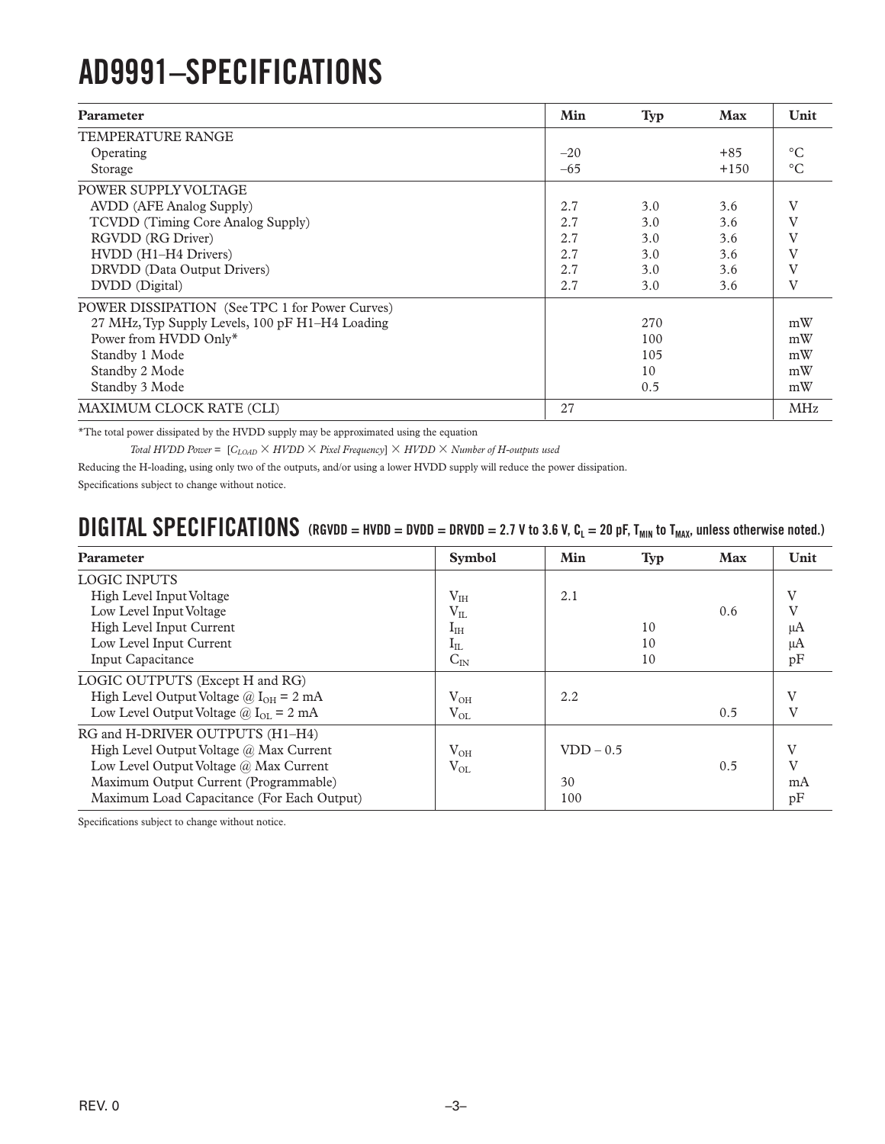# <span id="page-2-0"></span>**AD9991–SPECIFICATIONS**

| <b>Parameter</b>                                | Min   | <b>Typ</b> | <b>Max</b> | Unit            |
|-------------------------------------------------|-------|------------|------------|-----------------|
| <b>TEMPERATURE RANGE</b>                        |       |            |            |                 |
| Operating                                       | $-20$ |            | $+85$      | $\circ$ C       |
| Storage                                         | $-65$ |            | $+150$     | $\rm ^{\circ}C$ |
| POWER SUPPLY VOLTAGE                            |       |            |            |                 |
| <b>AVDD</b> (AFE Analog Supply)                 | 2.7   | 3.0        | 3.6        | V               |
| TCVDD (Timing Core Analog Supply)               | 2.7   | 3.0        | 3.6        | V               |
| RGVDD (RG Driver)                               | 2.7   | 3.0        | 3.6        | V               |
| HVDD (H1-H4 Drivers)                            | 2.7   | 3.0        | 3.6        |                 |
| DRVDD (Data Output Drivers)                     | 2.7   | 3.0        | 3.6        |                 |
| DVDD (Digital)                                  | 2.7   | 3.0        | 3.6        | V               |
| POWER DISSIPATION (See TPC 1 for Power Curves)  |       |            |            |                 |
| 27 MHz, Typ Supply Levels, 100 pF H1-H4 Loading |       | 270        |            | mW              |
| Power from HVDD Only*                           |       | 100        |            | mW              |
| Standby 1 Mode                                  |       | 105        |            | mW              |
| Standby 2 Mode                                  |       | 10         |            | mW              |
| Standby 3 Mode                                  |       | 0.5        |            | mW              |
| MAXIMUM CLOCK RATE (CLI)                        | 27    |            |            | <b>MHz</b>      |

\*The total power dissipated by the HVDD supply may be approximated using the equation

*Total HVDD Power* =  $[C_{LOAD} \times HVDD \times Pixel Frequency] \times HVDD \times Number of H-outputs used$ 

Reducing the H-loading, using only two of the outputs, and/or using a lower HVDD supply will reduce the power dissipation.

Specifications subject to change without notice.

### **DIGITAL SPECIFICATIONS** (RGVDD = HVDD = DVDD = DRVDD = 2.7 V to 3.6 V, C<sub>L</sub> = 20 pF, T<sub>MIN</sub> to T<sub>MAX</sub>, unless otherwise noted.)

| Parameter                                   | <b>Symbol</b>         | Min         | <b>Typ</b> | <b>Max</b> | Unit         |
|---------------------------------------------|-----------------------|-------------|------------|------------|--------------|
| <b>LOGIC INPUTS</b>                         |                       |             |            |            |              |
| High Level Input Voltage                    | V <sub>IH</sub>       | 2.1         |            |            | V            |
| Low Level Input Voltage                     | $\rm V_{II}$          |             |            | 0.6        | V            |
| High Level Input Current                    | $\mathbf{I}_{\rm IH}$ |             | 10         |            | μA           |
| Low Level Input Current                     | $I_{IL}$              |             | 10         |            | μA           |
| <b>Input Capacitance</b>                    | $C_{IN}$              |             | 10         |            | pF           |
| LOGIC OUTPUTS (Except H and RG)             |                       |             |            |            |              |
| High Level Output Voltage @ $I_{OH} = 2$ mA | $V_{OH}$              | 2.2         |            |            | V            |
| Low Level Output Voltage @ $I_{OL} = 2$ mA  | $V_{OL}$              |             |            | 0.5        | V            |
| RG and H-DRIVER OUTPUTS (H1-H4)             |                       |             |            |            |              |
| High Level Output Voltage @ Max Current     | $V_{OH}$              | $VDD - 0.5$ |            |            | V            |
| Low Level Output Voltage @ Max Current      | $V_{OL}$              |             |            | 0.5        | $\mathbf{V}$ |
| Maximum Output Current (Programmable)       |                       | 30          |            |            | mA           |
| Maximum Load Capacitance (For Each Output)  |                       | 100         |            |            | pF           |

Specifications subject to change without notice.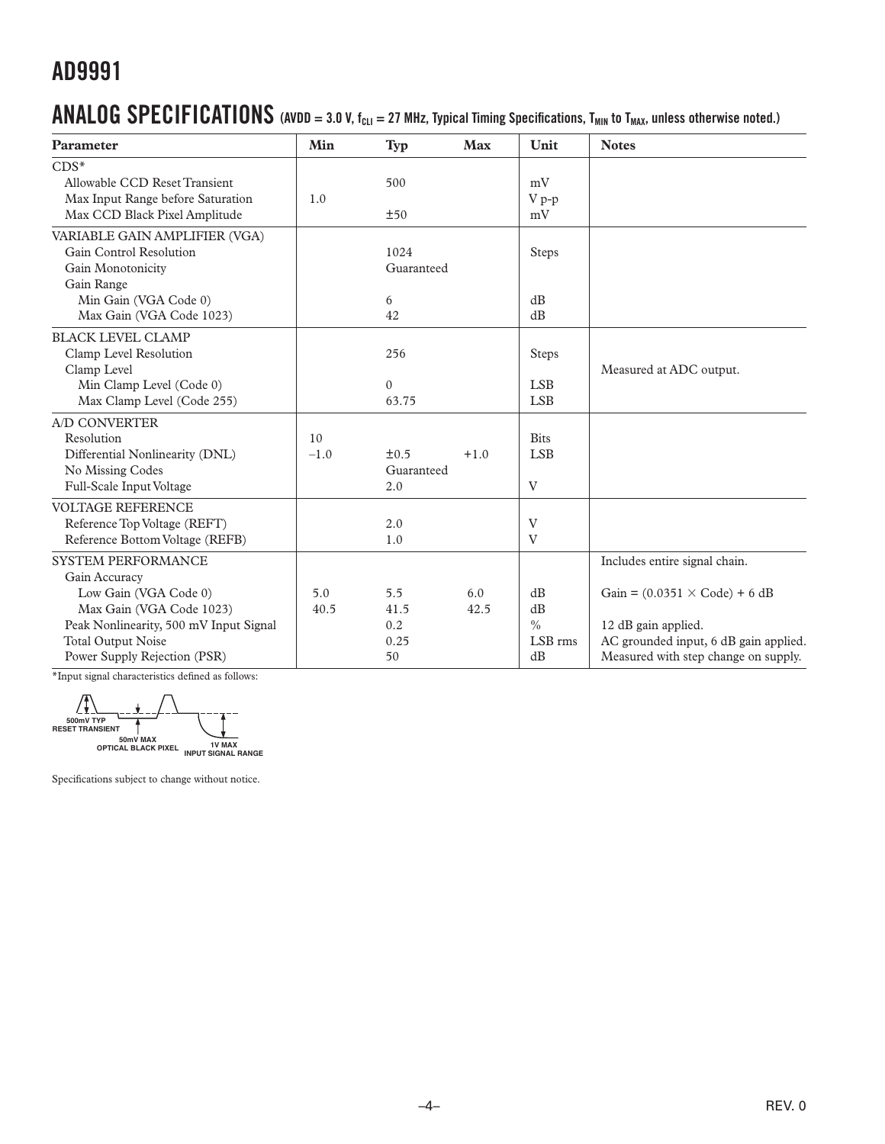### <span id="page-3-0"></span> $\bf{ANALOG}$   $\bf{SPECIFICATIONS}$  (AVDD = 3.0 V, f<sub>CLI</sub> = 27 MHz, Typical Timing Specifications, T<sub>MIN</sub> to T<sub>MAX</sub>, unless otherwise noted.)

| Parameter                              | Min    | Typ        | <b>Max</b> | Unit          | <b>Notes</b>                                        |
|----------------------------------------|--------|------------|------------|---------------|-----------------------------------------------------|
| $CDS^*$                                |        |            |            |               |                                                     |
| Allowable CCD Reset Transient          |        | 500        |            | mV            |                                                     |
| Max Input Range before Saturation      | 1.0    |            |            | $V p-p$       |                                                     |
| Max CCD Black Pixel Amplitude          |        | ±50        |            | mV            |                                                     |
| VARIABLE GAIN AMPLIFIER (VGA)          |        |            |            |               |                                                     |
| Gain Control Resolution                |        | 1024       |            | <b>Steps</b>  |                                                     |
| Gain Monotonicity                      |        | Guaranteed |            |               |                                                     |
| Gain Range                             |        |            |            |               |                                                     |
| Min Gain (VGA Code 0)                  |        | 6          |            | dB            |                                                     |
| Max Gain (VGA Code 1023)               |        | 42         |            | dB            |                                                     |
| <b>BLACK LEVEL CLAMP</b>               |        |            |            |               |                                                     |
| Clamp Level Resolution                 |        | 256        |            | <b>Steps</b>  |                                                     |
| Clamp Level                            |        |            |            |               | Measured at ADC output.                             |
| Min Clamp Level (Code 0)               |        | $\Omega$   |            | <b>LSB</b>    |                                                     |
| Max Clamp Level (Code 255)             |        | 63.75      |            | <b>LSB</b>    |                                                     |
| <b>A/D CONVERTER</b>                   |        |            |            |               |                                                     |
| Resolution                             | 10     |            |            | <b>Bits</b>   |                                                     |
| Differential Nonlinearity (DNL)        | $-1.0$ | $\pm 0.5$  | $+1.0$     | <b>LSB</b>    |                                                     |
| No Missing Codes                       |        | Guaranteed |            |               |                                                     |
| Full-Scale Input Voltage               |        | 2.0        |            | V             |                                                     |
| <b>VOLTAGE REFERENCE</b>               |        |            |            |               |                                                     |
| Reference Top Voltage (REFT)           |        | 2.0        |            | V             |                                                     |
| Reference Bottom Voltage (REFB)        |        | 1.0        |            | $\mathbf{V}$  |                                                     |
| <b>SYSTEM PERFORMANCE</b>              |        |            |            |               | Includes entire signal chain.                       |
| Gain Accuracy                          |        |            |            |               |                                                     |
| Low Gain (VGA Code 0)                  | 5.0    | 5.5        | 6.0        | dB            | Gain = $(0.0351 \times \text{Code}) + 6 \text{ dB}$ |
| Max Gain (VGA Code 1023)               | 40.5   | 41.5       | 42.5       | dB            |                                                     |
| Peak Nonlinearity, 500 mV Input Signal |        | 0.2        |            | $\frac{0}{0}$ | 12 dB gain applied.                                 |
| <b>Total Output Noise</b>              |        | 0.25       |            | LSB rms       | AC grounded input, 6 dB gain applied.               |
| Power Supply Rejection (PSR)           |        | 50         |            | dB            | Measured with step change on supply.                |

\*Input signal characteristics defined as follows:

∠∗ **500mV TYP RESET TRANSIENT 50mV MAX OPTICAL BLACK PIXEL 1V MAX INPUT SIGNAL RANGE**

Specifications subject to change without notice.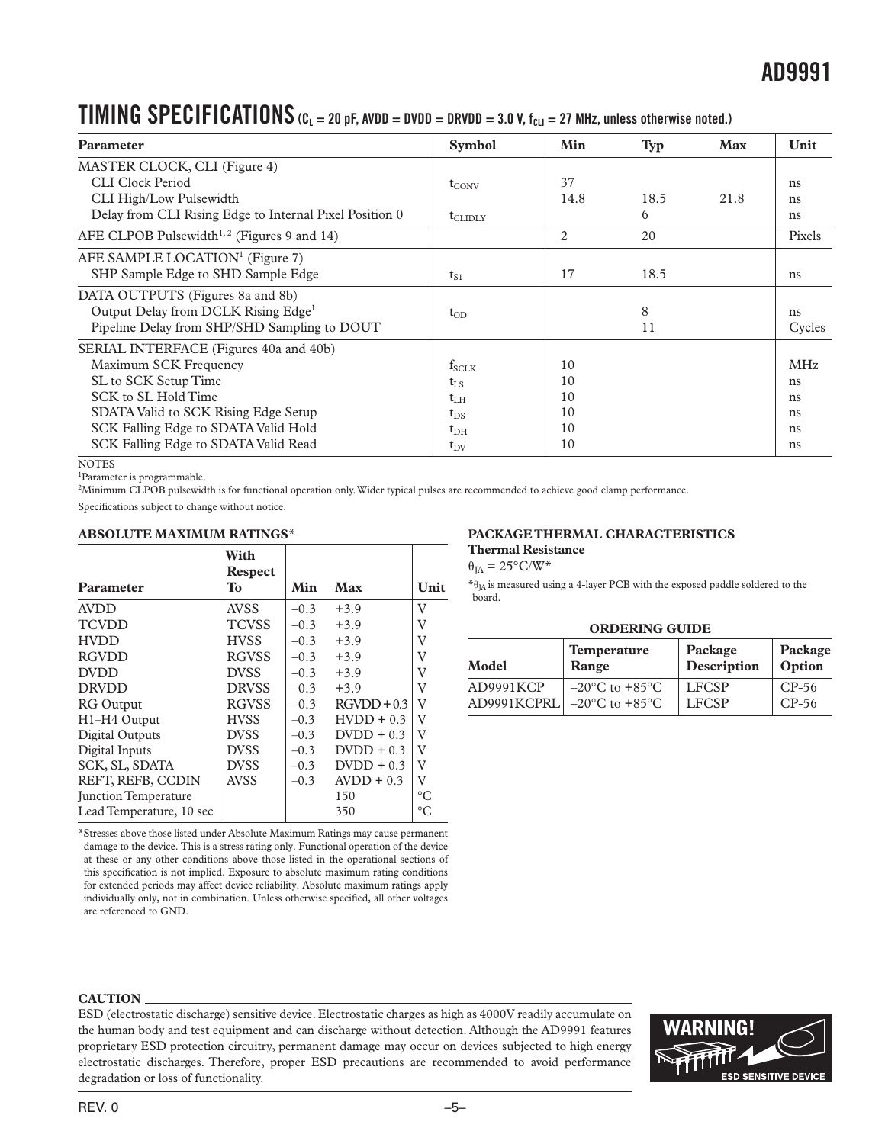### <span id="page-4-0"></span>**TIMING SPECIFICATIONS**  $(C_L = 20 \text{ pF}, \text{AVDD} = \text{DVDD} = \text{DRVDD} = 3.0 \text{ V}, t_{CLI} = 27 \text{ MHz}, \text{unless otherwise noted.}$

| <b>Parameter</b>                                                                                                                                                                                                                       | <b>Symbol</b>                                                                      | Min                              | <b>Typ</b>      | <b>Max</b> | Unit                                     |
|----------------------------------------------------------------------------------------------------------------------------------------------------------------------------------------------------------------------------------------|------------------------------------------------------------------------------------|----------------------------------|-----------------|------------|------------------------------------------|
| MASTER CLOCK, CLI (Figure 4)<br>CLI Clock Period<br>CLI High/Low Pulsewidth<br>Delay from CLI Rising Edge to Internal Pixel Position 0<br>AFE CLPOB Pulsewidth <sup>1,2</sup> (Figures 9 and 14)                                       | $t_{\text{CONV}}$<br>$t_{\text{CLIDLY}}$                                           | 37<br>14.8<br>2                  | 18.5<br>6<br>20 | 21.8       | ns<br>ns<br>ns<br>Pixels                 |
| AFE SAMPLE LOCATION <sup>1</sup> (Figure 7)<br>SHP Sample Edge to SHD Sample Edge                                                                                                                                                      | $t_{S1}$                                                                           | 17                               | 18.5            |            | ns                                       |
| DATA OUTPUTS (Figures 8a and 8b)<br>Output Delay from DCLK Rising Edge <sup>1</sup><br>Pipeline Delay from SHP/SHD Sampling to DOUT                                                                                                    | $t_{OD}$                                                                           |                                  | 8<br>11         |            | ns<br>Cycles                             |
| SERIAL INTERFACE (Figures 40a and 40b)<br>Maximum SCK Frequency<br>SL to SCK Setup Time<br>SCK to SL Hold Time<br>SDATA Valid to SCK Rising Edge Setup<br>SCK Falling Edge to SDATA Valid Hold<br>SCK Falling Edge to SDATA Valid Read | $f_{SCLK}$<br>$t_{LS}$<br>$t_{\rm LH}$<br>$t_{DS}$<br>$t_{\rm DH}$<br>$t_{\rm DV}$ | 10<br>10<br>10<br>10<br>10<br>10 |                 |            | <b>MHz</b><br>ns<br>ns<br>ns<br>ns<br>ns |

**NOTES** 

1Parameter is programmable.

2Minimum CLPOB pulsewidth is for functional operation only. Wider typical pulses are recommended to achieve good clamp performance.

Specifications subject to change without notice.

#### **ABSOLUTE MAXIMUM RATINGS**\*

|                             | With<br><b>Respect</b> |        |               |             |
|-----------------------------|------------------------|--------|---------------|-------------|
| Parameter                   | <b>To</b>              | Min    | Max           | Unit        |
| <b>AVDD</b>                 | <b>AVSS</b>            | $-0.3$ | $+3.9$        | V           |
| <b>TCVDD</b>                | <b>TCVSS</b>           | $-0.3$ | $+3.9$        | V           |
| <b>HVDD</b>                 | <b>HVSS</b>            | $-0.3$ | $+3.9$        | V           |
| <b>RGVDD</b>                | <b>RGVSS</b>           | $-0.3$ | $+3.9$        | v           |
| <b>DVDD</b>                 | <b>DVSS</b>            | $-0.3$ | $+3.9$        | V           |
| <b>DRVDD</b>                | <b>DRVSS</b>           | $-0.3$ | $+3.9$        | V           |
| <b>RG</b> Output            | <b>RGVSS</b>           | $-0.3$ | $RGVDD + 0.3$ | V           |
| H1-H4 Output                | <b>HVSS</b>            | $-0.3$ | $HVIDD + 0.3$ | V           |
| Digital Outputs             | <b>DVSS</b>            | $-0.3$ | $D VDD + 0.3$ | V           |
| Digital Inputs              | <b>DVSS</b>            | $-0.3$ | $D VDD + 0.3$ | V           |
| SCK, SL, SDATA              | <b>DVSS</b>            | $-0.3$ | $D VDD + 0.3$ | V           |
| REFT, REFB, CCDIN           | <b>AVSS</b>            | $-0.3$ | $AVDD + 0.3$  | V           |
| <b>Junction Temperature</b> |                        |        | 150           | $\circ$ C   |
| Lead Temperature, 10 sec    |                        |        | 350           | $^{\circ}C$ |

\*Stresses above those listed under Absolute Maximum Ratings may cause permanent damage to the device. This is a stress rating only. Functional operation of the device at these or any other conditions above those listed in the operational sections of this specification is not implied. Exposure to absolute maximum rating conditions for extended periods may affect device reliability. Absolute maximum ratings apply individually only, not in combination. Unless otherwise specified, all other voltages are referenced to GND.

#### **CAUTION**

ESD (electrostatic discharge) sensitive device. Electrostatic charges as high as 4000V readily accumulate on the human body and test equipment and can discharge without detection. Although the AD9991 features proprietary ESD protection circuitry, permanent damage may occur on devices subjected to high energy electrostatic discharges. Therefore, proper ESD precautions are recommended to avoid performance degradation or loss of functionality.



#### **PACKAGE THERMAL CHARACTERISTICS Thermal Resistance**

 $\theta_{JA} = 25^{\circ}$ C/W\*

 $*_{\theta_{JA}}$  is measured using a 4-layer PCB with the exposed paddle soldered to the board.

#### **ORDERING GUIDE**

| Model       | <b>Temperature</b>                 | Package      | Package |
|-------------|------------------------------------|--------------|---------|
|             | Range                              | Description  | Option  |
| AD9991KCP   | $-20\degree$ C to $+85\degree$ C   | <b>LFCSP</b> | $CP-56$ |
| AD9991KCPRL | $-20^{\circ}$ C to $+85^{\circ}$ C | <b>LFCSP</b> | $CP-56$ |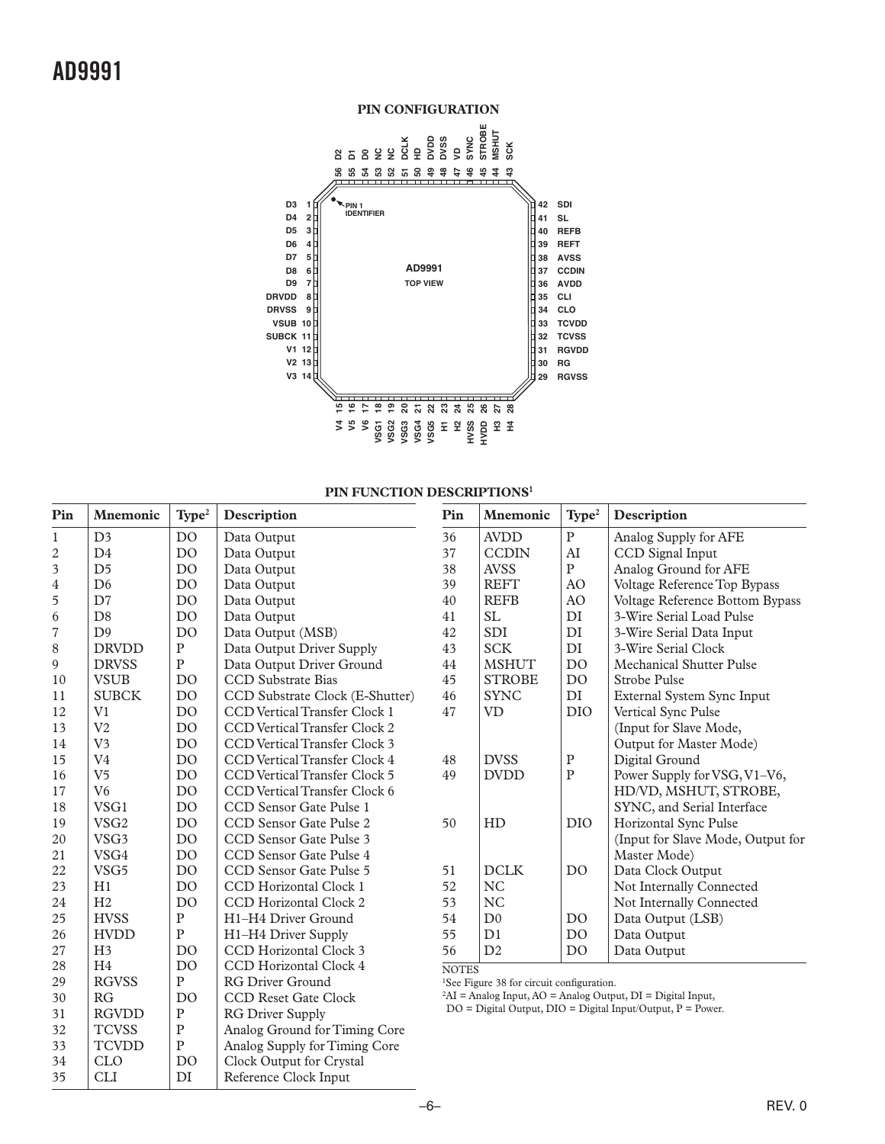<span id="page-5-0"></span>

#### **PIN FUNCTION DESCRIPTIONS<sup>1</sup>**

| Pin            | <b>Mnemonic</b>  | Type <sup>2</sup> | Description                          | Pin          | <b>Mnemonic</b>                                       | Type <sup>2</sup> | Description                                                         |
|----------------|------------------|-------------------|--------------------------------------|--------------|-------------------------------------------------------|-------------------|---------------------------------------------------------------------|
| $\mathbf{1}$   | D <sub>3</sub>   | D <sub>O</sub>    | Data Output                          | 36           | <b>AVDD</b>                                           | $\overline{P}$    | Analog Supply for AFE                                               |
| $\overline{2}$ | D <sub>4</sub>   | D <sub>O</sub>    | Data Output                          | 37           | <b>CCDIN</b>                                          | AI                | CCD Signal Input                                                    |
| 3              | D <sub>5</sub>   | D <sub>O</sub>    | Data Output                          | 38           | <b>AVSS</b>                                           | ${\bf P}$         | Analog Ground for AFE                                               |
| 4              | D <sub>6</sub>   | D <sub>O</sub>    | Data Output                          | 39           | <b>REFT</b>                                           | AO                | Voltage Reference Top Bypass                                        |
| 5              | D <sub>7</sub>   | D <sub>O</sub>    | Data Output                          | 40           | <b>REFB</b>                                           | AO                | Voltage Reference Bottom Bypass                                     |
| 6              | D <sub>8</sub>   | D <sub>O</sub>    | Data Output                          | 41           | SL                                                    | DI                | 3-Wire Serial Load Pulse                                            |
| $\overline{7}$ | D <sup>9</sup>   | DO                | Data Output (MSB)                    | 42           | SDI                                                   | $\mathop{\rm DI}$ | 3-Wire Serial Data Input                                            |
| 8              | <b>DRVDD</b>     | $\mathbf P$       | Data Output Driver Supply            | 43           | <b>SCK</b>                                            | DI                | 3-Wire Serial Clock                                                 |
| 9              | <b>DRVSS</b>     | $\mathbf P$       | Data Output Driver Ground            | 44           | <b>MSHUT</b>                                          | D <sub>O</sub>    | <b>Mechanical Shutter Pulse</b>                                     |
| 10             | <b>VSUB</b>      | D <sub>O</sub>    | <b>CCD</b> Substrate Bias            | 45           | <b>STROBE</b>                                         | DO                | <b>Strobe Pulse</b>                                                 |
| 11             | <b>SUBCK</b>     | D <sub>O</sub>    | CCD Substrate Clock (E-Shutter)      | 46           | <b>SYNC</b>                                           | DI                | External System Sync Input                                          |
| 12             | V <sub>1</sub>   | DO                | <b>CCD Vertical Transfer Clock 1</b> | 47           | <b>VD</b>                                             | <b>DIO</b>        | Vertical Sync Pulse                                                 |
| 13             | V <sub>2</sub>   | D <sub>O</sub>    | <b>CCD</b> Vertical Transfer Clock 2 |              |                                                       |                   | (Input for Slave Mode,                                              |
| 14             | V <sub>3</sub>   | <b>DO</b>         | <b>CCD</b> Vertical Transfer Clock 3 |              |                                                       |                   | Output for Master Mode)                                             |
| 15             | V <sub>4</sub>   | DO                | CCD Vertical Transfer Clock 4        | 48           | <b>DVSS</b>                                           | ${\bf P}$         | Digital Ground                                                      |
| 16             | V <sub>5</sub>   | D <sub>O</sub>    | CCD Vertical Transfer Clock 5        | 49           | <b>DVDD</b>                                           | ${\bf P}$         | Power Supply for VSG, V1-V6,                                        |
| 17             | V <sub>6</sub>   | D <sub>O</sub>    | CCD Vertical Transfer Clock 6        |              |                                                       |                   | HD/VD, MSHUT, STROBE,                                               |
| 18             | VSG1             | D <sub>O</sub>    | CCD Sensor Gate Pulse 1              |              |                                                       |                   | SYNC, and Serial Interface                                          |
| 19             | VSG <sub>2</sub> | D <sub>O</sub>    | CCD Sensor Gate Pulse 2              | 50           | HD                                                    | <b>DIO</b>        | Horizontal Sync Pulse                                               |
| 20             | VSG3             | D <sub>O</sub>    | CCD Sensor Gate Pulse 3              |              |                                                       |                   | (Input for Slave Mode, Output for                                   |
| 21             | VSG4             | D <sub>O</sub>    | CCD Sensor Gate Pulse 4              |              |                                                       |                   | Master Mode)                                                        |
| 22             | VSG <sub>5</sub> | D <sub>O</sub>    | CCD Sensor Gate Pulse 5              | 51           | <b>DCLK</b>                                           | D <sub>O</sub>    | Data Clock Output                                                   |
| 23             | H1               | D <sub>O</sub>    | CCD Horizontal Clock 1               | 52           | <b>NC</b>                                             |                   | Not Internally Connected                                            |
| 24             | H <sub>2</sub>   | D <sub>O</sub>    | <b>CCD Horizontal Clock 2</b>        | 53           | <b>NC</b>                                             |                   | Not Internally Connected                                            |
| 25             | <b>HVSS</b>      | ${\bf P}$         | H1-H4 Driver Ground                  | 54           | D <sub>0</sub>                                        | D <sub>O</sub>    | Data Output (LSB)                                                   |
| 26             | <b>HVDD</b>      | $\mathbf{P}$      | H1-H4 Driver Supply                  | 55           | D <sub>1</sub>                                        | D <sub>O</sub>    | Data Output                                                         |
| 27             | H <sub>3</sub>   | D <sub>O</sub>    | CCD Horizontal Clock 3               | 56           | D2                                                    | D <sub>O</sub>    | Data Output                                                         |
| 28             | H <sub>4</sub>   | D <sub>O</sub>    | <b>CCD Horizontal Clock 4</b>        | <b>NOTES</b> |                                                       |                   |                                                                     |
| 29             | <b>RGVSS</b>     | ${\bf P}$         | <b>RG Driver Ground</b>              |              | <sup>1</sup> See Figure 38 for circuit configuration. |                   |                                                                     |
| 30             | RG               | D <sub>O</sub>    | <b>CCD Reset Gate Clock</b>          |              |                                                       |                   | ${}^{2}$ AI = Analog Input, AO = Analog Output, DI = Digital Input, |
| 31             | <b>RGVDD</b>     | $\mathbf P$       | <b>RG Driver Supply</b>              |              |                                                       |                   | $DO = Digital Output, DIO = Digital Input/Output, P = Power.$       |
| 32             | <b>TCVSS</b>     | ${\bf P}$         | Analog Ground for Timing Core        |              |                                                       |                   |                                                                     |
| 33             | <b>TCVDD</b>     | ${\bf P}$         | Analog Supply for Timing Core        |              |                                                       |                   |                                                                     |
| 34             | <b>CLO</b>       | D <sub>O</sub>    | Clock Output for Crystal             |              |                                                       |                   |                                                                     |
| 35             | <b>CLI</b>       | DI                | Reference Clock Input                |              |                                                       |                   |                                                                     |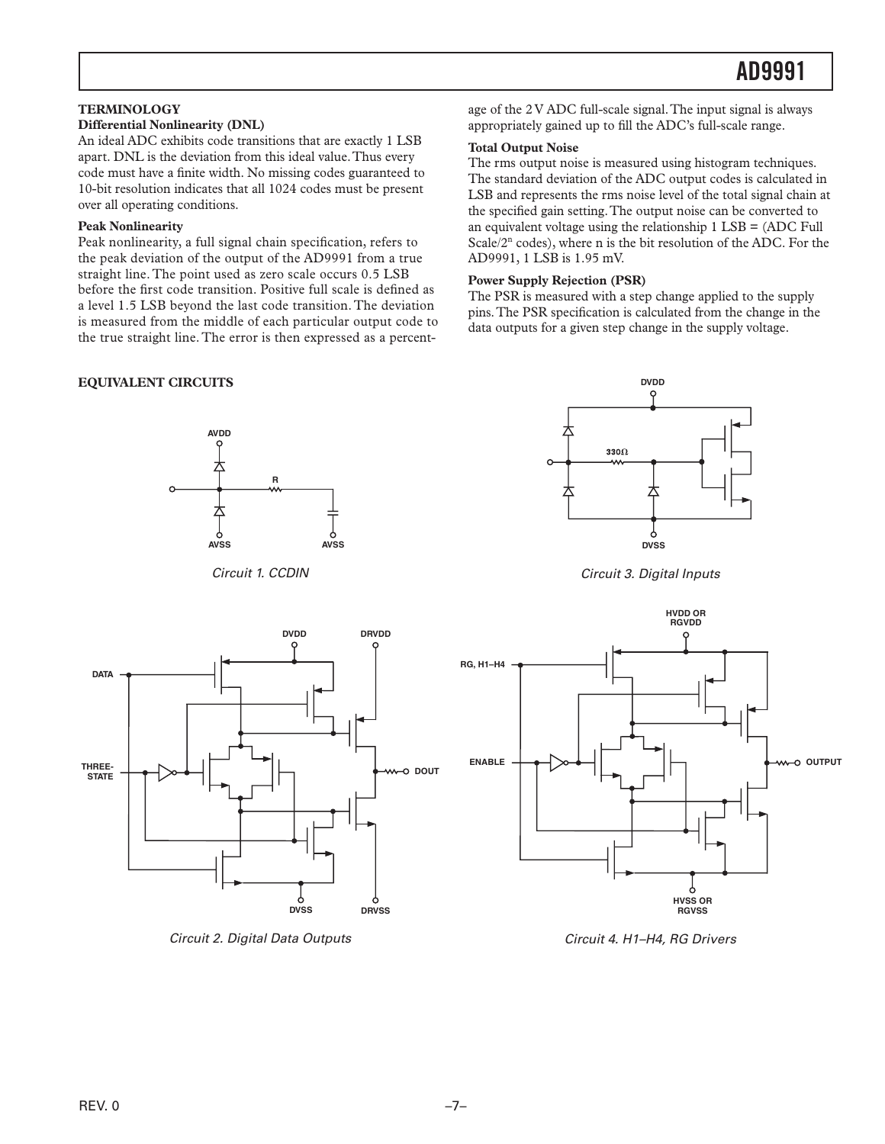#### <span id="page-6-0"></span>**TERMINOLOGY**

#### **Differential Nonlinearity (DNL)**

An ideal ADC exhibits code transitions that are exactly 1 LSB apart. DNL is the deviation from this ideal value. Thus every code must have a finite width. No missing codes guaranteed to 10-bit resolution indicates that all 1024 codes must be present over all operating conditions.

#### **Peak Nonlinearity**

Peak nonlinearity, a full signal chain specification, refers to the peak deviation of the output of the AD9991 from a true straight line. The point used as zero scale occurs 0.5 LSB before the first code transition. Positive full scale is defined as a level 1.5 LSB beyond the last code transition. The deviation is measured from the middle of each particular output code to the true straight line. The error is then expressed as a percent-

#### **EQUIVALENT CIRCUITS**



*Circuit 1. CCDIN*

age of the 2 V ADC full-scale signal. The input signal is always appropriately gained up to fill the ADC's full-scale range.

#### **Total Output Noise**

The rms output noise is measured using histogram techniques. The standard deviation of the ADC output codes is calculated in LSB and represents the rms noise level of the total signal chain at the specified gain setting. The output noise can be converted to an equivalent voltage using the relationship 1 LSB = (ADC Full Scale/2<sup>n</sup> codes), where n is the bit resolution of the ADC. For the AD9991, 1 LSB is 1.95 mV.

#### **Power Supply Rejection (PSR)**

The PSR is measured with a step change applied to the supply pins. The PSR specification is calculated from the change in the data outputs for a given step change in the supply voltage.



*Circuit 3. Digital Inputs*



*Circuit 2. Digital Data Outputs*



*Circuit 4. H1–H4, RG Drivers*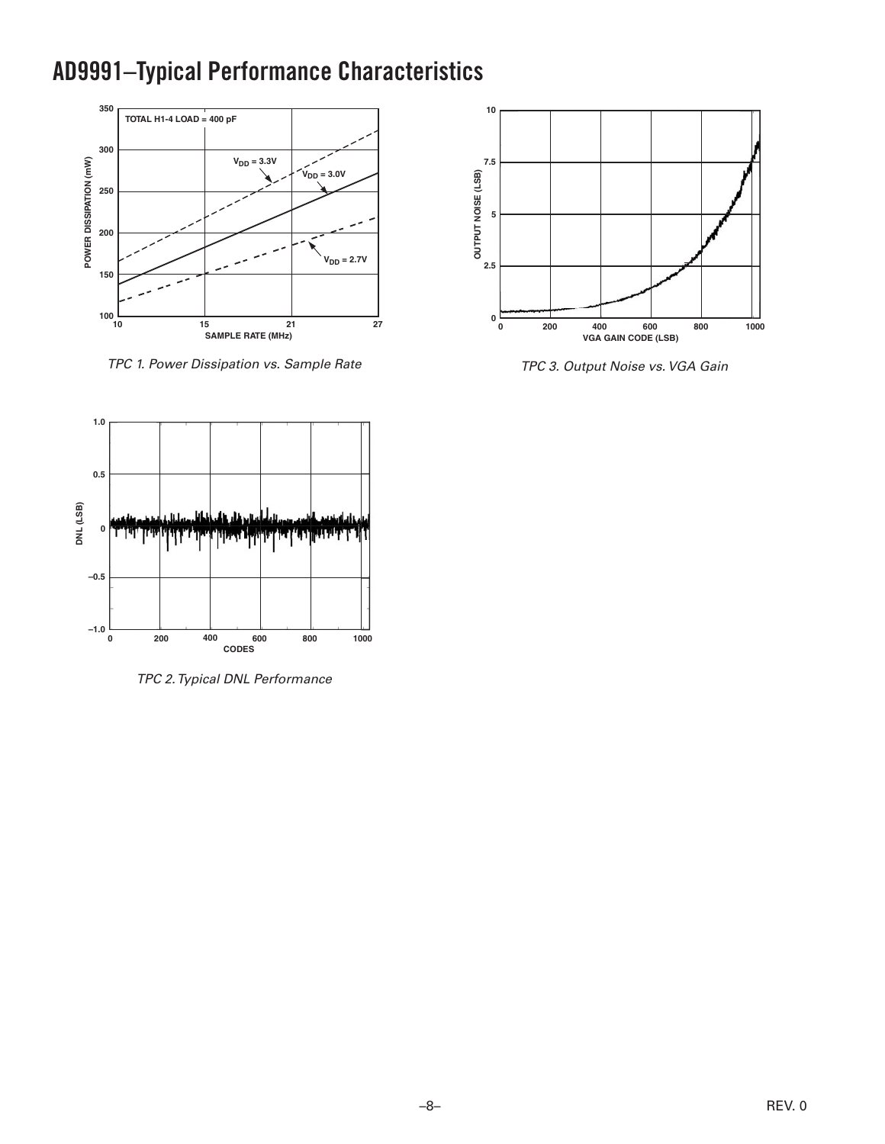## <span id="page-7-0"></span>**AD9991–Typical Performance Characteristics**



*TPC 1. Power Dissipation vs. Sample Rate*



*TPC 3. Output Noise vs. VGA Gain*



*TPC 2. Typical DNL Performance*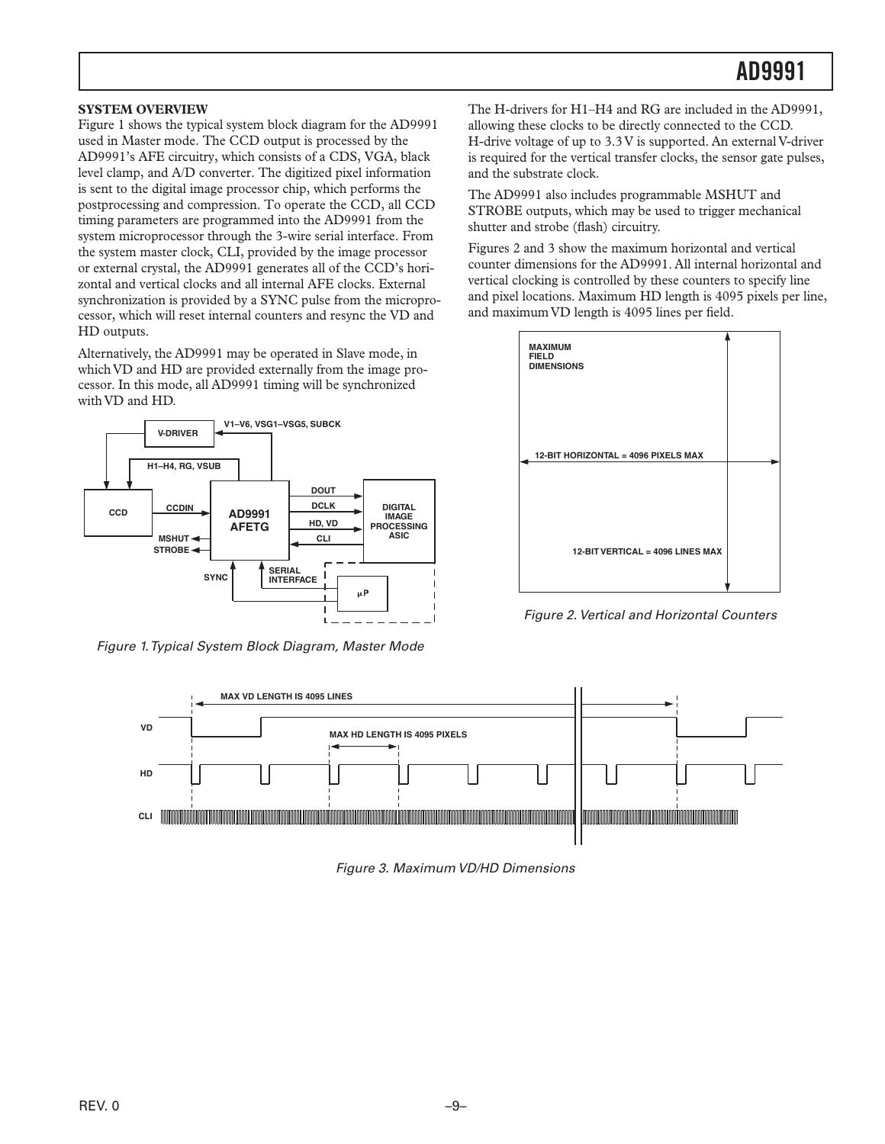#### <span id="page-8-0"></span>**SYSTEM OVERVIEW**

Figure 1 shows the typical system block diagram for the AD9991 used in Master mode. The CCD output is processed by the AD9991's AFE circuitry, which consists of a CDS, VGA, black level clamp, and A/D converter. The digitized pixel information is sent to the digital image processor chip, which performs the postprocessing and compression. To operate the CCD, all CCD timing parameters are programmed into the AD9991 from the system microprocessor through the 3-wire serial interface. From the system master clock, CLI, provided by the image processor or external crystal, the AD9991 generates all of the CCD's horizontal and vertical clocks and all internal AFE clocks. External synchronization is provided by a SYNC pulse from the microprocessor, which will reset internal counters and resync the VD and HD outputs.

Alternatively, the AD9991 may be operated in Slave mode, in which VD and HD are provided externally from the image processor. In this mode, all AD9991 timing will be synchronized with VD and HD.



*Figure 1. Typical System Block Diagram, Master Mode*

The H-drivers for H1–H4 and RG are included in the AD9991, allowing these clocks to be directly connected to the CCD. H-drive voltage of up to 3.3 V is supported. An external V-driver is required for the vertical transfer clocks, the sensor gate pulses, and the substrate clock.

The AD9991 also includes programmable MSHUT and STROBE outputs, which may be used to trigger mechanical shutter and strobe (flash) circuitry.

Figures 2 and 3 show the maximum horizontal and vertical counter dimensions for the AD9991. All internal horizontal and vertical clocking is controlled by these counters to specify line and pixel locations. Maximum HD length is 4095 pixels per line, and maximum VD length is 4095 lines per field.

*Figure 2. Vertical and Horizontal Counters*



*Figure 3. Maximum VD/HD Dimensions*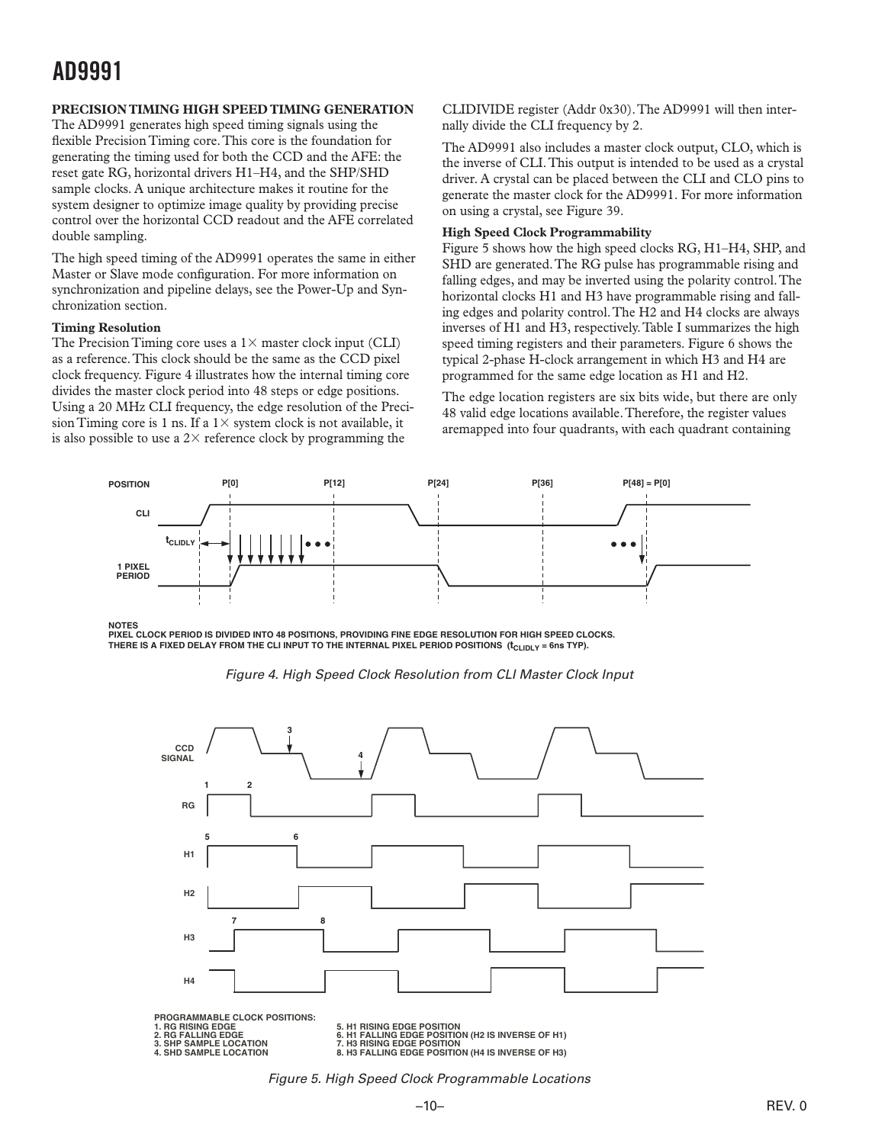#### <span id="page-9-0"></span>**PRECISION TIMING HIGH SPEED TIMING GENERATION**

The AD9991 generates high speed timing signals using the flexible Precision Timing core. This core is the foundation for generating the timing used for both the CCD and the AFE: the reset gate RG, horizontal drivers H1–H4, and the SHP/SHD sample clocks. A unique architecture makes it routine for the system designer to optimize image quality by providing precise control over the horizontal CCD readout and the AFE correlated double sampling.

The high speed timing of the AD9991 operates the same in either Master or Slave mode configuration. For more information on synchronization and pipeline delays, see the Power-Up and Synchronization section.

#### **Timing Resolution**

The Precision Timing core uses a  $1\times$  master clock input (CLI) as a reference. This clock should be the same as the CCD pixel clock frequency. Figure 4 illustrates how the internal timing core divides the master clock period into 48 steps or edge positions. Using a 20 MHz CLI frequency, the edge resolution of the Precision Timing core is 1 ns. If a  $1 \times$  system clock is not available, it is also possible to use a  $2\times$  reference clock by programming the

CLIDIVIDE register (Addr 0x30). The AD9991 will then internally divide the CLI frequency by 2.

The AD9991 also includes a master clock output, CLO, which is the inverse of CLI. This output is intended to be used as a crystal driver. A crystal can be placed between the CLI and CLO pins to generate the master clock for the AD9991. For more information on using a crystal, see Figure 39.

#### **High Speed Clock Programmability**

Figure 5 shows how the high speed clocks RG, H1–H4, SHP, and SHD are generated. The RG pulse has programmable rising and falling edges, and may be inverted using the polarity control. The horizontal clocks H1 and H3 have programmable rising and falling edges and polarity control. The H2 and H4 clocks are always inverses of H1 and H3, respectively. Table I summarizes the high speed timing registers and their parameters. Figure 6 shows the typical 2-phase H-clock arrangement in which H3 and H4 are programmed for the same edge location as H1 and H2.

The edge location registers are six bits wide, but there are only 48 valid edge locations available. Therefore, the register values aremapped into four quadrants, with each quadrant containing



#### **NOTES**

**PIXEL CLOCK PERIOD IS DIVIDED INTO 48 POSITIONS, PROVIDING FINE EDGE RESOLUTION FOR HIGH SPEED CLOCKS.** THERE IS A FIXED DELAY FROM THE CLI INPUT TO THE INTERNAL PIXEL PERIOD POSITIONS (t<sub>CLIDLY</sub> = 6ns TYP).





*Figure 5. High Speed Clock Programmable Locations*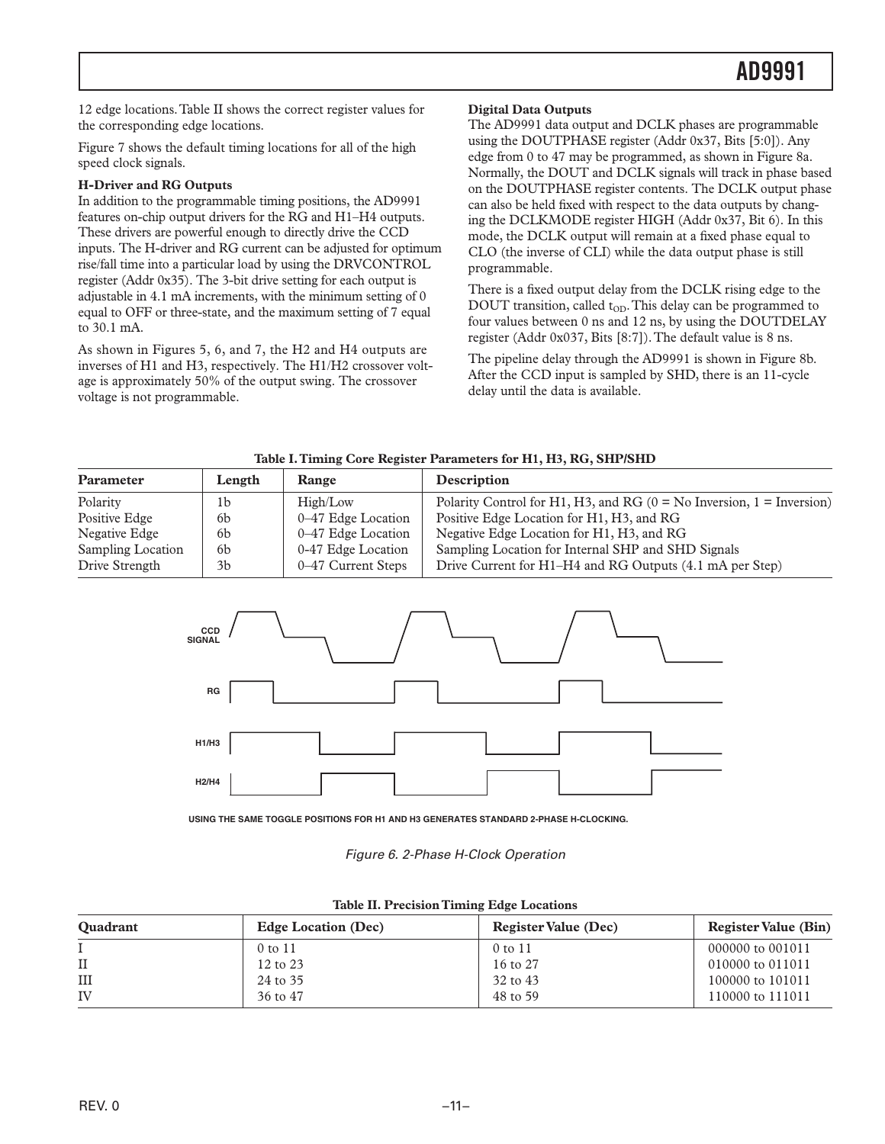<span id="page-10-0"></span>12 edge locations. Table II shows the correct register values for the corresponding edge locations.

Figure 7 shows the default timing locations for all of the high speed clock signals.

#### **H-Driver and RG Outputs**

In addition to the programmable timing positions, the AD9991 features on-chip output drivers for the RG and H1–H4 outputs. These drivers are powerful enough to directly drive the CCD inputs. The H-driver and RG current can be adjusted for optimum rise/fall time into a particular load by using the DRVCONTROL register (Addr 0x35). The 3-bit drive setting for each output is adjustable in 4.1 mA increments, with the minimum setting of 0 equal to OFF or three-state, and the maximum setting of 7 equal to 30.1 mA.

As shown in Figures 5, 6, and 7, the H2 and H4 outputs are inverses of H1 and H3, respectively. The H1/H2 crossover voltage is approximately 50% of the output swing. The crossover voltage is not programmable.

#### **Digital Data Outputs**

The AD9991 data output and DCLK phases are programmable using the DOUTPHASE register (Addr 0x37, Bits [5:0]). Any edge from 0 to 47 may be programmed, as shown in Figure 8a. Normally, the DOUT and DCLK signals will track in phase based on the DOUTPHASE register contents. The DCLK output phase can also be held fixed with respect to the data outputs by changing the DCLKMODE register HIGH (Addr 0x37, Bit 6). In this mode, the DCLK output will remain at a fixed phase equal to CLO (the inverse of CLI) while the data output phase is still programmable.

There is a fixed output delay from the DCLK rising edge to the DOUT transition, called  $t_{OD}$ . This delay can be programmed to four values between 0 ns and 12 ns, by using the DOUTDELAY register (Addr 0x037, Bits [8:7]). The default value is 8 ns.

The pipeline delay through the AD9991 is shown in Figure 8b. After the CCD input is sampled by SHD, there is an 11-cycle delay until the data is available.

| Parameter         | Length         | Range              | Description                                                                 |
|-------------------|----------------|--------------------|-----------------------------------------------------------------------------|
| Polarity          | 1b             | High/Low           | Polarity Control for H1, H3, and RG ( $0 = No$ Inversion, $1 = Inversion$ ) |
| Positive Edge     | 6b             | 0-47 Edge Location | Positive Edge Location for H1, H3, and RG                                   |
| Negative Edge     | <sub>6</sub> b | 0-47 Edge Location | Negative Edge Location for H1, H3, and RG                                   |
| Sampling Location | <sub>6</sub> b | 0-47 Edge Location | Sampling Location for Internal SHP and SHD Signals                          |
| Drive Strength    | 3b             | 0–47 Current Steps | Drive Current for H1–H4 and RG Outputs (4.1 mA per Step)                    |





**USING THE SAME TOGGLE POSITIONS FOR H1 AND H3 GENERATES STANDARD 2-PHASE H-CLOCKING.** 

*Figure 6. 2-Phase H-Clock Operation*

| <b>Ouadrant</b> | <b>Edge Location (Dec)</b> | <b>Register Value (Dec)</b> | <b>Register Value (Bin)</b> |
|-----------------|----------------------------|-----------------------------|-----------------------------|
|                 | 0 to 11                    | 0 to 11                     | 000000 to 001011            |
|                 | 12 to 23                   | 16 to 27                    | 010000 to 011011            |
| III             | 24 to 35                   | 32 to 43                    | 100000 to 101011            |
| IV              | 36 to 47                   | 48 to 59                    | 110000 to 111011            |

|  | <b>Table II. Precision Timing Edge Locations</b> |  |  |  |
|--|--------------------------------------------------|--|--|--|
|--|--------------------------------------------------|--|--|--|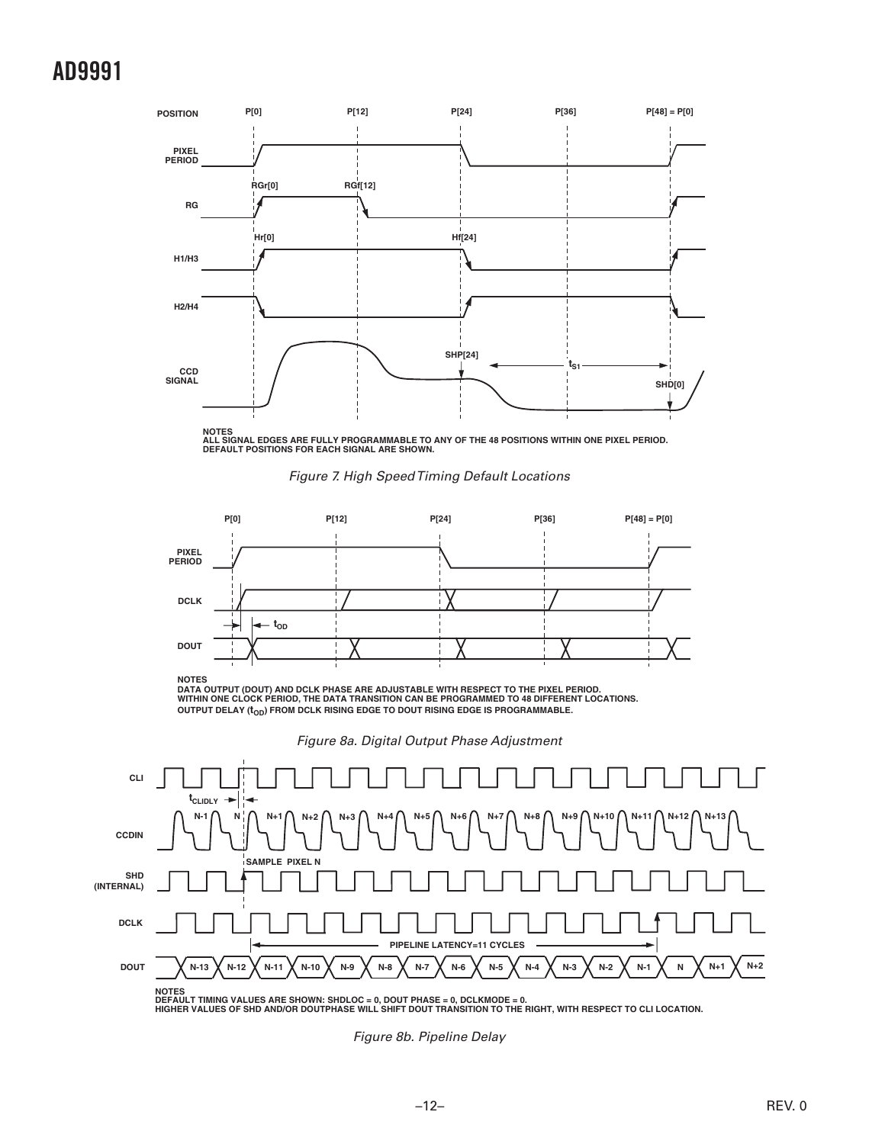

**NOTES ALL SIGNAL EDGES ARE FULLY PROGRAMMABLE TO ANY OF THE 48 POSITIONS WITHIN ONE PIXEL PERIOD. DEFAULT POSITIONS FOR EACH SIGNAL ARE SHOWN.**





**NOTES DATA OUTPUT (DOUT) AND DCLK PHASE ARE ADJUSTABLE WITH RESPECT TO THE PIXEL PERIOD. WITHIN ONE CLOCK PERIOD, THE DATA TRANSITION CAN BE PROGRAMMED TO 48 DIFFERENT LOCATIONS. OUTPUT DELAY (t<sub>OD</sub>) FROM DCLK RISING EDGE TO DOUT RISING EDGE IS PROGRAMMABLE.** 

*Figure 8a. Digital Output Phase Adjustment*



*Figure 8b. Pipeline Delay*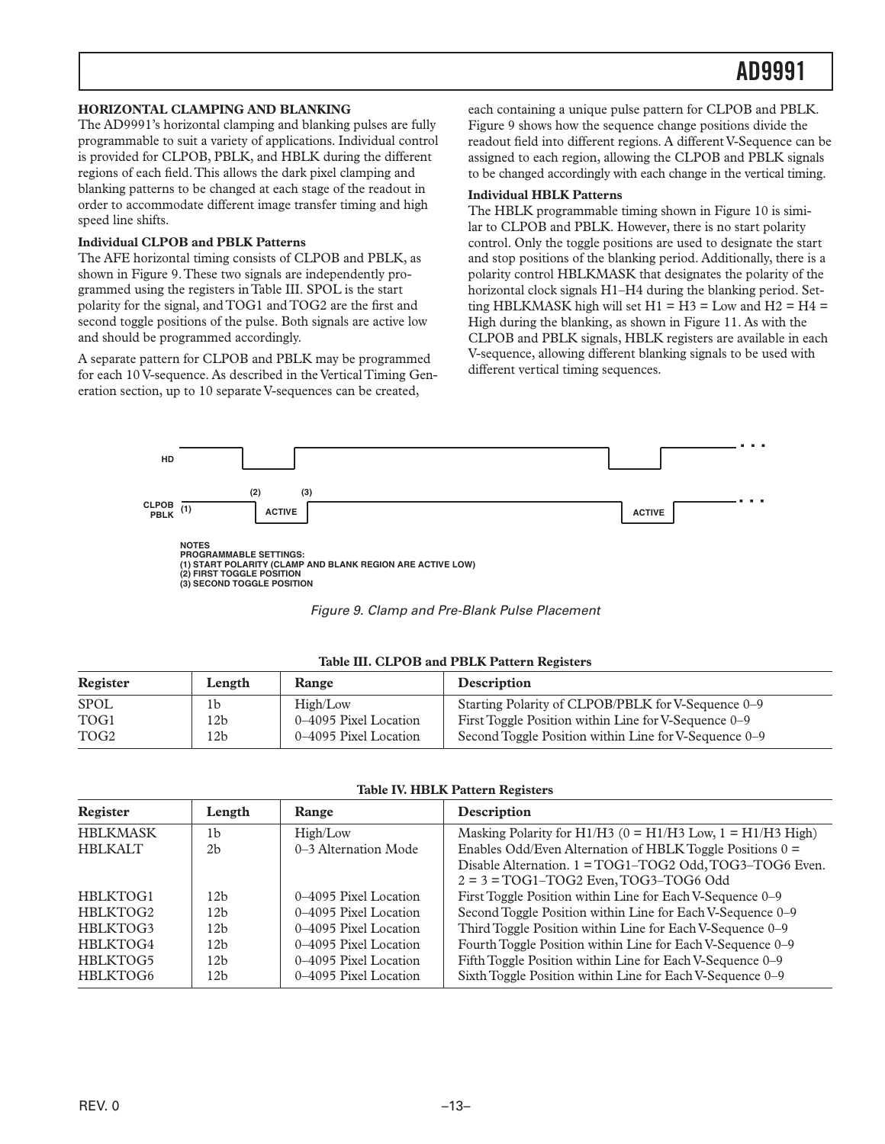#### <span id="page-12-0"></span>**HORIZONTAL CLAMPING AND BLANKING**

The AD9991's horizontal clamping and blanking pulses are fully programmable to suit a variety of applications. Individual control is provided for CLPOB, PBLK, and HBLK during the different regions of each field. This allows the dark pixel clamping and blanking patterns to be changed at each stage of the readout in order to accommodate different image transfer timing and high speed line shifts.

#### **Individual CLPOB and PBLK Patterns**

The AFE horizontal timing consists of CLPOB and PBLK, as shown in Figure 9. These two signals are independently programmed using the registers in Table III. SPOL is the start polarity for the signal, and TOG1 and TOG2 are the first and second toggle positions of the pulse. Both signals are active low and should be programmed accordingly.

A separate pattern for CLPOB and PBLK may be programmed for each 10 V-sequence. As described in the Vertical Timing Generation section, up to 10 separate V-sequences can be created,

each containing a unique pulse pattern for CLPOB and PBLK. Figure 9 shows how the sequence change positions divide the readout field into different regions. A different V-Sequence can be assigned to each region, allowing the CLPOB and PBLK signals to be changed accordingly with each change in the vertical timing.

#### **Individual HBLK Patterns**

The HBLK programmable timing shown in Figure 10 is similar to CLPOB and PBLK. However, there is no start polarity control. Only the toggle positions are used to designate the start and stop positions of the blanking period. Additionally, there is a polarity control HBLKMASK that designates the polarity of the horizontal clock signals H1–H4 during the blanking period. Setting HBLKMASK high will set  $H1 = H3 =$ Low and  $H2 = H4 =$ High during the blanking, as shown in Figure 11. As with the CLPOB and PBLK signals, HBLK registers are available in each V-sequence, allowing different blanking signals to be used with different vertical timing sequences.



| Register         | Length          | Range                 | <b>Description</b>                                    |
|------------------|-----------------|-----------------------|-------------------------------------------------------|
| <b>SPOL</b>      | 1b              | High/Low              | Starting Polarity of CLPOB/PBLK for V-Sequence 0–9    |
| TOG1             | 12 <sub>b</sub> | 0–4095 Pixel Location | First Toggle Position within Line for V-Sequence 0–9  |
| TOG <sub>2</sub> | 12 <sub>b</sub> | 0–4095 Pixel Location | Second Toggle Position within Line for V-Sequence 0–9 |

**Table III. CLPOB and PBLK Pattern Registers**

|  |  | <b>Table IV. HBLK Pattern Registers</b> |
|--|--|-----------------------------------------|
|  |  |                                         |

| Register        | Length          | <b>Range</b>          | Description                                                      |
|-----------------|-----------------|-----------------------|------------------------------------------------------------------|
| <b>HBLKMASK</b> | 1 <sub>b</sub>  | High/Low              | Masking Polarity for $H1/H3$ (0 = $H1/H3$ Low, 1 = $H1/H3$ High) |
| <b>HBLKALT</b>  | 2 <sub>b</sub>  | 0-3 Alternation Mode  | Enables Odd/Even Alternation of HBLK Toggle Positions $0 =$      |
|                 |                 |                       | Disable Alternation. 1 = TOG1-TOG2 Odd, TOG3-TOG6 Even.          |
|                 |                 |                       | $2 = 3 = TOG1 - TOG2$ Even, TOG3-TOG6 Odd                        |
| HBLKTOG1        | 12h             | 0–4095 Pixel Location | First Toggle Position within Line for Each V-Sequence 0-9        |
| HBLKTOG2        | 12h             | 0–4095 Pixel Location | Second Toggle Position within Line for Each V-Sequence 0-9       |
| HBLKTOG3        | 12 <sub>b</sub> | 0–4095 Pixel Location | Third Toggle Position within Line for Each V-Sequence 0–9        |
| HBLKTOG4        | 12b             | 0–4095 Pixel Location | Fourth Toggle Position within Line for Each V-Sequence 0–9       |
| HBLKTOG5        | 12h             | 0–4095 Pixel Location | Fifth Toggle Position within Line for Each V-Sequence 0-9        |
| HBLKTOG6        | 12b             | 0–4095 Pixel Location | Sixth Toggle Position within Line for Each V-Sequence 0–9        |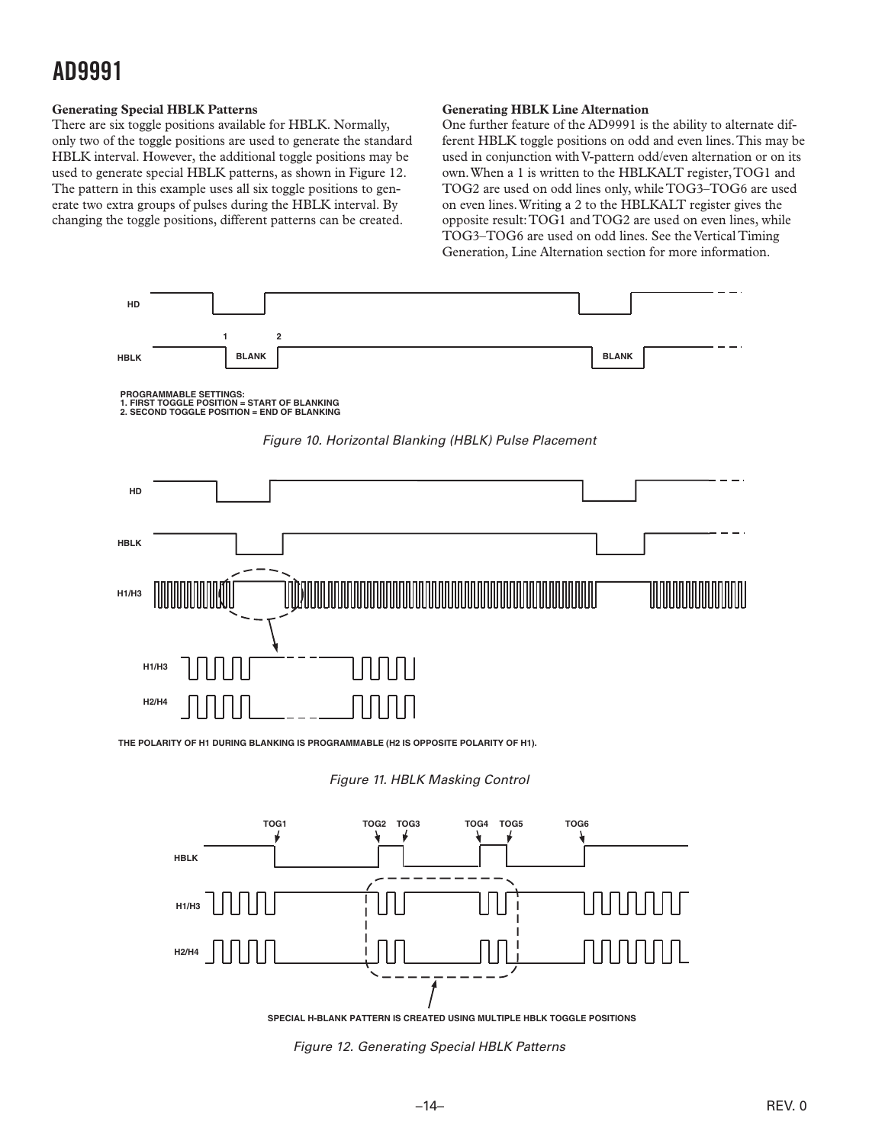#### <span id="page-13-0"></span>**Generating Special HBLK Patterns**

There are six toggle positions available for HBLK. Normally, only two of the toggle positions are used to generate the standard HBLK interval. However, the additional toggle positions may be used to generate special HBLK patterns, as shown in Figure 12. The pattern in this example uses all six toggle positions to generate two extra groups of pulses during the HBLK interval. By changing the toggle positions, different patterns can be created.

#### **Generating HBLK Line Alternation**

One further feature of the AD9991 is the ability to alternate different HBLK toggle positions on odd and even lines. This may be used in conjunction with V-pattern odd/even alternation or on its own. When a 1 is written to the HBLKALT register, TOG1 and TOG2 are used on odd lines only, while TOG3–TOG6 are used on even lines. Writing a 2 to the HBLKALT register gives the opposite result: TOG1 and TOG2 are used on even lines, while TOG3–TOG6 are used on odd lines. See the Vertical Timing Generation, Line Alternation section for more information.



**THE POLARITY OF H1 DURING BLANKING IS PROGRAMMABLE (H2 IS OPPOSITE POLARITY OF H1).**

*Figure 11. HBLK Masking Control*



**SPECIAL H-BLANK PATTERN IS CREATED USING MULTIPLE HBLK TOGGLE POSITIONS**

*Figure 12. Generating Special HBLK Patterns*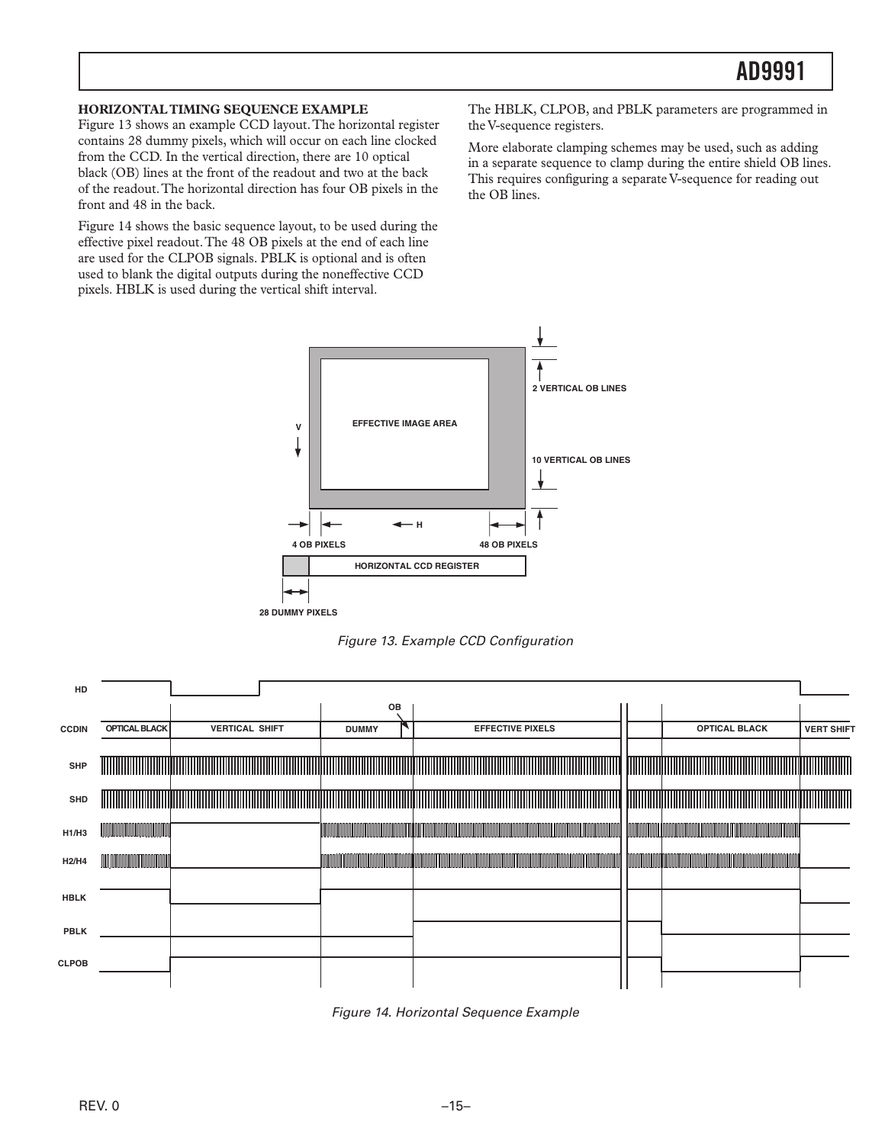#### <span id="page-14-0"></span>**HORIZONTAL TIMING SEQUENCE EXAMPLE**

Figure 13 shows an example CCD layout. The horizontal register contains 28 dummy pixels, which will occur on each line clocked from the CCD. In the vertical direction, there are 10 optical black (OB) lines at the front of the readout and two at the back of the readout. The horizontal direction has four OB pixels in the front and 48 in the back.

Figure 14 shows the basic sequence layout, to be used during the effective pixel readout. The 48 OB pixels at the end of each line are used for the CLPOB signals. PBLK is optional and is often used to blank the digital outputs during the noneffective CCD pixels. HBLK is used during the vertical shift interval.

The HBLK, CLPOB, and PBLK parameters are programmed in the V-sequence registers.

More elaborate clamping schemes may be used, such as adding in a separate sequence to clamp during the entire shield OB lines. This requires configuring a separate V-sequence for reading out the OB lines.



*Figure 13. Example CCD Configuration*

| HD                             |                      |                                                                                                                        |              |                         |                                                                                                                        |                   |
|--------------------------------|----------------------|------------------------------------------------------------------------------------------------------------------------|--------------|-------------------------|------------------------------------------------------------------------------------------------------------------------|-------------------|
|                                |                      |                                                                                                                        | OB           |                         |                                                                                                                        |                   |
| <b>CCDIN</b>                   | <b>OPTICAL BLACK</b> | <b>VERTICAL SHIFT</b>                                                                                                  | <b>DUMMY</b> | <b>EFFECTIVE PIXELS</b> | <b>OPTICAL BLACK</b>                                                                                                   | <b>VERT SHIFT</b> |
|                                |                      |                                                                                                                        |              |                         |                                                                                                                        |                   |
| <b>SHP</b>                     |                      | <u> 1989 - Andrea Stadt Stadt Stadt Stadt Stadt Stadt Stadt Stadt Stadt Stadt Stadt Stadt Stadt Stadt Stadt Stadt </u> |              |                         | <u> 1999 - Johann Amerikaanse kommunister (</u>                                                                        |                   |
| <b>SHD</b>                     |                      | <u> Alimento de la contrada de la contrada de la contrada de la contrada de la contrada de la contrada de la con</u>   |              |                         | <u> Timografia de la contrada de la contrada de la contrada de la contrada de la contrada de la contrada de la con</u> |                   |
| H1/H3                          |                      |                                                                                                                        |              |                         |                                                                                                                        |                   |
| H <sub>2</sub> /H <sub>4</sub> |                      |                                                                                                                        |              |                         |                                                                                                                        |                   |
| <b>HBLK</b>                    |                      |                                                                                                                        |              |                         |                                                                                                                        |                   |
| <b>PBLK</b>                    |                      |                                                                                                                        |              |                         |                                                                                                                        |                   |
| <b>CLPOB</b>                   |                      |                                                                                                                        |              |                         |                                                                                                                        |                   |
|                                |                      |                                                                                                                        |              |                         |                                                                                                                        |                   |

*Figure 14. Horizontal Sequence Example*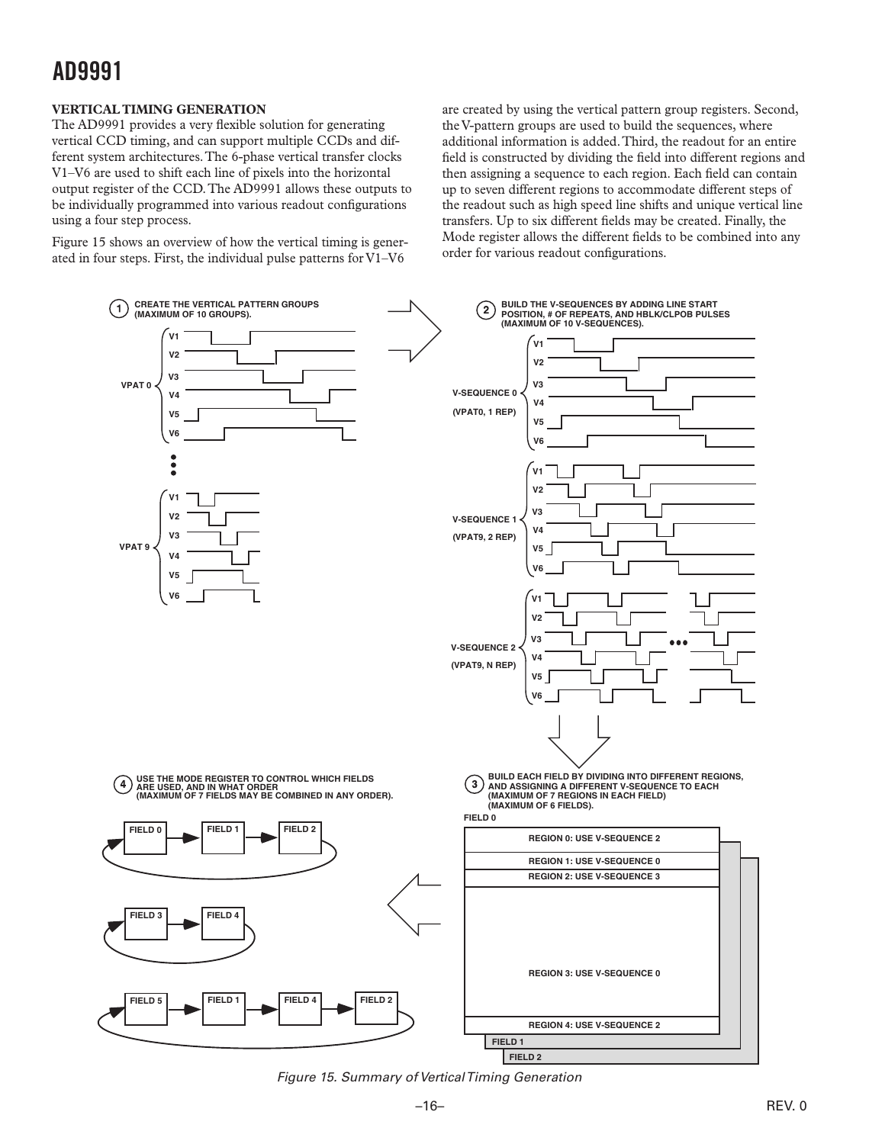#### <span id="page-15-0"></span>**VERTICAL TIMING GENERATION**

The AD9991 provides a very flexible solution for generating vertical CCD timing, and can support multiple CCDs and different system architectures. The 6-phase vertical transfer clocks V1–V6 are used to shift each line of pixels into the horizontal output register of the CCD. The AD9991 allows these outputs to be individually programmed into various readout configurations using a four step process.

Figure 15 shows an overview of how the vertical timing is generated in four steps. First, the individual pulse patterns for V1–V6

are created by using the vertical pattern group registers. Second, the V-pattern groups are used to build the sequences, where additional information is added. Third, the readout for an entire field is constructed by dividing the field into different regions and then assigning a sequence to each region. Each field can contain up to seven different regions to accommodate different steps of the readout such as high speed line shifts and unique vertical line transfers. Up to six different fields may be created. Finally, the Mode register allows the different fields to be combined into any order for various readout configurations.



*Figure 15. Summary of Vertical Timing Generation*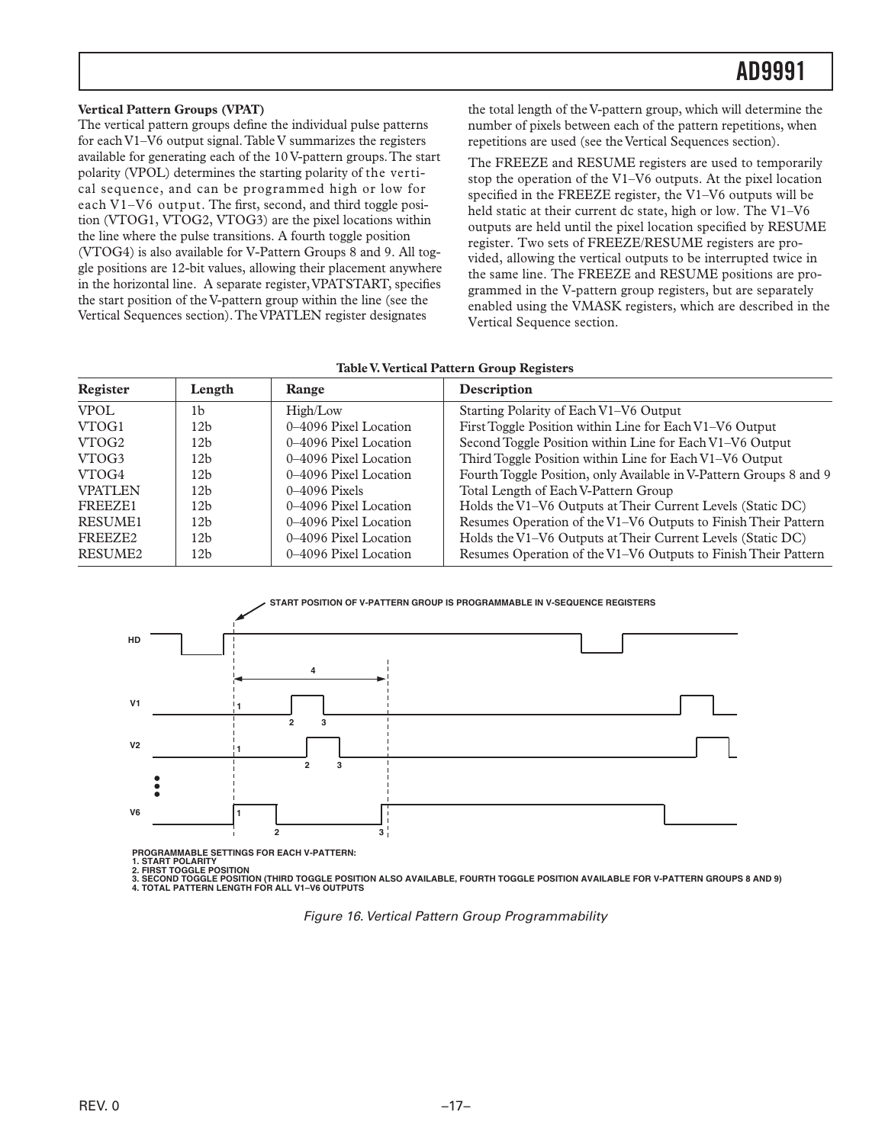#### <span id="page-16-0"></span>**Vertical Pattern Groups (VPAT)**

The vertical pattern groups define the individual pulse patterns for each V1–V6 output signal. Table V summarizes the registers available for generating each of the 10 V-pattern groups. The start polarity (VPOL) determines the starting polarity of the vertical sequence, and can be programmed high or low for each V1–V6 output. The first, second, and third toggle position (VTOG1, VTOG2, VTOG3) are the pixel locations within the line where the pulse transitions. A fourth toggle position (VTOG4) is also available for V-Pattern Groups 8 and 9. All toggle positions are 12-bit values, allowing their placement anywhere in the horizontal line. A separate register, VPATSTART, specifies the start position of the V-pattern group within the line (see the Vertical Sequences section). The VPATLEN register designates

the total length of the V-pattern group, which will determine the number of pixels between each of the pattern repetitions, when repetitions are used (see the Vertical Sequences section).

The FREEZE and RESUME registers are used to temporarily stop the operation of the V1–V6 outputs. At the pixel location specified in the FREEZE register, the V1–V6 outputs will be held static at their current dc state, high or low. The V1–V6 outputs are held until the pixel location specified by RESUME register. Two sets of FREEZE/RESUME registers are provided, allowing the vertical outputs to be interrupted twice in the same line. The FREEZE and RESUME positions are programmed in the V-pattern group registers, but are separately enabled using the VMASK registers, which are described in the Vertical Sequence section.

#### **Table V. Vertical Pattern Group Registers**

| Register            | Length          | Range                 | Description                                                        |
|---------------------|-----------------|-----------------------|--------------------------------------------------------------------|
| <b>VPOL</b>         | 1b              | High/Low              | Starting Polarity of Each V1–V6 Output                             |
| VTOG1               | 12 <sub>b</sub> | 0–4096 Pixel Location | First Toggle Position within Line for Each V1-V6 Output            |
| VTOG <sub>2</sub>   | 12 <sub>b</sub> | 0–4096 Pixel Location | Second Toggle Position within Line for Each V1-V6 Output           |
| VTOG3               | 12 <sub>b</sub> | 0–4096 Pixel Location | Third Toggle Position within Line for Each V1-V6 Output            |
| VTOG4               | 12h             | 0–4096 Pixel Location | Fourth Toggle Position, only Available in V-Pattern Groups 8 and 9 |
| <b>VPATLEN</b>      | 12 <sub>b</sub> | $0-4096$ Pixels       | Total Length of Each V-Pattern Group                               |
| FREEZE1             | 12 <sub>b</sub> | 0–4096 Pixel Location | Holds the V1-V6 Outputs at Their Current Levels (Static DC)        |
| <b>RESUME1</b>      | 12 <sub>b</sub> | 0–4096 Pixel Location | Resumes Operation of the V1-V6 Outputs to Finish Their Pattern     |
| FREEZE <sub>2</sub> | 12 <sub>b</sub> | 0–4096 Pixel Location | Holds the V1-V6 Outputs at Their Current Levels (Static DC)        |
| RESUME2             | 12 <sub>b</sub> | 0–4096 Pixel Location | Resumes Operation of the V1-V6 Outputs to Finish Their Pattern     |



**PROGRAMMABLE SETTINGS FOR EACH V-PATTERN:**

**1. START POLARITY 2. FIRST TOGGLE POSITION**

**3. SECOND TOGGLE POSITION (THIRD TOGGLE POSITION ALSO AVAILABLE, FOURTH TOGGLE POSITION AVAILABLE FOR V-PATTERN GROUPS 8 AND 9) 4. TOTAL PATTERN LENGTH FOR ALL V1–V6 OUTPUTS**

*Figure 16. Vertical Pattern Group Programmability*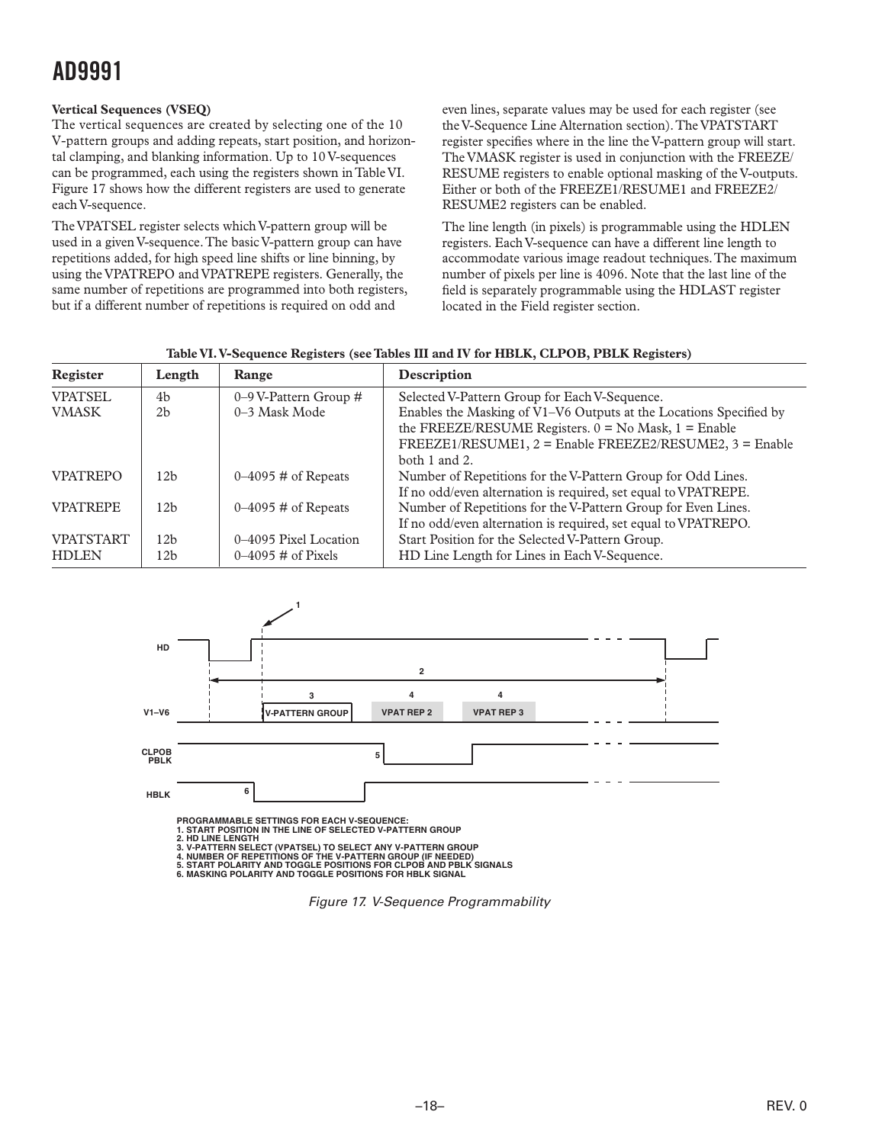#### <span id="page-17-0"></span>**Vertical Sequences (VSEQ)**

The vertical sequences are created by selecting one of the 10 V-pattern groups and adding repeats, start position, and horizontal clamping, and blanking information. Up to 10 V-sequences can be programmed, each using the registers shown in Table VI. Figure 17 shows how the different registers are used to generate each V-sequence.

The VPATSEL register selects which V-pattern group will be used in a given V-sequence. The basic V-pattern group can have repetitions added, for high speed line shifts or line binning, by using the VPATREPO and VPATREPE registers. Generally, the same number of repetitions are programmed into both registers, but if a different number of repetitions is required on odd and

even lines, separate values may be used for each register (see the V-Sequence Line Alternation section). The VPATSTART register specifies where in the line the V-pattern group will start. The VMASK register is used in conjunction with the FREEZE/ RESUME registers to enable optional masking of the V-outputs. Either or both of the FREEZE1/RESUME1 and FREEZE2/ RESUME2 registers can be enabled.

The line length (in pixels) is programmable using the HDLEN registers. Each V-sequence can have a different line length to accommodate various image readout techniques. The maximum number of pixels per line is 4096. Note that the last line of the field is separately programmable using the HDLAST register located in the Field register section.

| Table VI. V-Sequence Registers (see Tables III and IV for HBLK, CLPOB, PBLK Registers) |  |  |  |
|----------------------------------------------------------------------------------------|--|--|--|
|                                                                                        |  |  |  |

| Register         | Length          | Range                         | Description                                                        |
|------------------|-----------------|-------------------------------|--------------------------------------------------------------------|
| <b>VPATSEL</b>   | 4 <sub>b</sub>  | 0–9 V-Pattern Group $#$       | Selected V-Pattern Group for Each V-Sequence.                      |
| <b>VMASK</b>     | 2 <sub>b</sub>  | 0–3 Mask Mode                 | Enables the Masking of V1-V6 Outputs at the Locations Specified by |
|                  |                 |                               | the FREEZE/RESUME Registers. $0 = No$ Mask, $1 =$ Enable           |
|                  |                 |                               | $FREEZE1/RESUME1, 2 = Enable FREEZE2/RESUME2, 3 = Enable$          |
|                  |                 |                               | both $1$ and $2$ .                                                 |
| <b>VPATREPO</b>  | 12 <sub>b</sub> | $0-4095 \#$ of Repeats        | Number of Repetitions for the V-Pattern Group for Odd Lines.       |
|                  |                 |                               | If no odd/even alternation is required, set equal to VPATREPE.     |
| <b>VPATREPE</b>  | 12 <sub>b</sub> | $0-4095 \text{ H}$ of Repeats | Number of Repetitions for the V-Pattern Group for Even Lines.      |
|                  |                 |                               | If no odd/even alternation is required, set equal to VPATREPO.     |
| <b>VPATSTART</b> | 12 <sub>b</sub> | 0–4095 Pixel Location         | Start Position for the Selected V-Pattern Group.                   |
| <b>HDLEN</b>     | 12 <sub>b</sub> | $0-4095 \text{ H}$ of Pixels  | HD Line Length for Lines in Each V-Sequence.                       |



**5. START POLARITY AND TOGGLE POSITIONS FOR CLPOB AND PBLK SIGNALS 6. MASKING POLARITY AND TOGGLE POSITIONS FOR HBLK SIGNAL**

*Figure 17. V-Sequence Programmability*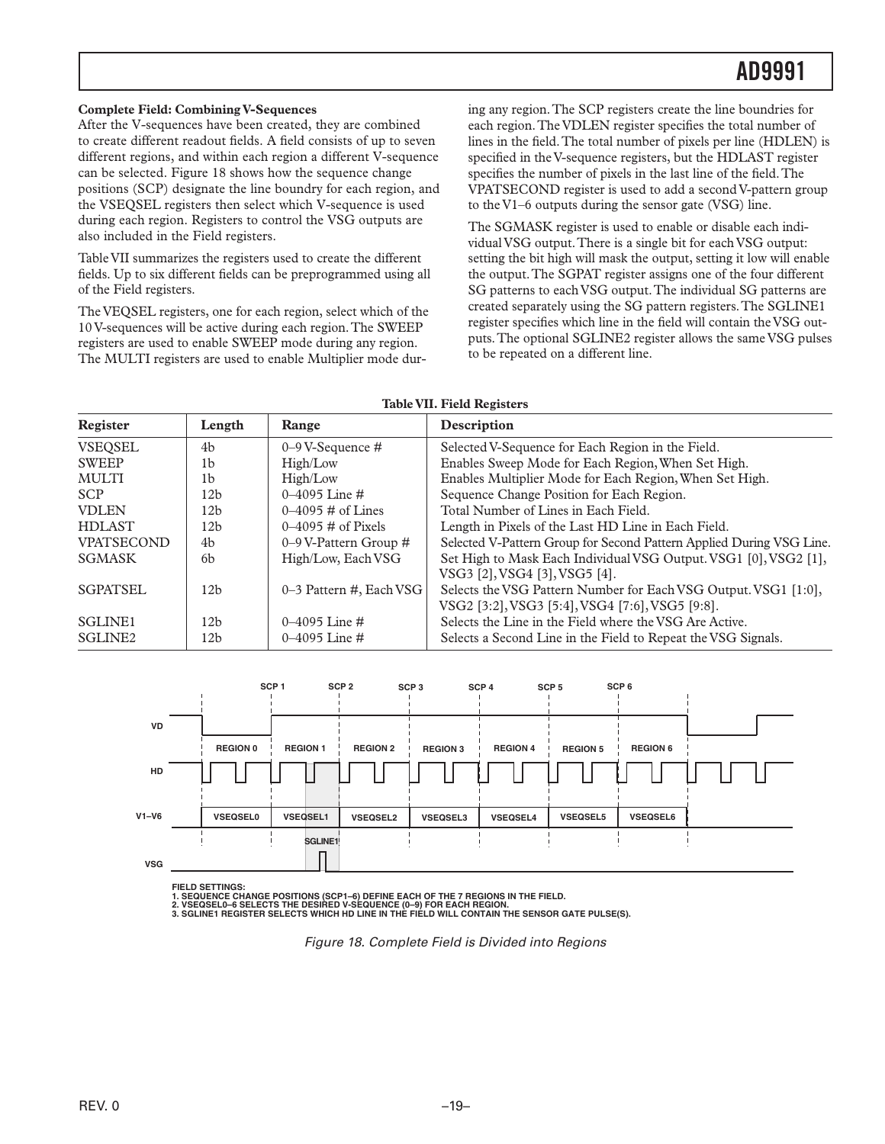#### <span id="page-18-0"></span>**Complete Field: Combining V-Sequences**

After the V-sequences have been created, they are combined to create different readout fields. A field consists of up to seven different regions, and within each region a different V-sequence can be selected. Figure 18 shows how the sequence change positions (SCP) designate the line boundry for each region, and the VSEQSEL registers then select which V-sequence is used during each region. Registers to control the VSG outputs are also included in the Field registers.

Table VII summarizes the registers used to create the different fields. Up to six different fields can be preprogrammed using all of the Field registers.

The VEQSEL registers, one for each region, select which of the 10 V-sequences will be active during each region. The SWEEP registers are used to enable SWEEP mode during any region. The MULTI registers are used to enable Multiplier mode dur-

ing any region. The SCP registers create the line boundries for each region. The VDLEN register specifies the total number of lines in the field. The total number of pixels per line (HDLEN) is specified in the V-sequence registers, but the HDLAST register specifies the number of pixels in the last line of the field. The VPATSECOND register is used to add a second V-pattern group to the V1–6 outputs during the sensor gate (VSG) line.

The SGMASK register is used to enable or disable each individual VSG output. There is a single bit for each VSG output: setting the bit high will mask the output, setting it low will enable the output. The SGPAT register assigns one of the four different SG patterns to each VSG output. The individual SG patterns are created separately using the SG pattern registers. The SGLINE1 register specifies which line in the field will contain the VSG outputs. The optional SGLINE2 register allows the same VSG pulses to be repeated on a different line.

#### **Table VII. Field Registers**

| Register            | Length          | Range                        | Description                                                          |
|---------------------|-----------------|------------------------------|----------------------------------------------------------------------|
| VSEQSEL             | 4b              | $0-9$ V-Sequence #           | Selected V-Sequence for Each Region in the Field.                    |
| <b>SWEEP</b>        | 1b              | High/Low                     | Enables Sweep Mode for Each Region, When Set High.                   |
| <b>MULTI</b>        | 1b              | High/Low                     | Enables Multiplier Mode for Each Region, When Set High.              |
| <b>SCP</b>          | 12b             | $0-4095$ Line #              | Sequence Change Position for Each Region.                            |
| <b>VDLEN</b>        | 12h             | $0 - 4095 \#$ of Lines       | Total Number of Lines in Each Field.                                 |
| <b>HDLAST</b>       | 12 <sub>b</sub> | $0-4095 \text{ H}$ of Pixels | Length in Pixels of the Last HD Line in Each Field.                  |
| <b>VPATSECOND</b>   | 4b              | 0–9 V-Pattern Group $#$      | Selected V-Pattern Group for Second Pattern Applied During VSG Line. |
| <b>SGMASK</b>       | <sub>6</sub> b  | High/Low, Each VSG           | Set High to Mask Each Individual VSG Output. VSG1 [0], VSG2 [1],     |
|                     |                 |                              | VSG3 [2], VSG4 [3], VSG5 [4].                                        |
| <b>SGPATSEL</b>     | 12 <sub>b</sub> | 0–3 Pattern #, Each VSG      | Selects the VSG Pattern Number for Each VSG Output. VSG1 [1:0],      |
|                     |                 |                              | VSG2 [3:2], VSG3 [5:4], VSG4 [7:6], VSG5 [9:8].                      |
| SGLINE <sub>1</sub> | 12b             | $0-4095$ Line #              | Selects the Line in the Field where the VSG Are Active.              |
| SGLINE <sub>2</sub> | 12b             | 0–4095 Line #                | Selects a Second Line in the Field to Repeat the VSG Signals.        |



**FIELD SETTINGS:**

1. SEQUENCE CHANGE POSITIONS (SCP1–6) DEFINE EACH OF THE 7 REGIONS IN THE FIELD.<br>2. VSEQSELO–6 SELECTS THE DESIRED V-SEQUENCE (0–9) FOR EACH REGION.<br>3. SGLINE1 REGISTER SELECTS WHICH HD LINE IN THE FIELD WILL CONTAIN THE S

*Figure 18. Complete Field is Divided into Regions*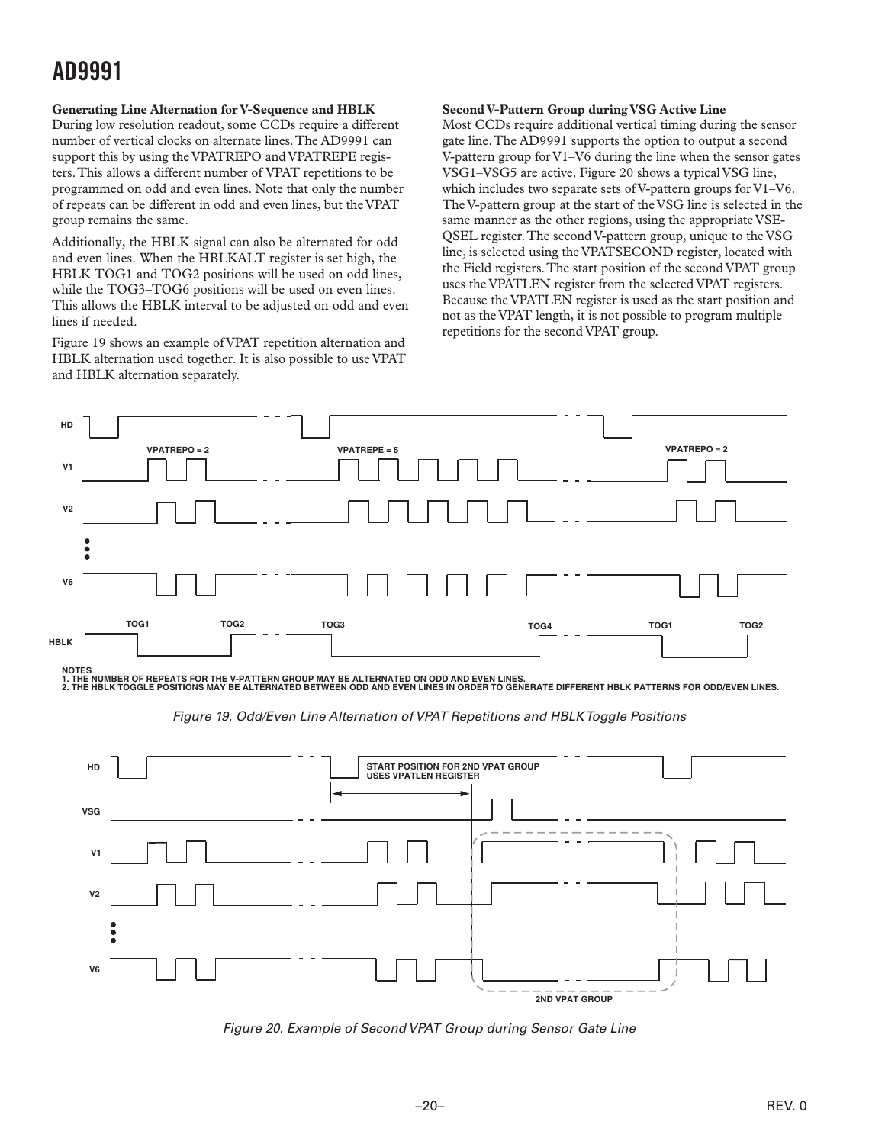#### <span id="page-19-0"></span>**Generating Line Alternation for V-Sequence and HBLK**

During low resolution readout, some CCDs require a different number of vertical clocks on alternate lines. The AD9991 can support this by using the VPATREPO and VPATREPE registers. This allows a different number of VPAT repetitions to be programmed on odd and even lines. Note that only the number of repeats can be different in odd and even lines, but the VPAT group remains the same.

Additionally, the HBLK signal can also be alternated for odd and even lines. When the HBLKALT register is set high, the HBLK TOG1 and TOG2 positions will be used on odd lines, while the TOG3–TOG6 positions will be used on even lines. This allows the HBLK interval to be adjusted on odd and even lines if needed.

Figure 19 shows an example of VPAT repetition alternation and HBLK alternation used together. It is also possible to use VPAT and HBLK alternation separately.

#### **Second V-Pattern Group during VSG Active Line**

Most CCDs require additional vertical timing during the sensor gate line. The AD9991 supports the option to output a second V-pattern group for V1–V6 during the line when the sensor gates VSG1–VSG5 are active. Figure 20 shows a typical VSG line, which includes two separate sets of V-pattern groups for V1–V6. The V-pattern group at the start of the VSG line is selected in the same manner as the other regions, using the appropriate VSE-QSEL register. The second V-pattern group, unique to the VSG line, is selected using the VPATSECOND register, located with the Field registers. The start position of the second VPAT group uses the VPATLEN register from the selected VPAT registers. Because the VPATLEN register is used as the start position and not as the VPAT length, it is not possible to program multiple repetitions for the second VPAT group.



1. THE NUMBER OF REPEATS FOR THE V-PATTERN GROUP MAY BE ALTERNATED ON ODD AND EVEN LINES.<br>2. THE HBLK TOGGLE POSITIONS MAY BE ALTERNATED BETWEEN ODD AND EVEN LINES IN ORDER TO GENERATE DIFFERENT HBLK PATTERNS FOR ODD/EVEN

*Figure 19. Odd/Even Line Alternation of VPAT Repetitions and HBLK Toggle Positions*



*Figure 20. Example of Second VPAT Group during Sensor Gate Line*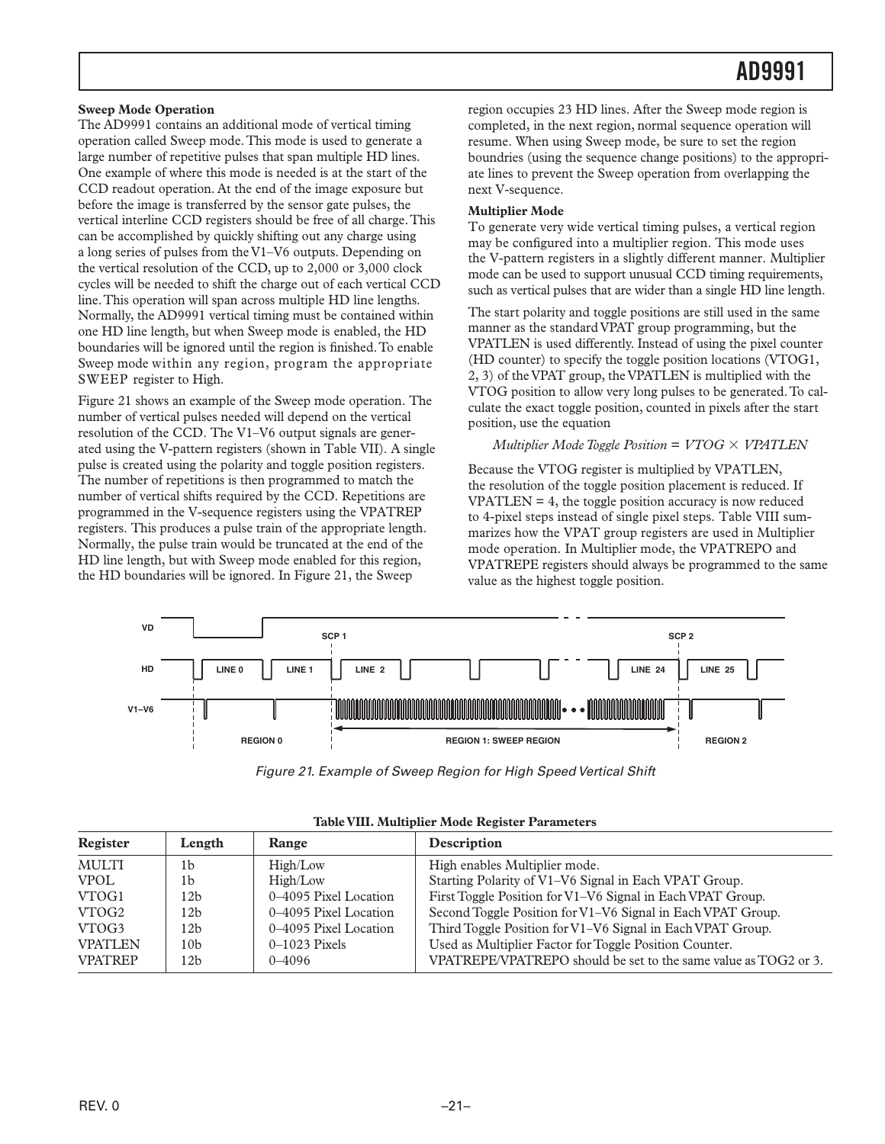#### <span id="page-20-0"></span>**Sweep Mode Operation**

The AD9991 contains an additional mode of vertical timing operation called Sweep mode. This mode is used to generate a large number of repetitive pulses that span multiple HD lines. One example of where this mode is needed is at the start of the CCD readout operation. At the end of the image exposure but before the image is transferred by the sensor gate pulses, the vertical interline CCD registers should be free of all charge. This can be accomplished by quickly shifting out any charge using a long series of pulses from the V1–V6 outputs. Depending on the vertical resolution of the CCD, up to 2,000 or 3,000 clock cycles will be needed to shift the charge out of each vertical CCD line. This operation will span across multiple HD line lengths. Normally, the AD9991 vertical timing must be contained within one HD line length, but when Sweep mode is enabled, the HD boundaries will be ignored until the region is finished. To enable Sweep mode within any region, program the appropriate SWEEP register to High.

Figure 21 shows an example of the Sweep mode operation. The number of vertical pulses needed will depend on the vertical resolution of the CCD. The V1–V6 output signals are generated using the V-pattern registers (shown in Table VII). A single pulse is created using the polarity and toggle position registers. The number of repetitions is then programmed to match the number of vertical shifts required by the CCD. Repetitions are programmed in the V-sequence registers using the VPATREP registers. This produces a pulse train of the appropriate length. Normally, the pulse train would be truncated at the end of the HD line length, but with Sweep mode enabled for this region, the HD boundaries will be ignored. In Figure 21, the Sweep

region occupies 23 HD lines. After the Sweep mode region is completed, in the next region, normal sequence operation will resume. When using Sweep mode, be sure to set the region boundries (using the sequence change positions) to the appropriate lines to prevent the Sweep operation from overlapping the next V-sequence.

#### **Multiplier Mode**

To generate very wide vertical timing pulses, a vertical region may be configured into a multiplier region. This mode uses the V-pattern registers in a slightly different manner. Multiplier mode can be used to support unusual CCD timing requirements, such as vertical pulses that are wider than a single HD line length.

The start polarity and toggle positions are still used in the same manner as the standard VPAT group programming, but the VPATLEN is used differently. Instead of using the pixel counter (HD counter) to specify the toggle position locations (VTOG1, 2, 3) of the VPAT group, the VPATLEN is multiplied with the VTOG position to allow very long pulses to be generated. To calculate the exact toggle position, counted in pixels after the start position, use the equation

#### *Multiplier Mode Toggle Position* = *VTOG VPATLEN*

Because the VTOG register is multiplied by VPATLEN, the resolution of the toggle position placement is reduced. If  $VPATHEN = 4$ , the toggle position accuracy is now reduced to 4-pixel steps instead of single pixel steps. Table VIII summarizes how the VPAT group registers are used in Multiplier mode operation. In Multiplier mode, the VPATREPO and VPATREPE registers should always be programmed to the same value as the highest toggle position.



*Figure 21. Example of Sweep Region for High Speed Vertical Shift*

| Register       | Length          | Range                 | Description                                                     |
|----------------|-----------------|-----------------------|-----------------------------------------------------------------|
| <b>MULTI</b>   | 1b              | High/Low              | High enables Multiplier mode.                                   |
| <b>VPOL</b>    | 1b              | High/Low              | Starting Polarity of V1-V6 Signal in Each VPAT Group.           |
| VTOG1          | 12b             | 0–4095 Pixel Location | First Toggle Position for V1-V6 Signal in Each VPAT Group.      |
| VTOG2          | 12b             | 0–4095 Pixel Location | Second Toggle Position for V1-V6 Signal in Each VPAT Group.     |
| VTOG3          | 12b             | 0–4095 Pixel Location | Third Toggle Position for V1-V6 Signal in Each VPAT Group.      |
| <b>VPATLEN</b> | 10 <sub>b</sub> | $0-1023$ Pixels       | Used as Multiplier Factor for Toggle Position Counter.          |
| <b>VPATREP</b> | 12b             | $0 - 4096$            | VPATREPE/VPATREPO should be set to the same value as TOG2 or 3. |

|  |  |  |  | Table VIII. Multiplier Mode Register Parameters |
|--|--|--|--|-------------------------------------------------|
|--|--|--|--|-------------------------------------------------|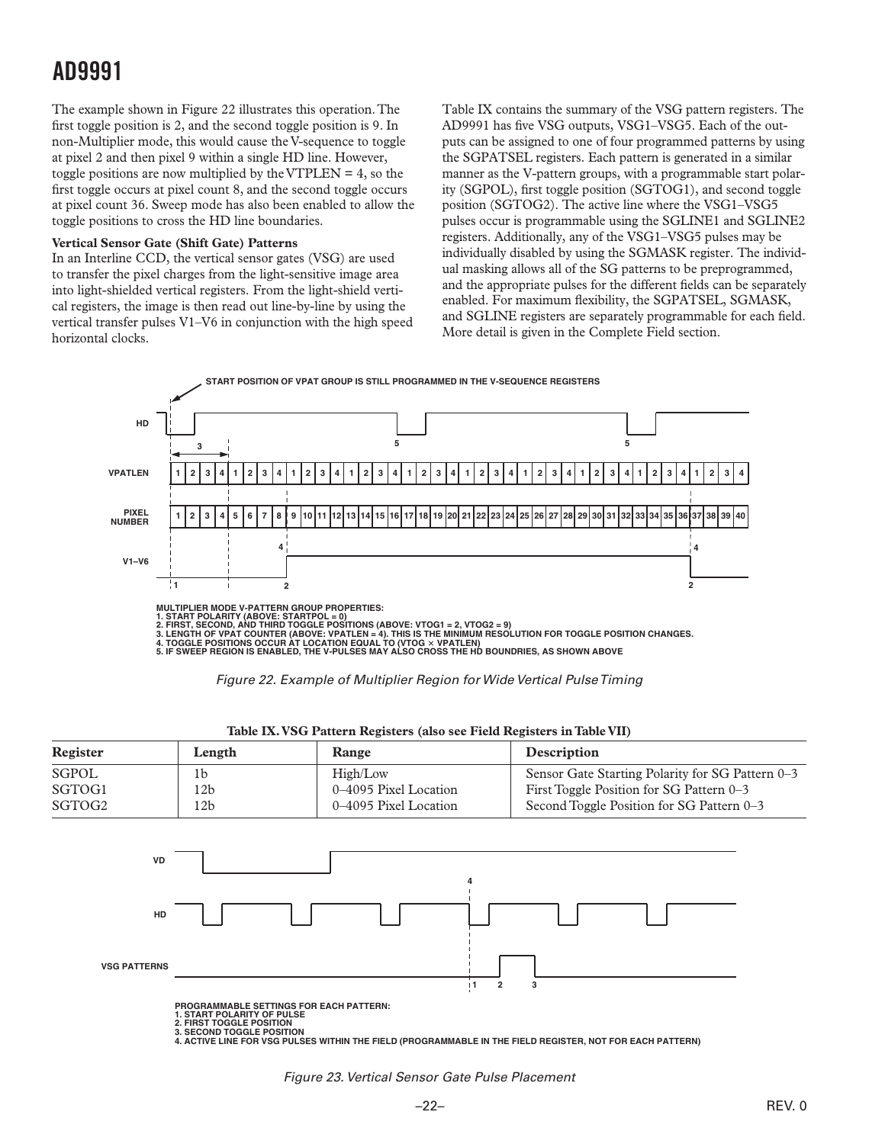<span id="page-21-0"></span>The example shown in Figure 22 illustrates this operation. The first toggle position is 2, and the second toggle position is 9. In non-Multiplier mode, this would cause the V-sequence to toggle at pixel 2 and then pixel 9 within a single HD line. However, toggle positions are now multiplied by the VTPLEN = 4, so the first toggle occurs at pixel count 8, and the second toggle occurs at pixel count 36. Sweep mode has also been enabled to allow the toggle positions to cross the HD line boundaries.

#### **Vertical Sensor Gate (Shift Gate) Patterns**

In an Interline CCD, the vertical sensor gates (VSG) are used to transfer the pixel charges from the light-sensitive image area into light-shielded vertical registers. From the light-shield vertical registers, the image is then read out line-by-line by using the vertical transfer pulses V1–V6 in conjunction with the high speed horizontal clocks.

Table IX contains the summary of the VSG pattern registers. The AD9991 has five VSG outputs, VSG1–VSG5. Each of the outputs can be assigned to one of four programmed patterns by using the SGPATSEL registers. Each pattern is generated in a similar manner as the V-pattern groups, with a programmable start polarity (SGPOL), first toggle position (SGTOG1), and second toggle position (SGTOG2). The active line where the VSG1–VSG5 pulses occur is programmable using the SGLINE1 and SGLINE2 registers. Additionally, any of the VSG1–VSG5 pulses may be individually disabled by using the SGMASK register. The individual masking allows all of the SG patterns to be preprogrammed, and the appropriate pulses for the different fields can be separately enabled. For maximum flexibility, the SGPATSEL, SGMASK, and SGLINE registers are separately programmable for each field. More detail is given in the Complete Field section.





| Register           | Length | Range                 | <b>Description</b>                               |
|--------------------|--------|-----------------------|--------------------------------------------------|
| SGPOL              | 1b     | High/Low              | Sensor Gate Starting Polarity for SG Pattern 0-3 |
| SGTOG1             | 12b    | 0–4095 Pixel Location | First Toggle Position for SG Pattern 0–3         |
| SGTOG <sub>2</sub> | 12b    | 0–4095 Pixel Location | Second Toggle Position for SG Pattern 0–3        |

#### **Table IX. VSG Pattern Registers (also see Field Registers in Table VII)**



1. START POLARITY OF PULSE<br>2. FIRST TOGGLE POSITION<br>3. SECOND TOGGLE POSITION<br>4. ACTIVE LINE FOR VSG PULSES WITHIN THE FIELD (PROGRAMMABLE IN THE FIELD REGISTER, NOT FOR EACH PATTERN)

*Figure 23. Vertical Sensor Gate Pulse Placement*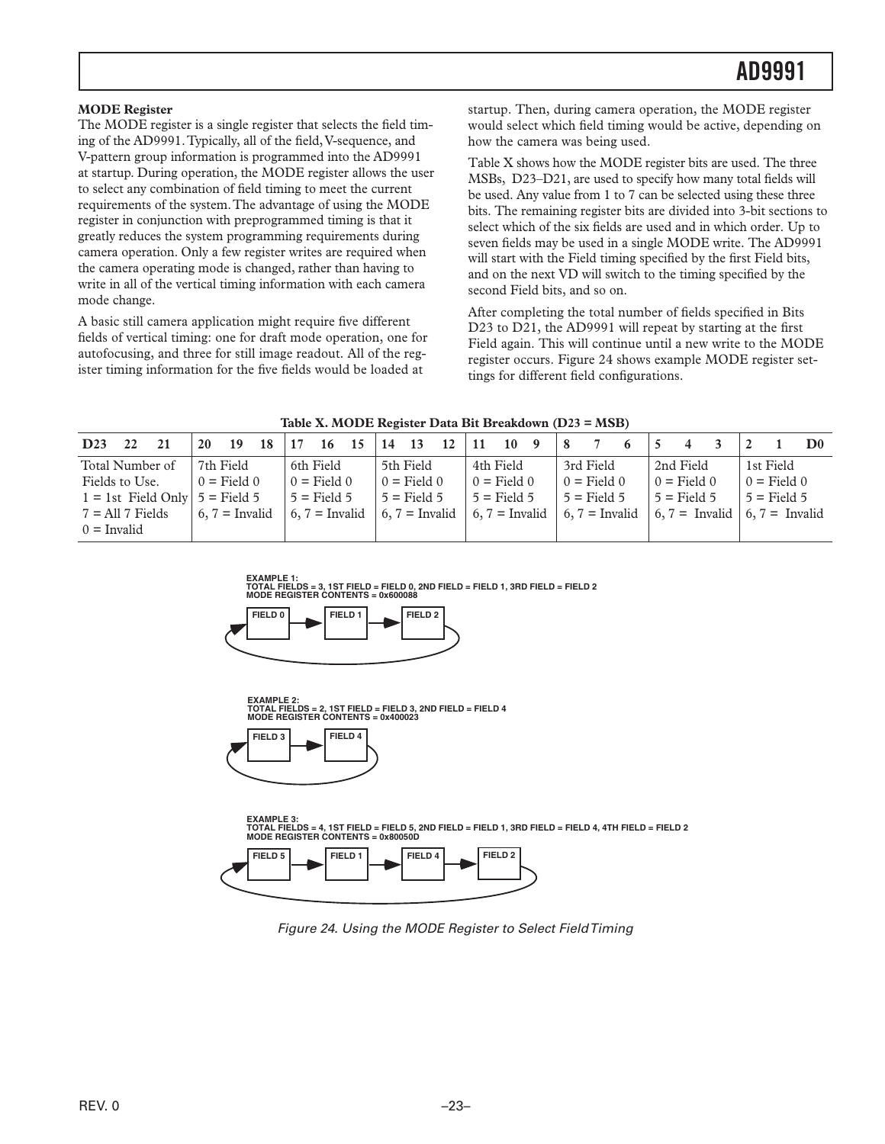<span id="page-22-0"></span>The MODE register is a single register that selects the field timing of the AD9991. Typically, all of the field, V-sequence, and V-pattern group information is programmed into the AD9991 at startup. During operation, the MODE register allows the user to select any combination of field timing to meet the current requirements of the system. The advantage of using the MODE register in conjunction with preprogrammed timing is that it greatly reduces the system programming requirements during camera operation. Only a few register writes are required when the camera operating mode is changed, rather than having to write in all of the vertical timing information with each camera mode change.

A basic still camera application might require five different fields of vertical timing: one for draft mode operation, one for autofocusing, and three for still image readout. All of the register timing information for the five fields would be loaded at

startup. Then, during camera operation, the MODE register would select which field timing would be active, depending on how the camera was being used.

Table X shows how the MODE register bits are used. The three MSBs, D23–D21, are used to specify how many total fields will be used. Any value from 1 to 7 can be selected using these three bits. The remaining register bits are divided into 3-bit sections to select which of the six fields are used and in which order. Up to seven fields may be used in a single MODE write. The AD9991 will start with the Field timing specified by the first Field bits, and on the next VD will switch to the timing specified by the second Field bits, and so on.

After completing the total number of fields specified in Bits D23 to D21, the AD9991 will repeat by starting at the first Field again. This will continue until a new write to the MODE register occurs. Figure 24 shows example MODE register settings for different field configurations.

| Table X. MODE Register Data Bit Breakdown (D23 = MSB) |  |  |  |  |  |
|-------------------------------------------------------|--|--|--|--|--|
|-------------------------------------------------------|--|--|--|--|--|

| D <sub>23</sub><br>21<br>22         | 20 | - 19                          | 18 | 17 | 16            | 15 | 14 13 |               | $12 \mid 11$ |                 | $10 \quad 9$ | 8 |               |                                                                                                                                     |               |  |               | D <sub>0</sub> |
|-------------------------------------|----|-------------------------------|----|----|---------------|----|-------|---------------|--------------|-----------------|--------------|---|---------------|-------------------------------------------------------------------------------------------------------------------------------------|---------------|--|---------------|----------------|
| Total Number of                     |    | 7th Field                     |    |    | 6th Field     |    |       | 5th Field     |              | 4th Field       |              |   | 3rd Field     |                                                                                                                                     | 2nd Field     |  | 1st Field     |                |
| Fields to Use.                      |    | $0 = Field 0$                 |    |    | $0 = Field 0$ |    |       | $0 =$ Field 0 |              | $0 =$ Field $0$ |              |   | $0 = Field 0$ |                                                                                                                                     | $0 = Field 0$ |  | $0 = Field 0$ |                |
| $1 = 1$ st Field Only $5 =$ Field 5 |    |                               |    |    | $5 =$ Field 5 |    |       | $5 =$ Field 5 |              | $5 =$ Field 5   |              |   | $5$ = Field 5 |                                                                                                                                     | $5 =$ Field 5 |  | $5 =$ Field 5 |                |
| $7 = All 7$ Fields                  |    | $\vert 6, 7 = \text{Invalid}$ |    |    |               |    |       |               |              |                 |              |   |               | $\mid 6, 7 =$ Invalid $\mid 6, 7 =$ Invalid $\mid 6, 7 =$ Invalid $\mid 6, 7 =$ Invalid $\mid 6, 7 =$ Invalid $\mid 6, 7 =$ Invalid |               |  |               |                |
| $0 = \text{Invalid}$                |    |                               |    |    |               |    |       |               |              |                 |              |   |               |                                                                                                                                     |               |  |               |                |









**FIELD 5 FIELD 1 FIELD 4 FIELD 2 EXAMPLE 3: TOTAL FIELDS = 4, 1ST FIELD = FIELD 5, 2ND FIELD = FIELD 1, 3RD FIELD = FIELD 4, 4TH FIELD = FIELD 2 MODE REGISTER CONTENTS = 0x80050D** 



*Figure 24. Using the MODE Register to Select Field Timing*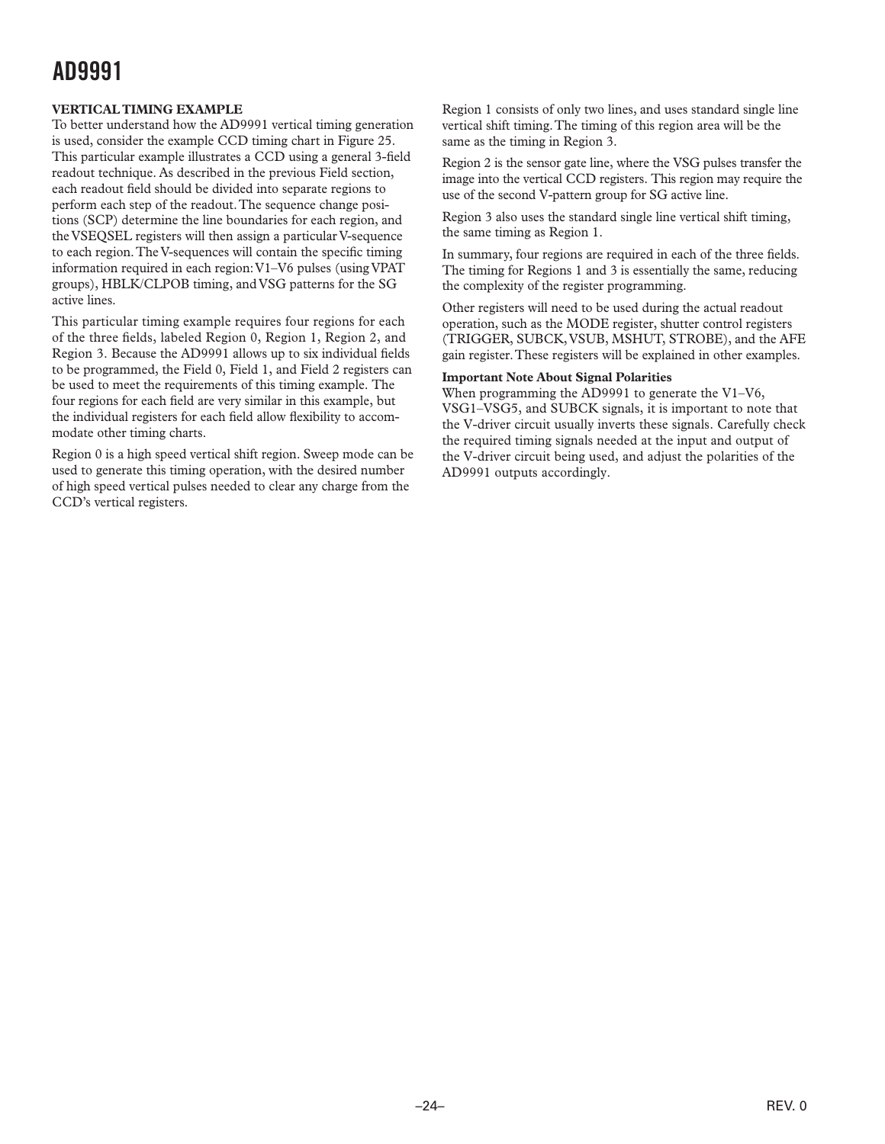#### <span id="page-23-0"></span>**VERTICAL TIMING EXAMPLE**

To better understand how the AD9991 vertical timing generation is used, consider the example CCD timing chart in Figure 25. This particular example illustrates a CCD using a general 3-field readout technique. As described in the previous Field section, each readout field should be divided into separate regions to perform each step of the readout. The sequence change positions (SCP) determine the line boundaries for each region, and the VSEQSEL registers will then assign a particular V-sequence to each region. The V-sequences will contain the specific timing information required in each region: V1–V6 pulses (using VPAT groups), HBLK/CLPOB timing, and VSG patterns for the SG active lines.

This particular timing example requires four regions for each of the three fields, labeled Region 0, Region 1, Region 2, and Region 3. Because the AD9991 allows up to six individual fields to be programmed, the Field 0, Field 1, and Field 2 registers can be used to meet the requirements of this timing example. The four regions for each field are very similar in this example, but the individual registers for each field allow flexibility to accommodate other timing charts.

Region 0 is a high speed vertical shift region. Sweep mode can be used to generate this timing operation, with the desired number of high speed vertical pulses needed to clear any charge from the CCD's vertical registers.

Region 1 consists of only two lines, and uses standard single line vertical shift timing. The timing of this region area will be the same as the timing in Region 3.

Region 2 is the sensor gate line, where the VSG pulses transfer the image into the vertical CCD registers. This region may require the use of the second V-pattern group for SG active line.

Region 3 also uses the standard single line vertical shift timing, the same timing as Region 1.

In summary, four regions are required in each of the three fields. The timing for Regions 1 and 3 is essentially the same, reducing the complexity of the register programming.

Other registers will need to be used during the actual readout operation, such as the MODE register, shutter control registers (TRIGGER, SUBCK, VSUB, MSHUT, STROBE), and the AFE gain register. These registers will be explained in other examples.

#### **Important Note About Signal Polarities**

When programming the AD9991 to generate the V1–V6, VSG1–VSG5, and SUBCK signals, it is important to note that the V-driver circuit usually inverts these signals. Carefully check the required timing signals needed at the input and output of the V-driver circuit being used, and adjust the polarities of the AD9991 outputs accordingly.

–24–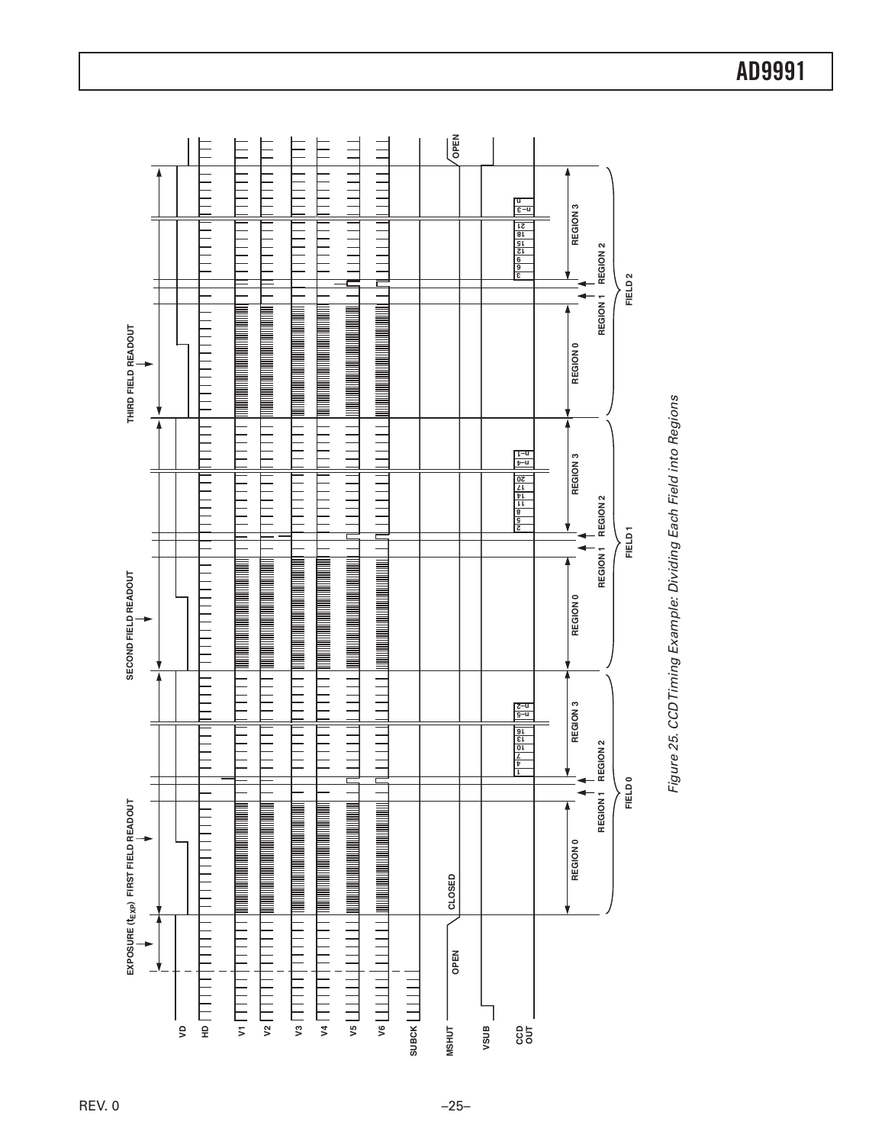

Figure 25. CCD Timing Example: Dividing Each Field into Regions *Figure 25. CCD Timing Example: Dividing Each Field into Regions*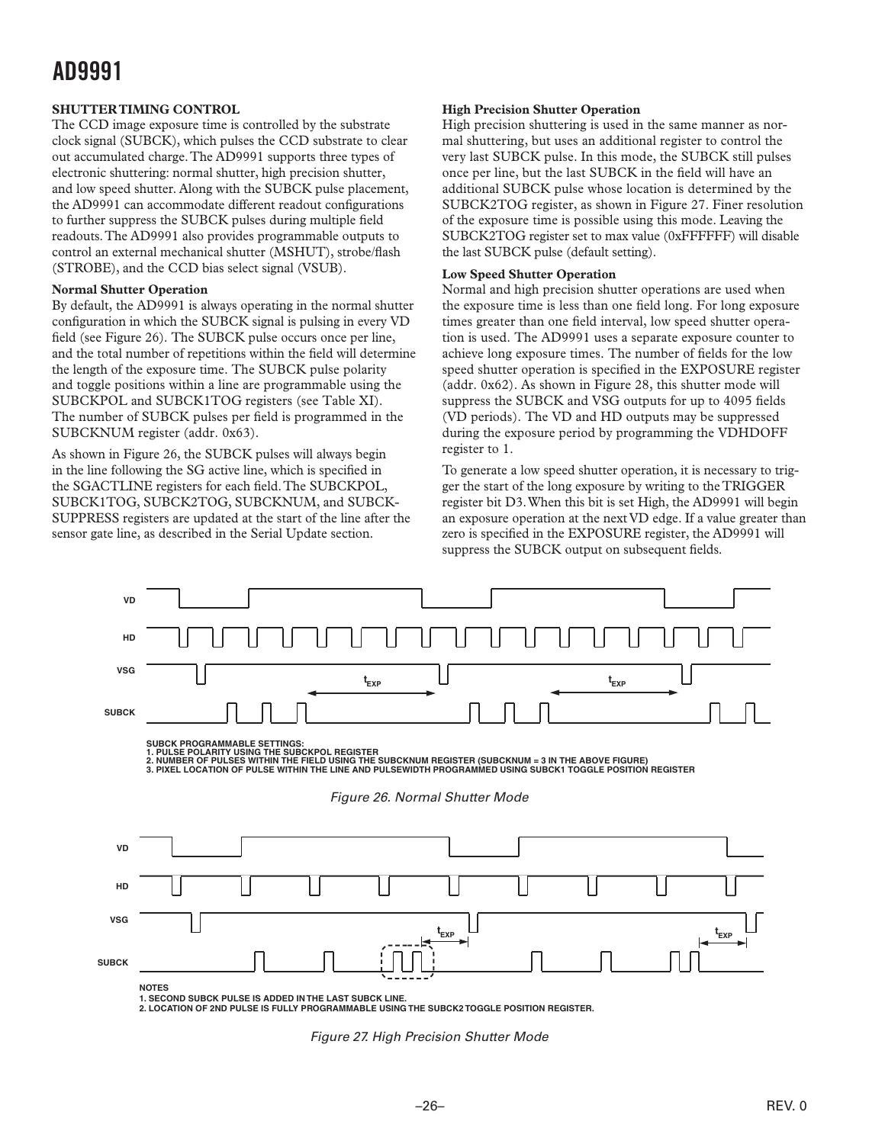#### <span id="page-25-0"></span>**SHUTTER TIMING CONTROL**

The CCD image exposure time is controlled by the substrate clock signal (SUBCK), which pulses the CCD substrate to clear out accumulated charge. The AD9991 supports three types of electronic shuttering: normal shutter, high precision shutter, and low speed shutter. Along with the SUBCK pulse placement, the AD9991 can accommodate different readout configurations to further suppress the SUBCK pulses during multiple field readouts. The AD9991 also provides programmable outputs to control an external mechanical shutter (MSHUT), strobe/flash (STROBE), and the CCD bias select signal (VSUB).

#### **Normal Shutter Operation**

By default, the AD9991 is always operating in the normal shutter configuration in which the SUBCK signal is pulsing in every VD field (see Figure 26). The SUBCK pulse occurs once per line, and the total number of repetitions within the field will determine the length of the exposure time. The SUBCK pulse polarity and toggle positions within a line are programmable using the SUBCKPOL and SUBCK1TOG registers (see Table XI). The number of SUBCK pulses per field is programmed in the SUBCKNUM register (addr. 0x63).

As shown in Figure 26, the SUBCK pulses will always begin in the line following the SG active line, which is specified in the SGACTLINE registers for each field. The SUBCKPOL, SUBCK1TOG, SUBCK2TOG, SUBCKNUM, and SUBCK-SUPPRESS registers are updated at the start of the line after the sensor gate line, as described in the Serial Update section.

#### **High Precision Shutter Operation**

High precision shuttering is used in the same manner as normal shuttering, but uses an additional register to control the very last SUBCK pulse. In this mode, the SUBCK still pulses once per line, but the last SUBCK in the field will have an additional SUBCK pulse whose location is determined by the SUBCK2TOG register, as shown in Figure 27. Finer resolution of the exposure time is possible using this mode. Leaving the SUBCK2TOG register set to max value (0xFFFFFF) will disable the last SUBCK pulse (default setting).

#### **Low Speed Shutter Operation**

Normal and high precision shutter operations are used when the exposure time is less than one field long. For long exposure times greater than one field interval, low speed shutter operation is used. The AD9991 uses a separate exposure counter to achieve long exposure times. The number of fields for the low speed shutter operation is specified in the EXPOSURE register (addr. 0x62). As shown in Figure 28, this shutter mode will suppress the SUBCK and VSG outputs for up to 4095 fields (VD periods). The VD and HD outputs may be suppressed during the exposure period by programming the VDHDOFF register to 1.

To generate a low speed shutter operation, it is necessary to trigger the start of the long exposure by writing to the TRIGGER register bit D3. When this bit is set High, the AD9991 will begin an exposure operation at the next VD edge. If a value greater than zero is specified in the EXPOSURE register, the AD9991 will suppress the SUBCK output on subsequent fields.



*Figure 27. High Precision Shutter Mode*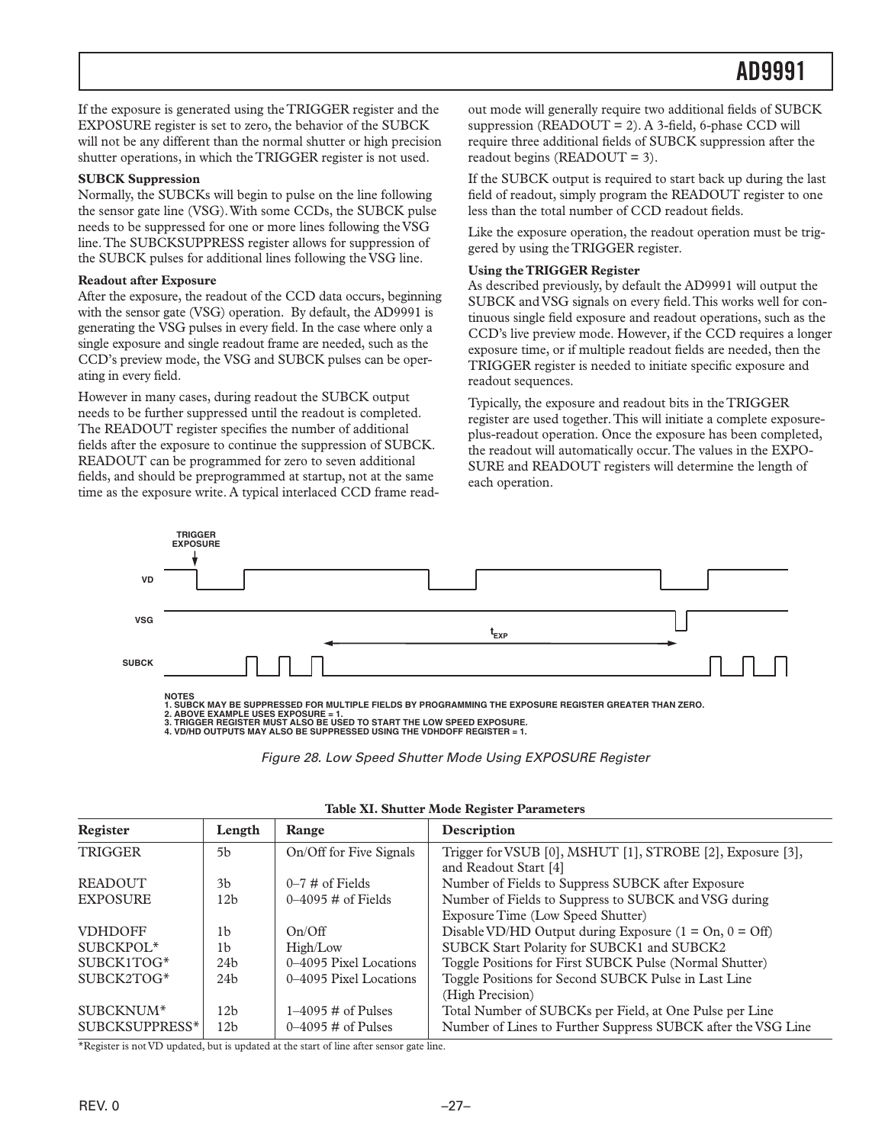<span id="page-26-0"></span>If the exposure is generated using the TRIGGER register and the EXPOSURE register is set to zero, the behavior of the SUBCK will not be any different than the normal shutter or high precision shutter operations, in which the TRIGGER register is not used.

#### **SUBCK Suppression**

Normally, the SUBCKs will begin to pulse on the line following the sensor gate line (VSG). With some CCDs, the SUBCK pulse needs to be suppressed for one or more lines following the VSG line. The SUBCKSUPPRESS register allows for suppression of the SUBCK pulses for additional lines following the VSG line.

#### **Readout after Exposure**

After the exposure, the readout of the CCD data occurs, beginning with the sensor gate (VSG) operation. By default, the AD9991 is generating the VSG pulses in every field. In the case where only a single exposure and single readout frame are needed, such as the CCD's preview mode, the VSG and SUBCK pulses can be operating in every field.

However in many cases, during readout the SUBCK output needs to be further suppressed until the readout is completed. The READOUT register specifies the number of additional fields after the exposure to continue the suppression of SUBCK. READOUT can be programmed for zero to seven additional fields, and should be preprogrammed at startup, not at the same time as the exposure write. A typical interlaced CCD frame readout mode will generally require two additional fields of SUBCK suppression ( $READOUT = 2$ ). A 3-field, 6-phase CCD will require three additional fields of SUBCK suppression after the readout begins (READOUT = 3).

If the SUBCK output is required to start back up during the last field of readout, simply program the READOUT register to one less than the total number of CCD readout fields.

Like the exposure operation, the readout operation must be triggered by using the TRIGGER register.

#### **Using the TRIGGER Register**

As described previously, by default the AD9991 will output the SUBCK and VSG signals on every field. This works well for continuous single field exposure and readout operations, such as the CCD's live preview mode. However, if the CCD requires a longer exposure time, or if multiple readout fields are needed, then the TRIGGER register is needed to initiate specific exposure and readout sequences.

Typically, the exposure and readout bits in the TRIGGER register are used together. This will initiate a complete exposureplus-readout operation. Once the exposure has been completed, the readout will automatically occur. The values in the EXPO-SURE and READOUT registers will determine the length of each operation.



NOTES<br>1. SUBCK MAY BE SUPPRESSED FOR MULTIPLE FIELDS BY PROGRAMMING THE EXPOSURE REGISTER GREATER THAN ZERO.<br>2. ABOVE EXAMPLE USES EXPOSURE = 1.<br>3. TRIGGER REGISTER MUST ALSO BE USED TO START THE LOW SPEED EXPOSURE.<br>4. VD/

*Figure 28. Low Speed Shutter Mode Using EXPOSURE Register*

| Register              | Length          | Range                        | Description                                                  |
|-----------------------|-----------------|------------------------------|--------------------------------------------------------------|
| <b>TRIGGER</b>        | 5 <sub>h</sub>  | On/Off for Five Signals      | Trigger for VSUB [0], MSHUT [1], STROBE [2], Exposure [3],   |
|                       |                 |                              | and Readout Start [4]                                        |
| <b>READOUT</b>        | 3 <sub>b</sub>  | $0-7 \#$ of Fields           | Number of Fields to Suppress SUBCK after Exposure            |
| <b>EXPOSURE</b>       | 12 <sub>b</sub> | $0-4095 \#$ of Fields        | Number of Fields to Suppress to SUBCK and VSG during         |
|                       |                 |                              | Exposure Time (Low Speed Shutter)                            |
| <b>VDHDOFF</b>        | 1b              | On/Off                       | Disable VD/HD Output during Exposure $(1 = On, 0 = Off)$     |
| SUBCKPOL <sup>*</sup> | 1 <sub>b</sub>  | High/Low                     | SUBCK Start Polarity for SUBCK1 and SUBCK2                   |
| SUBCK1TOG*            | 24h             | 0-4095 Pixel Locations       | Toggle Positions for First SUBCK Pulse (Normal Shutter)      |
| SUBCK2TOG*            | 24 <sub>b</sub> | 0–4095 Pixel Locations       | Toggle Positions for Second SUBCK Pulse in Last Line         |
|                       |                 |                              | (High Precision)                                             |
| SUBCKNUM*             | 12 <sub>b</sub> | $1-4095 \#$ of Pulses        | Total Number of SUBCKs per Field, at One Pulse per Line      |
| SUBCKSUPPRESS*        | 12 <sub>b</sub> | $0-4095 \text{ H}$ of Pulses | Number of Lines to Further Suppress SUBCK after the VSG Line |

#### **Table XI. Shutter Mode Register Parameters**

\*Register is not VD updated, but is updated at the start of line after sensor gate line.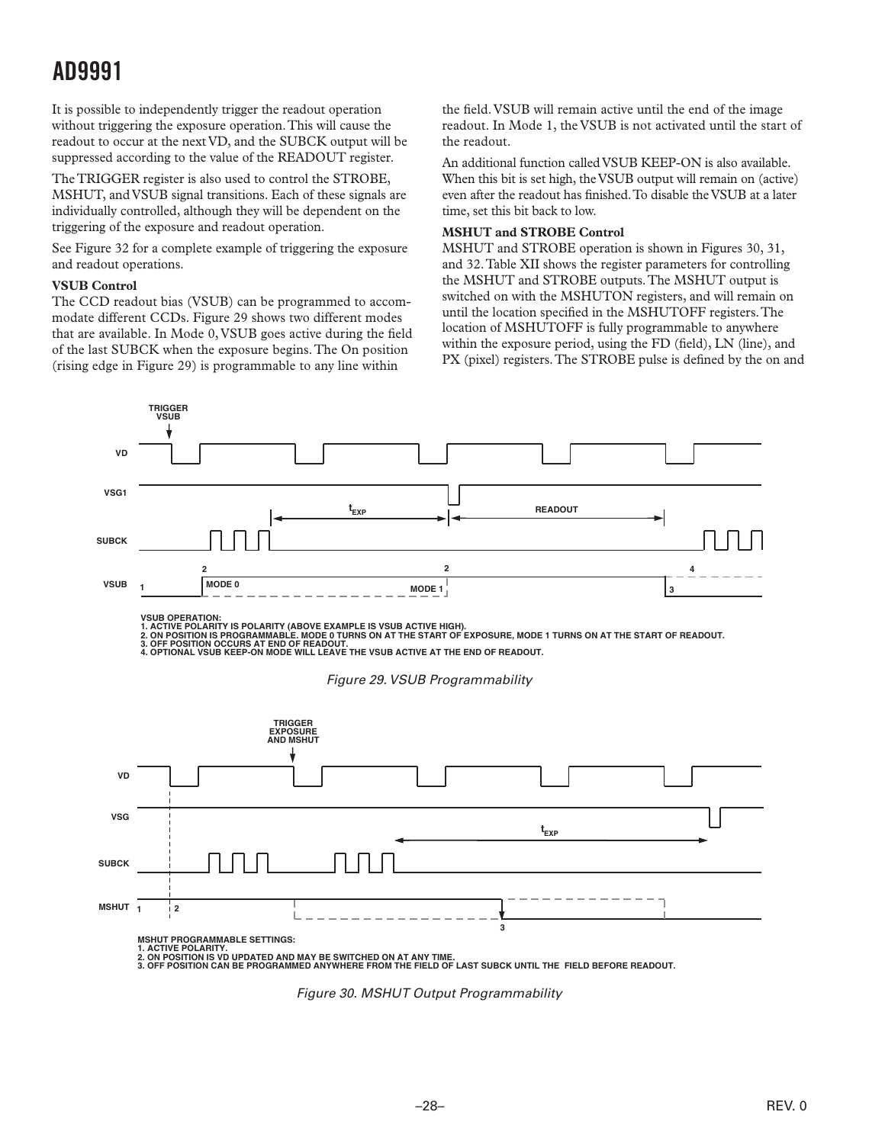<span id="page-27-0"></span>It is possible to independently trigger the readout operation without triggering the exposure operation. This will cause the readout to occur at the next VD, and the SUBCK output will be suppressed according to the value of the READOUT register.

The TRIGGER register is also used to control the STROBE, MSHUT, and VSUB signal transitions. Each of these signals are individually controlled, although they will be dependent on the triggering of the exposure and readout operation.

See Figure 32 for a complete example of triggering the exposure and readout operations.

#### **VSUB Control**

The CCD readout bias (VSUB) can be programmed to accommodate different CCDs. Figure 29 shows two different modes that are available. In Mode 0, VSUB goes active during the field of the last SUBCK when the exposure begins. The On position (rising edge in Figure 29) is programmable to any line within

the field. VSUB will remain active until the end of the image readout. In Mode 1, the VSUB is not activated until the start of the readout.

An additional function called VSUB KEEP-ON is also available. When this bit is set high, the VSUB output will remain on (active) even after the readout has finished. To disable the VSUB at a later time, set this bit back to low.

#### **MSHUT and STROBE Control**

MSHUT and STROBE operation is shown in Figures 30, 31, and 32. Table XII shows the register parameters for controlling the MSHUT and STROBE outputs. The MSHUT output is switched on with the MSHUTON registers, and will remain on until the location specified in the MSHUTOFF registers. The location of MSHUTOFF is fully programmable to anywhere within the exposure period, using the FD (field), LN (line), and PX (pixel) registers. The STROBE pulse is defined by the on and



*Figure 30. MSHUT Output Programmability*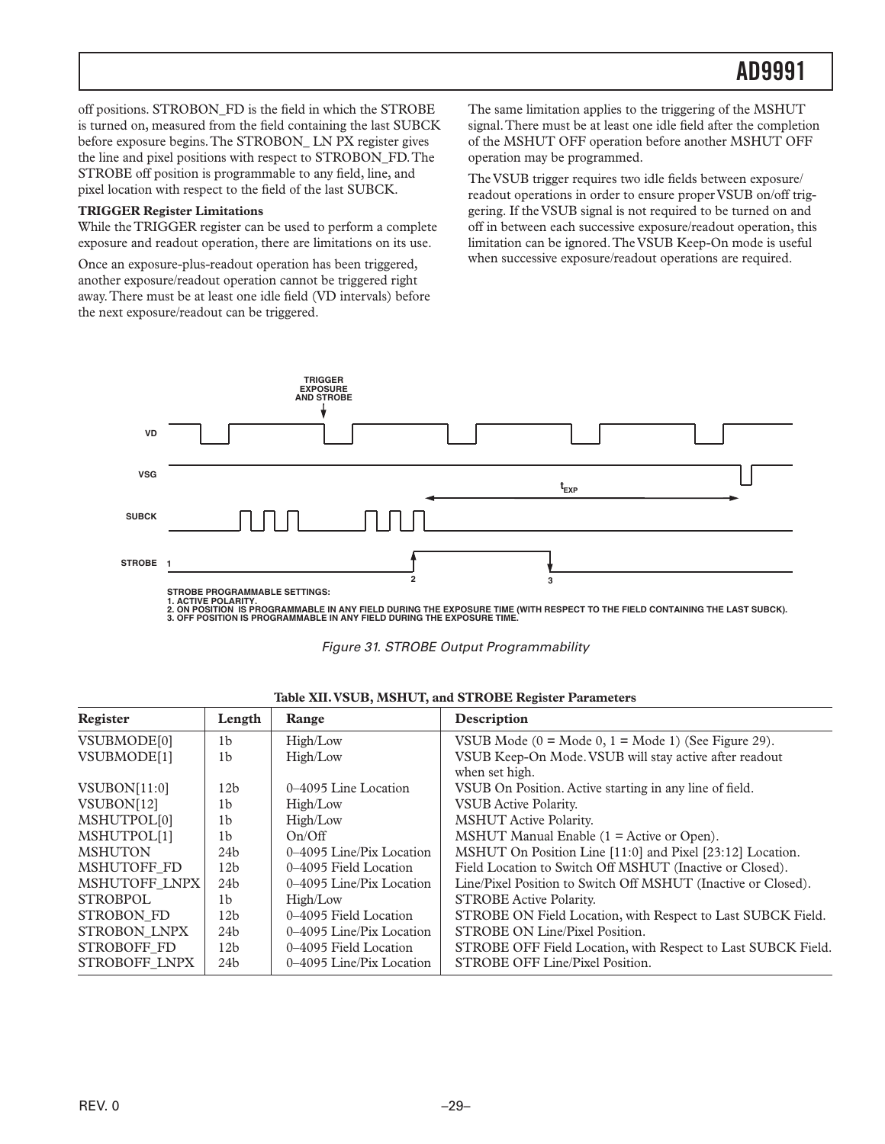<span id="page-28-0"></span>off positions. STROBON\_FD is the field in which the STROBE is turned on, measured from the field containing the last SUBCK before exposure begins. The STROBON\_ LN PX register gives the line and pixel positions with respect to STROBON\_FD. The STROBE off position is programmable to any field, line, and pixel location with respect to the field of the last SUBCK.

#### **TRIGGER Register Limitations**

While the TRIGGER register can be used to perform a complete exposure and readout operation, there are limitations on its use.

Once an exposure-plus-readout operation has been triggered, another exposure/readout operation cannot be triggered right away. There must be at least one idle field (VD intervals) before the next exposure/readout can be triggered.

The same limitation applies to the triggering of the MSHUT signal. There must be at least one idle field after the completion of the MSHUT OFF operation before another MSHUT OFF operation may be programmed.

The VSUB trigger requires two idle fields between exposure/ readout operations in order to ensure proper VSUB on/off triggering. If the VSUB signal is not required to be turned on and off in between each successive exposure/readout operation, this limitation can be ignored. The VSUB Keep-On mode is useful when successive exposure/readout operations are required.



1. ACTIVE POLARITY.<br>2. ON POSITION IS PROGRAMMABLE IN ANY FIELD DURING THE EXPOSURE TIME (WITH RESPECT TO THE FIELD CONTAINING THE LAST SUBCK).<br>3. OFF POSITION IS PROGRAMMABLE IN ANY FIELD DURING THE EXPOSURE TIME.

![](_page_28_Figure_9.jpeg)

| Register                | Length          | Range                    | Description                                                              |
|-------------------------|-----------------|--------------------------|--------------------------------------------------------------------------|
| VSUBMODE[0]             | 1b              | High/Low                 | VSUB Mode $(0 = \text{Mode } 0, 1 = \text{Mode } 1)$ (See Figure 29).    |
| VSUBMODE[1]             | 1 <sub>b</sub>  | High/Low                 | VSUB Keep-On Mode. VSUB will stay active after readout<br>when set high. |
| VSUBON[11:0]            | 12 <sub>b</sub> | 0-4095 Line Location     | VSUB On Position. Active starting in any line of field.                  |
| VSUBON[12]              | 1b              | High/Low                 | <b>VSUB</b> Active Polarity.                                             |
| MSHUTPOL <sup>[0]</sup> | 1 <sub>b</sub>  | High/Low                 | <b>MSHUT</b> Active Polarity.                                            |
| MSHUTPOL[1]             | 1b              | On/Off                   | MSHUT Manual Enable $(1 =$ Active or Open).                              |
| <b>MSHUTON</b>          | 24 <sub>b</sub> | 0-4095 Line/Pix Location | MSHUT On Position Line [11:0] and Pixel [23:12] Location.                |
| MSHUTOFF FD             | 12 <sub>b</sub> | 0–4095 Field Location    | Field Location to Switch Off MSHUT (Inactive or Closed).                 |
| MSHUTOFF LNPX           | 24 <sub>b</sub> | 0-4095 Line/Pix Location | Line/Pixel Position to Switch Off MSHUT (Inactive or Closed).            |
| <b>STROBPOL</b>         | 1 <sub>b</sub>  | High/Low                 | <b>STROBE Active Polarity.</b>                                           |
| <b>STROBON FD</b>       | 12 <sub>b</sub> | 0–4095 Field Location    | STROBE ON Field Location, with Respect to Last SUBCK Field.              |
| STROBON LNPX            | 24 <sub>b</sub> | 0–4095 Line/Pix Location | STROBE ON Line/Pixel Position.                                           |
| <b>STROBOFF FD</b>      | 12 <sub>b</sub> | 0–4095 Field Location    | STROBE OFF Field Location, with Respect to Last SUBCK Field.             |
| STROBOFF LNPX           | 24 <sub>b</sub> | 0–4095 Line/Pix Location | STROBE OFF Line/Pixel Position.                                          |

|  |  |  | Table XII. VSUB, MSHUT, and STROBE Register Parameters |
|--|--|--|--------------------------------------------------------|
|  |  |  |                                                        |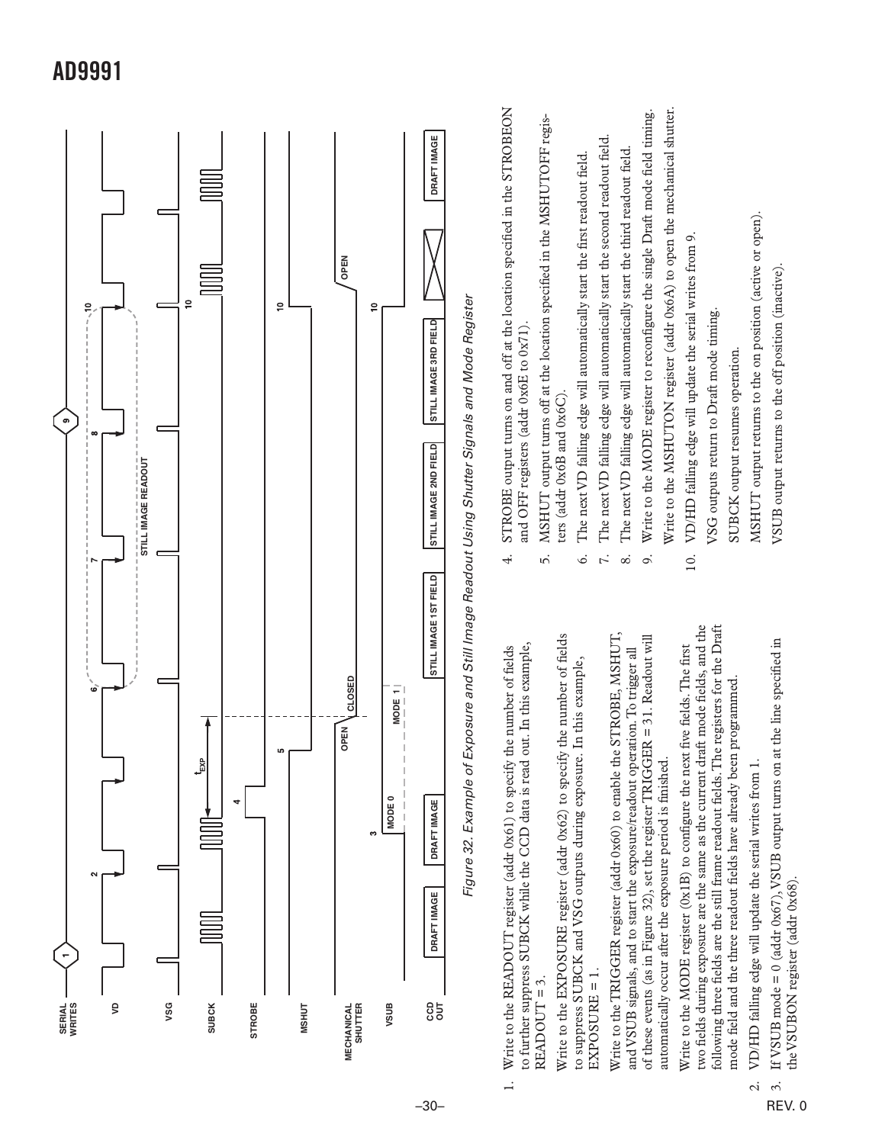<span id="page-29-0"></span>![](_page_29_Figure_0.jpeg)

REV. 0

 $\ddot{\mathrm{c}}$ 

the VSUBON register (addr 0x68).

the VSUBON register (addr 0x68).

3. If VSUB mode = 0 (addr 0x67), VSUB output turns on at the line specified in

If VSUB mode =  $0$  (addr 0x67), VSUB output turns on at the line specified in

VSUB output returns to the off position (inactive).

VSUB output returns to the off position (inactive).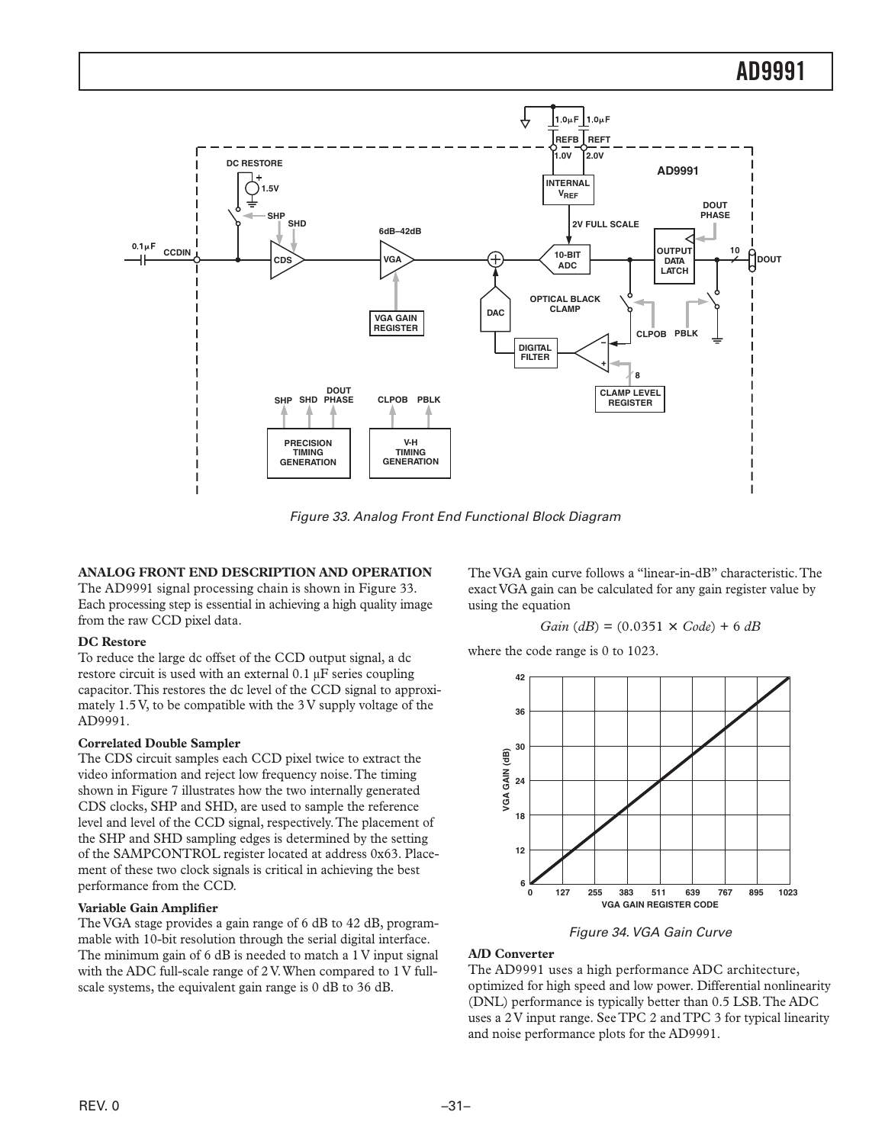<span id="page-30-0"></span>![](_page_30_Figure_1.jpeg)

*Figure 33. Analog Front End Functional Block Diagram*

#### **ANALOG FRONT END DESCRIPTION AND OPERATION**

The AD9991 signal processing chain is shown in Figure 33. Each processing step is essential in achieving a high quality image from the raw CCD pixel data.

#### **DC Restore**

To reduce the large dc offset of the CCD output signal, a dc restore circuit is used with an external 0.1 µF series coupling capacitor. This restores the dc level of the CCD signal to approximately 1.5 V, to be compatible with the 3 V supply voltage of the AD9991.

#### **Correlated Double Sampler**

The CDS circuit samples each CCD pixel twice to extract the video information and reject low frequency noise. The timing shown in Figure 7 illustrates how the two internally generated CDS clocks, SHP and SHD, are used to sample the reference level and level of the CCD signal, respectively. The placement of the SHP and SHD sampling edges is determined by the setting of the SAMPCONTROL register located at address 0x63. Placement of these two clock signals is critical in achieving the best performance from the CCD.

#### **Variable Gain Amplifier**

The VGA stage provides a gain range of 6 dB to 42 dB, programmable with 10-bit resolution through the serial digital interface. The minimum gain of 6 dB is needed to match a 1 V input signal with the ADC full-scale range of 2 V. When compared to 1 V fullscale systems, the equivalent gain range is 0 dB to 36 dB.

The VGA gain curve follows a "linear-in-dB" characteristic. The exact VGA gain can be calculated for any gain register value by using the equation

$$
Gain (dB) = (0.0351 \times Code) + 6 dB
$$

where the code range is 0 to 1023.

![](_page_30_Figure_14.jpeg)

*Figure 34. VGA Gain Curve*

#### **A/D Converter**

The AD9991 uses a high performance ADC architecture, optimized for high speed and low power. Differential nonlinearity (DNL) performance is typically better than 0.5 LSB. The ADC uses a 2 V input range. See TPC 2 and TPC 3 for typical linearity and noise performance plots for the AD9991.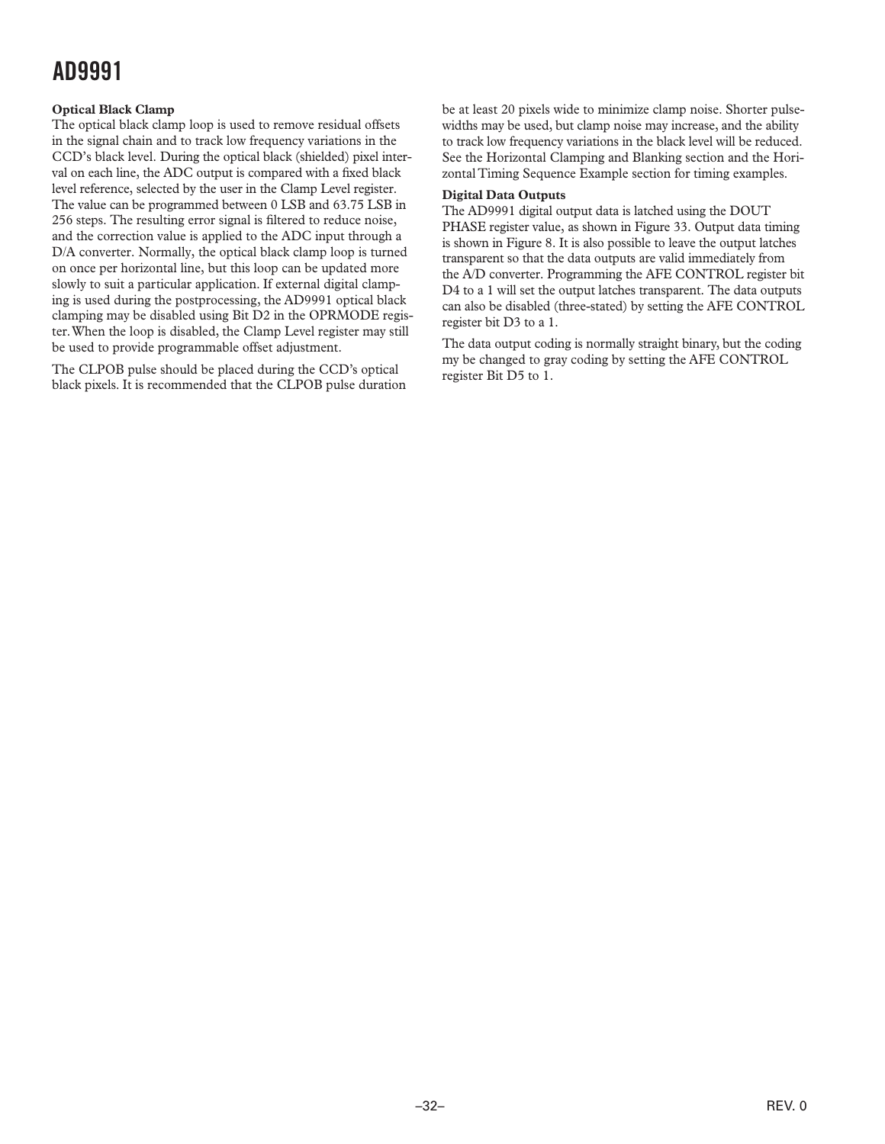#### <span id="page-31-0"></span>**Optical Black Clamp**

The optical black clamp loop is used to remove residual offsets in the signal chain and to track low frequency variations in the CCD's black level. During the optical black (shielded) pixel interval on each line, the ADC output is compared with a fixed black level reference, selected by the user in the Clamp Level register. The value can be programmed between 0 LSB and 63.75 LSB in 256 steps. The resulting error signal is filtered to reduce noise, and the correction value is applied to the ADC input through a D/A converter. Normally, the optical black clamp loop is turned on once per horizontal line, but this loop can be updated more slowly to suit a particular application. If external digital clamping is used during the postprocessing, the AD9991 optical black clamping may be disabled using Bit D2 in the OPRMODE register. When the loop is disabled, the Clamp Level register may still be used to provide programmable offset adjustment.

The CLPOB pulse should be placed during the CCD's optical black pixels. It is recommended that the CLPOB pulse duration be at least 20 pixels wide to minimize clamp noise. Shorter pulsewidths may be used, but clamp noise may increase, and the ability to track low frequency variations in the black level will be reduced. See the Horizontal Clamping and Blanking section and the Horizontal Timing Sequence Example section for timing examples.

#### **Digital Data Outputs**

The AD9991 digital output data is latched using the DOUT PHASE register value, as shown in Figure 33. Output data timing is shown in Figure 8. It is also possible to leave the output latches transparent so that the data outputs are valid immediately from the A/D converter. Programming the AFE CONTROL register bit D4 to a 1 will set the output latches transparent. The data outputs can also be disabled (three-stated) by setting the AFE CONTROL register bit D3 to a 1.

The data output coding is normally straight binary, but the coding my be changed to gray coding by setting the AFE CONTROL register Bit D5 to 1.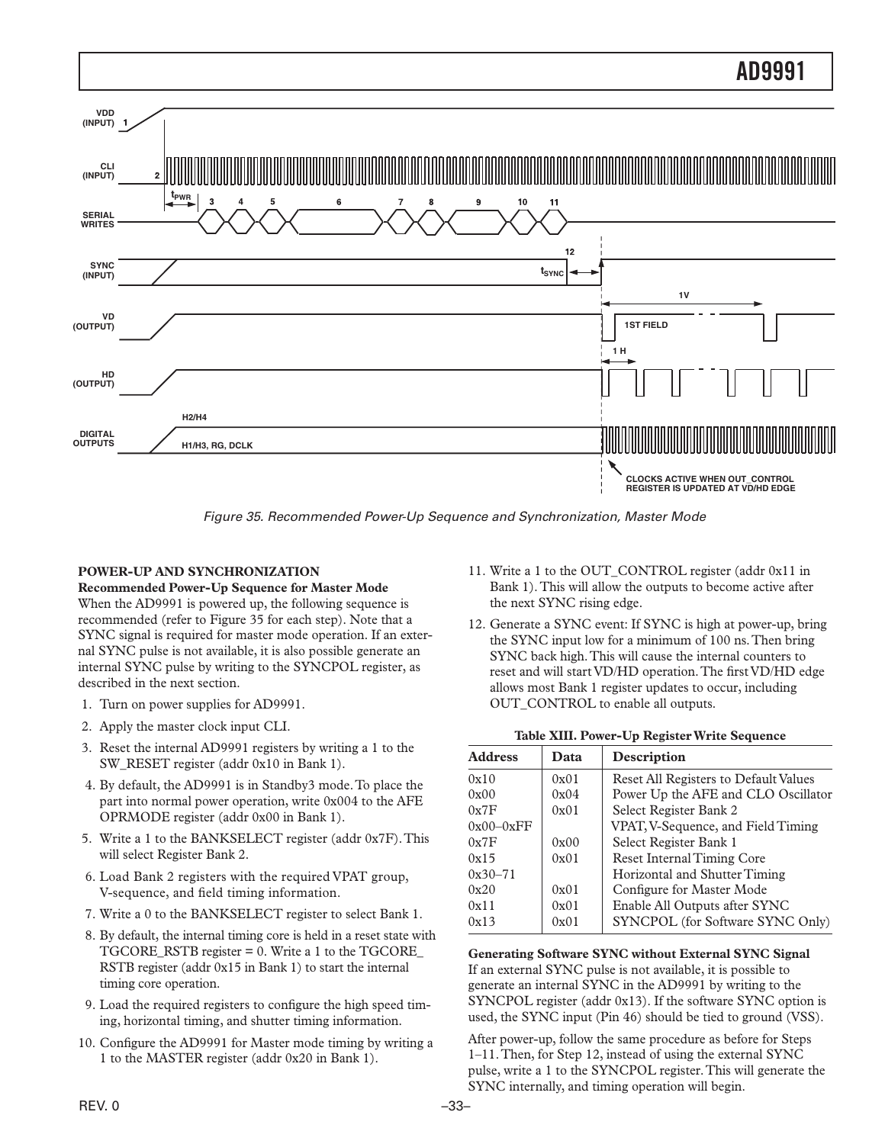<span id="page-32-0"></span>![](_page_32_Figure_0.jpeg)

*Figure 35. Recommended Power-Up Sequence and Synchronization, Master Mode*

#### **POWER-UP AND SYNCHRONIZATION**

**Recommended Power-Up Sequence for Master Mode**

When the AD9991 is powered up, the following sequence is recommended (refer to Figure 35 for each step). Note that a SYNC signal is required for master mode operation. If an external SYNC pulse is not available, it is also possible generate an internal SYNC pulse by writing to the SYNCPOL register, as described in the next section.

- 1. Turn on power supplies for AD9991.
- 2. Apply the master clock input CLI.
- 3. Reset the internal AD9991 registers by writing a 1 to the SW\_RESET register (addr 0x10 in Bank 1).
- 4. By default, the AD9991 is in Standby3 mode. To place the part into normal power operation, write 0x004 to the AFE OPRMODE register (addr 0x00 in Bank 1).
- 5. Write a 1 to the BANKSELECT register (addr 0x7F). This will select Register Bank 2.
- 6. Load Bank 2 registers with the required VPAT group, V-sequence, and field timing information.
- 7. Write a 0 to the BANKSELECT register to select Bank 1.
- 8. By default, the internal timing core is held in a reset state with TGCORE\_RSTB register = 0. Write a 1 to the TGCORE\_ RSTB register (addr 0x15 in Bank 1) to start the internal timing core operation.
- 9. Load the required registers to configure the high speed timing, horizontal timing, and shutter timing information.
- 10. Configure the AD9991 for Master mode timing by writing a 1 to the MASTER register (addr 0x20 in Bank 1).
- 11. Write a 1 to the OUT\_CONTROL register (addr 0x11 in Bank 1). This will allow the outputs to become active after the next SYNC rising edge.
- 12. Generate a SYNC event: If SYNC is high at power-up, bring the SYNC input low for a minimum of 100 ns. Then bring SYNC back high. This will cause the internal counters to reset and will start VD/HD operation. The first VD/HD edge allows most Bank 1 register updates to occur, including OUT\_CONTROL to enable all outputs.

#### **Table XIII. Power-Up Register Write Sequence**

| <b>Address</b> | Data | Description                           |
|----------------|------|---------------------------------------|
| 0x10           | 0x01 | Reset All Registers to Default Values |
| 0x00           | 0x04 | Power Up the AFE and CLO Oscillator   |
| 0x7F           | 0x01 | Select Register Bank 2                |
| $0x00-0xFF$    |      | VPAT, V-Sequence, and Field Timing    |
| 0x7F           | 0x00 | Select Register Bank 1                |
| 0x15           | 0x01 | <b>Reset Internal Timing Core</b>     |
| $0x30 - 71$    |      | Horizontal and Shutter Timing         |
| 0x20           | 0x01 | Configure for Master Mode             |
| 0x11           | 0x01 | Enable All Outputs after SYNC         |
| 0x13           | 0x01 | SYNCPOL (for Software SYNC Only)      |

**Generating Software SYNC without External SYNC Signal** If an external SYNC pulse is not available, it is possible to generate an internal SYNC in the AD9991 by writing to the SYNCPOL register (addr 0x13). If the software SYNC option is used, the SYNC input (Pin 46) should be tied to ground (VSS).

After power-up, follow the same procedure as before for Steps 1–11. Then, for Step 12, instead of using the external SYNC pulse, write a 1 to the SYNCPOL register. This will generate the SYNC internally, and timing operation will begin.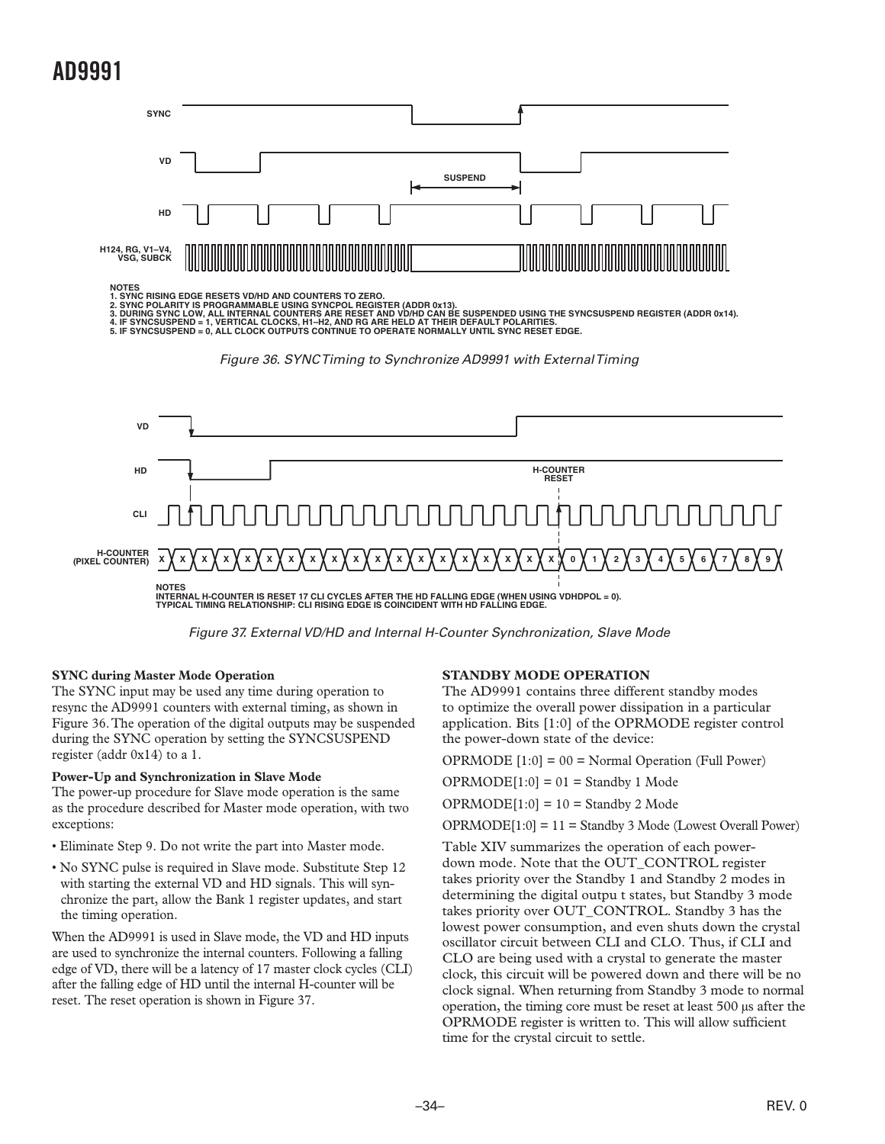<span id="page-33-0"></span>![](_page_33_Figure_1.jpeg)

*Figure 37. External VD/HD and Internal H-Counter Synchronization, Slave Mode*

#### **SYNC during Master Mode Operation**

The SYNC input may be used any time during operation to resync the AD9991 counters with external timing, as shown in Figure 36. The operation of the digital outputs may be suspended during the SYNC operation by setting the SYNCSUSPEND register (addr 0x14) to a 1.

#### **Power-Up and Synchronization in Slave Mode**

The power-up procedure for Slave mode operation is the same as the procedure described for Master mode operation, with two exceptions:

- Eliminate Step 9. Do not write the part into Master mode.
- No SYNC pulse is required in Slave mode. Substitute Step 12 with starting the external VD and HD signals. This will synchronize the part, allow the Bank 1 register updates, and start the timing operation.

When the AD9991 is used in Slave mode, the VD and HD inputs are used to synchronize the internal counters. Following a falling edge of VD, there will be a latency of 17 master clock cycles (CLI) after the falling edge of HD until the internal H-counter will be reset. The reset operation is shown in Figure 37.

#### **STANDBY MODE OPERATION**

The AD9991 contains three different standby modes to optimize the overall power dissipation in a particular application. Bits [1:0] of the OPRMODE register control the power-down state of the device:

OPRMODE [1:0] = 00 = Normal Operation (Full Power)

 $OPRMODE[1:0] = 01 =$ Standby 1 Mode

 $OPRMODE[1:0] = 10 =$  Standby 2 Mode

OPRMODE[1:0] = 11 = Standby 3 Mode (Lowest Overall Power)

Table XIV summarizes the operation of each powerdown mode. Note that the OUT\_CONTROL register takes priority over the Standby 1 and Standby 2 modes in determining the digital outpu t states, but Standby 3 mode takes priority over OUT\_CONTROL. Standby 3 has the lowest power consumption, and even shuts down the crystal oscillator circuit between CLI and CLO. Thus, if CLI and CLO are being used with a crystal to generate the master clock, this circuit will be powered down and there will be no clock signal. When returning from Standby 3 mode to normal operation, the timing core must be reset at least 500 µs after the OPRMODE register is written to. This will allow sufficient time for the crystal circuit to settle.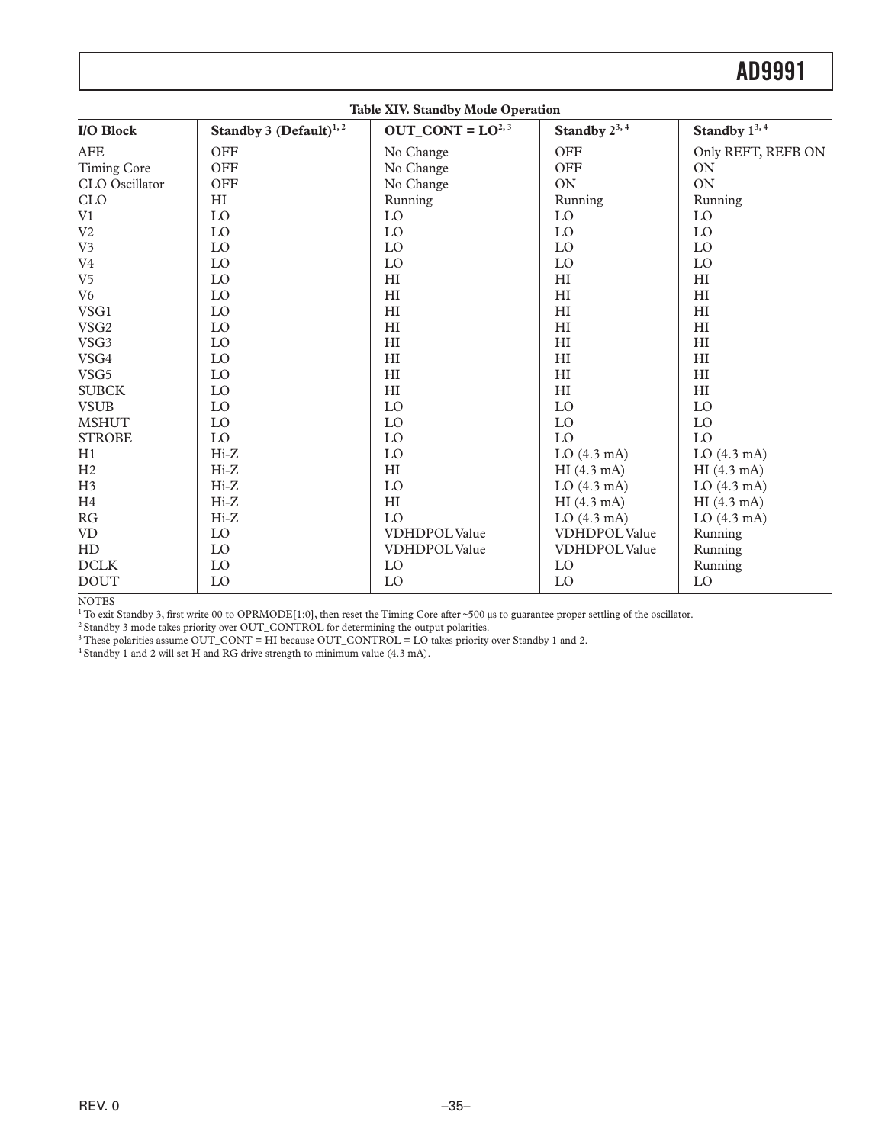|                  |                             | <b>Table XIV. Standby Mode Operation</b> |                         |                            |
|------------------|-----------------------------|------------------------------------------|-------------------------|----------------------------|
| I/O Block        | Standby 3 $(Default)^{1,2}$ | OUT CONT = $LO^{2,3}$                    | Standby $2^{3,4}$       | Standby $1^{3,4}$          |
| <b>AFE</b>       | OFF                         | No Change                                | OFF                     | Only REFT, REFB ON         |
| Timing Core      | <b>OFF</b>                  | No Change                                | OFF                     | <b>ON</b>                  |
| CLO Oscillator   | <b>OFF</b>                  | No Change                                | <b>ON</b>               | <b>ON</b>                  |
| <b>CLO</b>       | HI                          | Running                                  | Running                 | Running                    |
| V1               | LO                          | LO                                       | LO                      | $\rm LO$                   |
| V <sub>2</sub>   | LO                          | $\rm LO$                                 | LO                      | LO                         |
| V <sub>3</sub>   | LO                          | LO                                       | LO                      | LO                         |
| V <sub>4</sub>   | LO                          | LO                                       | LO                      | LO                         |
| V <sub>5</sub>   | LO                          | H <sub>I</sub>                           | H <sub>I</sub>          | HI                         |
| V <sub>6</sub>   | LO                          | H <sub>I</sub>                           | H <sub>I</sub>          | $\mathop{\rm HI}\nolimits$ |
| VSG1             | LO                          | H <sub>I</sub>                           | H <sub>I</sub>          | H <sub>I</sub>             |
| VSG <sub>2</sub> | LO                          | H <sub>I</sub>                           | H <sub>I</sub>          | H <sub>I</sub>             |
| VSG3             | LO                          | H <sub>I</sub>                           | H <sub>I</sub>          | H <sub>I</sub>             |
| VSG4             | LO                          | $\mathop{\rm HI}\nolimits$               | H <sub>I</sub>          | H <sub>I</sub>             |
| VSG5             | LO                          | H <sub>I</sub>                           | H <sub>I</sub>          | H <sub>I</sub>             |
| <b>SUBCK</b>     | LO                          | H <sub>I</sub>                           | H <sub>I</sub>          | H <sub>I</sub>             |
| <b>VSUB</b>      | LO                          | LO                                       | LO                      | LO                         |
| <b>MSHUT</b>     | LO                          | LO                                       | LO                      | LO                         |
| <b>STROBE</b>    | LO                          | LO                                       | LO                      | LO                         |
| H1               | $Hi-Z$                      | LO                                       | $LO$ (4.3 mA)           | $LO$ (4.3 mA)              |
| H2               | $Hi-Z$                      | H <sub>I</sub>                           | HI(4.3 mA)              | HI(4.3 mA)                 |
| H <sub>3</sub>   | $Hi-Z$                      | LO                                       | $LO$ (4.3 mA)           | $LO$ (4.3 mA)              |
| H <sub>4</sub>   | $Hi-Z$                      | H <sub>I</sub>                           | HI(4.3 mA)              | HI(4.3 mA)                 |
| RG               | $Hi-Z$                      | LO                                       | $LO$ $(4.3 \text{ mA})$ | $LO$ $(4.3 \text{ mA})$    |
| <b>VD</b>        | LO                          | <b>VDHDPOLValue</b>                      | <b>VDHDPOL Value</b>    | Running                    |
| HD               | LO                          | <b>VDHDPOL Value</b>                     | VDHDPOL Value           | Running                    |
| <b>DCLK</b>      | LO                          | LO                                       | LO                      | Running                    |
| <b>DOUT</b>      | LO                          | LO                                       | LO                      | LO                         |

NOTES

1 To exit Standby 3, first write 00 to OPRMODE[1:0], then reset the Timing Core after ~500 µs to guarantee proper settling of the oscillator.

 $2$  Standby 3 mode takes priority over OUT\_CONTROL for determining the output polarities.

 $3$  These polarities assume OUT\_CONT = HI because OUT\_CONTROL = LO takes priority over Standby 1 and 2.

 $4$  Standby 1 and 2 will set H and RG drive strength to minimum value (4.3 mA).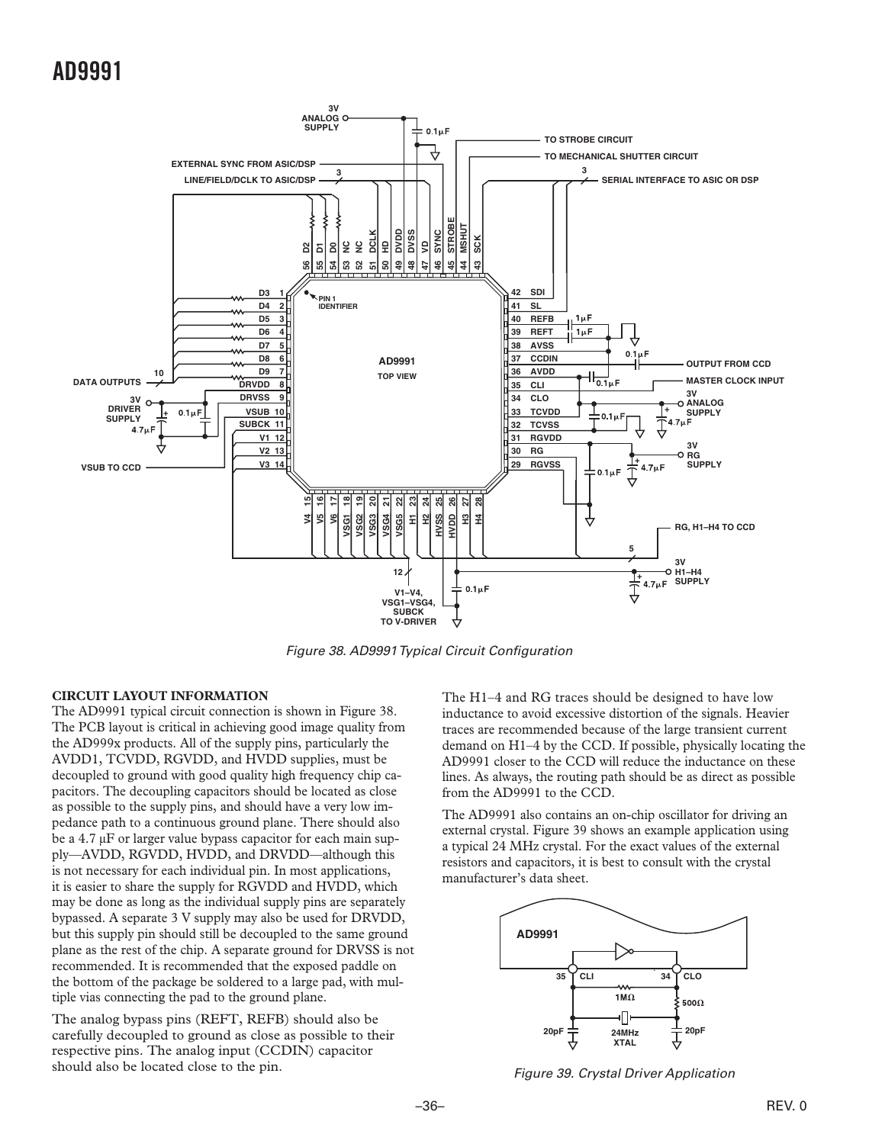<span id="page-35-0"></span>![](_page_35_Figure_1.jpeg)

*Figure 38. AD9991 Typical Circuit Configuration*

#### **CIRCUIT LAYOUT INFORMATION**

The AD9991 typical circuit connection is shown in Figure 38. The PCB layout is critical in achieving good image quality from the AD999x products. All of the supply pins, particularly the AVDD1, TCVDD, RGVDD, and HVDD supplies, must be decoupled to ground with good quality high frequency chip capacitors. The decoupling capacitors should be located as close as possible to the supply pins, and should have a very low impedance path to a continuous ground plane. There should also be a 4.7 µF or larger value bypass capacitor for each main supply—AVDD, RGVDD, HVDD, and DRVDD—although this is not necessary for each individual pin. In most applications, it is easier to share the supply for RGVDD and HVDD, which may be done as long as the individual supply pins are separately bypassed. A separate 3 V supply may also be used for DRVDD, but this supply pin should still be decoupled to the same ground plane as the rest of the chip. A separate ground for DRVSS is not recommended. It is recommended that the exposed paddle on the bottom of the package be soldered to a large pad, with multiple vias connecting the pad to the ground plane.

The analog bypass pins (REFT, REFB) should also be carefully decoupled to ground as close as possible to their respective pins. The analog input (CCDIN) capacitor should also be located close to the pin.

The H1–4 and RG traces should be designed to have low inductance to avoid excessive distortion of the signals. Heavier traces are recommended because of the large transient current demand on H1–4 by the CCD. If possible, physically locating the AD9991 closer to the CCD will reduce the inductance on these lines. As always, the routing path should be as direct as possible from the AD9991 to the CCD.

The AD9991 also contains an on-chip oscillator for driving an external crystal. Figure 39 shows an example application using a typical 24 MHz crystal. For the exact values of the external resistors and capacitors, it is best to consult with the crystal manufacturer's data sheet.

![](_page_35_Figure_8.jpeg)

*Figure 39. Crystal Driver Application*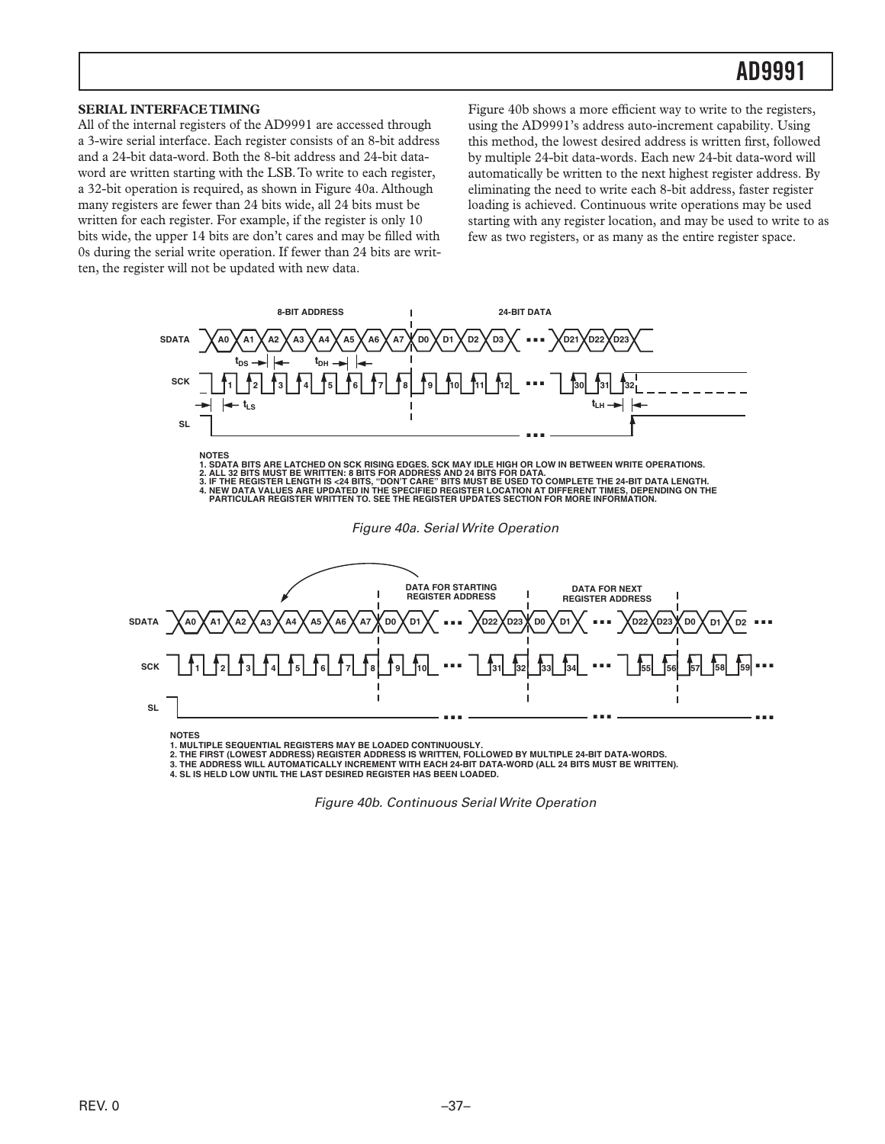#### <span id="page-36-0"></span>**SERIAL INTERFACE TIMING**

All of the internal registers of the AD9991 are accessed through a 3-wire serial interface. Each register consists of an 8-bit address and a 24-bit data-word. Both the 8-bit address and 24-bit dataword are written starting with the LSB. To write to each register, a 32-bit operation is required, as shown in Figure 40a. Although many registers are fewer than 24 bits wide, all 24 bits must be written for each register. For example, if the register is only 10 bits wide, the upper 14 bits are don't cares and may be filled with 0s during the serial write operation. If fewer than 24 bits are written, the register will not be updated with new data.

Figure 40b shows a more efficient way to write to the registers, using the AD9991's address auto-increment capability. Using this method, the lowest desired address is written first, followed by multiple 24-bit data-words. Each new 24-bit data-word will automatically be written to the next highest register address. By eliminating the need to write each 8-bit address, faster register loading is achieved. Continuous write operations may be used starting with any register location, and may be used to write to as few as two registers, or as many as the entire register space.

![](_page_36_Figure_4.jpeg)

**NOTES**

**1. MULTIPLE SEQUENTIAL REGISTERS MAY BE LOADED CONTINUOUSLY.**

**2. THE FIRST (LOWEST ADDRESS) REGISTER ADDRESS IS WRITTEN, FOLLOWED BY MULTIPLE 24-BIT DATA-WORDS.**

**3. THE ADDRESS WILL AUTOMATICALLY INCREMENT WITH EACH 24-BIT DATA-WORD (ALL 24 BITS MUST BE WRITTEN).**

**4. SL IS HELD LOW UNTIL THE LAST DESIRED REGISTER HAS BEEN LOADED.** 

*Figure 40b. Continuous Serial Write Operation*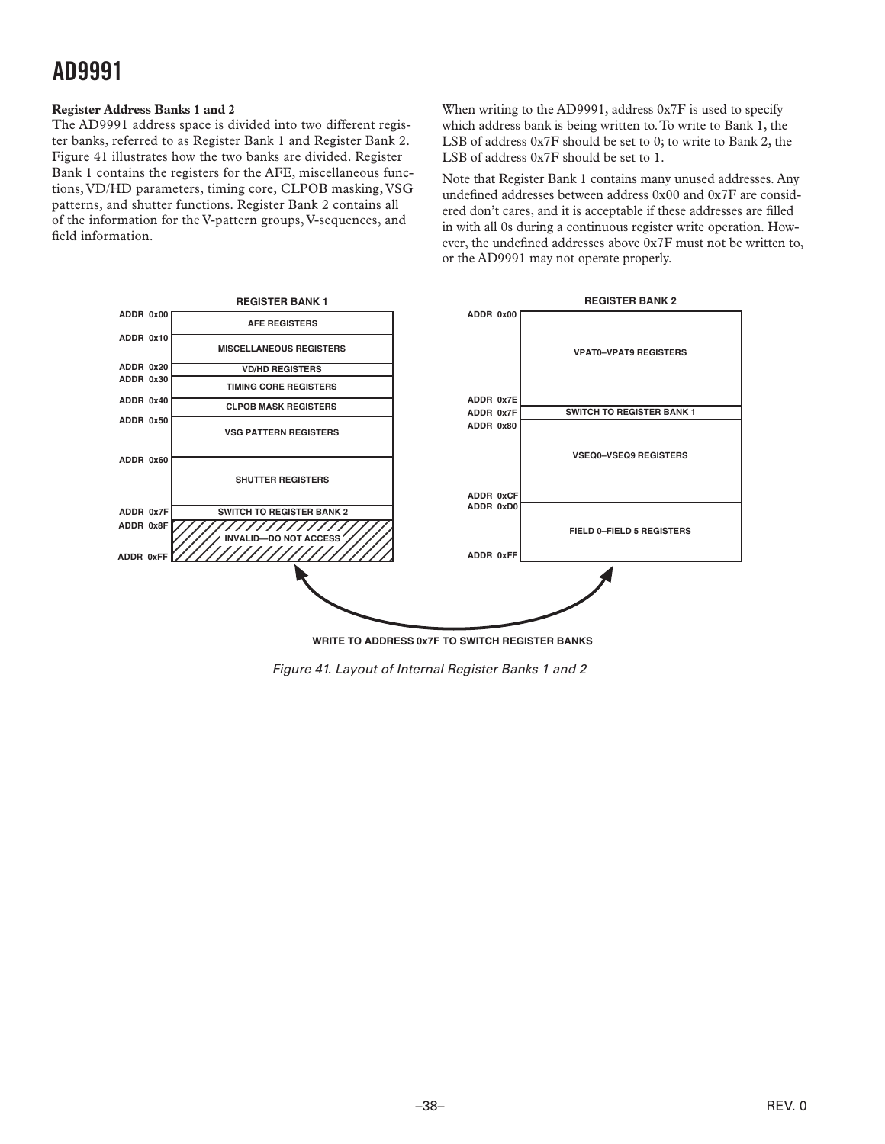#### <span id="page-37-0"></span>**Register Address Banks 1 and 2**

The AD9991 address space is divided into two different register banks, referred to as Register Bank 1 and Register Bank 2. Figure 41 illustrates how the two banks are divided. Register Bank 1 contains the registers for the AFE, miscellaneous functions, VD/HD parameters, timing core, CLPOB masking, VSG patterns, and shutter functions. Register Bank 2 contains all of the information for the V-pattern groups, V-sequences, and field information.

When writing to the AD9991, address 0x7F is used to specify which address bank is being written to. To write to Bank 1, the LSB of address 0x7F should be set to 0; to write to Bank 2, the LSB of address 0x7F should be set to 1.

Note that Register Bank 1 contains many unused addresses. Any undefined addresses between address 0x00 and 0x7F are considered don't cares, and it is acceptable if these addresses are filled in with all 0s during a continuous register write operation. However, the undefined addresses above 0x7F must not be written to, or the AD9991 may not operate properly.

![](_page_37_Figure_5.jpeg)

*Figure 41. Layout of Internal Register Banks 1 and 2*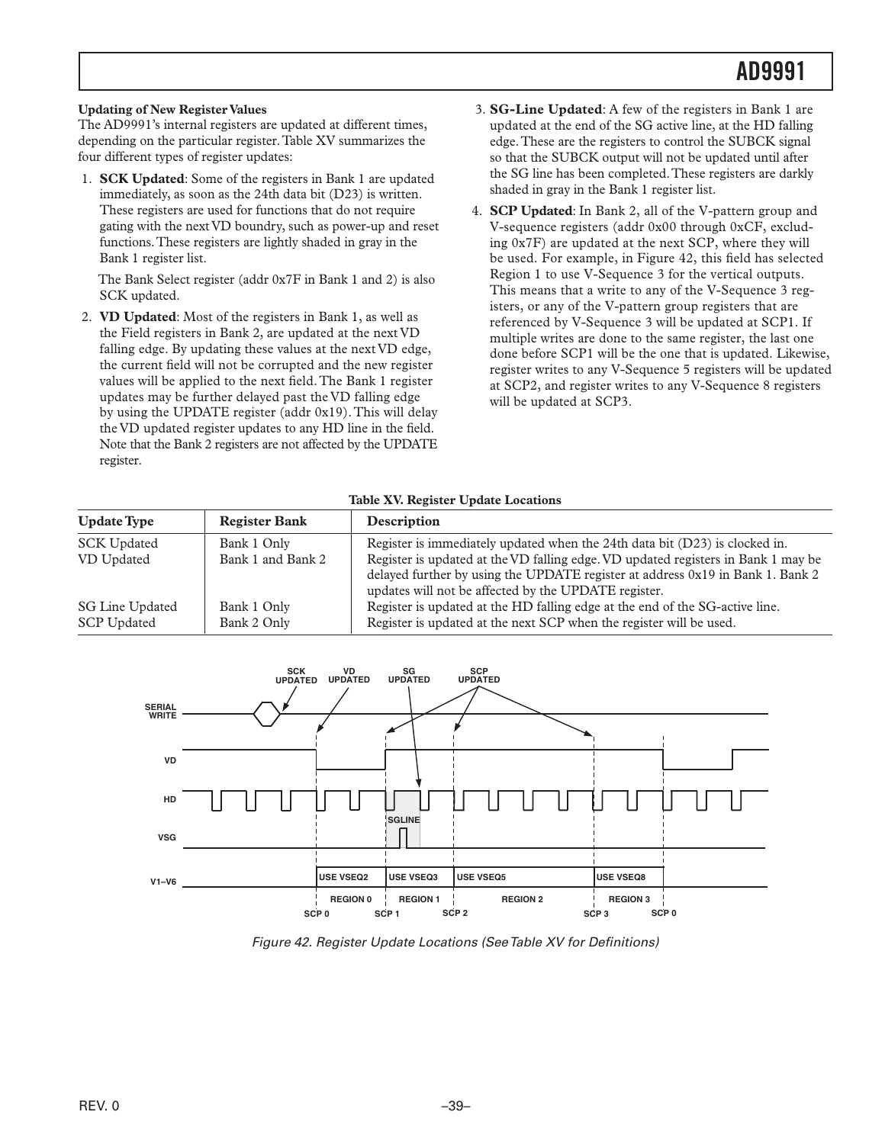#### <span id="page-38-0"></span>**Updating of New Register Values**

The AD9991's internal registers are updated at different times, depending on the particular register. Table XV summarizes the four different types of register updates:

 1. **SCK Updated**: Some of the registers in Bank 1 are updated immediately, as soon as the 24th data bit (D23) is written. These registers are used for functions that do not require gating with the next VD boundry, such as power-up and reset functions. These registers are lightly shaded in gray in the Bank 1 register list.

 The Bank Select register (addr 0x7F in Bank 1 and 2) is also SCK updated.

 2. **VD Updated**: Most of the registers in Bank 1, as well as the Field registers in Bank 2, are updated at the next VD falling edge. By updating these values at the next VD edge, the current field will not be corrupted and the new register values will be applied to the next field. The Bank 1 register updates may be further delayed past the VD falling edge by using the UPDATE register (addr 0x19). This will delay the VD updated register updates to any HD line in the field. Note that the Bank 2 registers are not affected by the UPDATE register.

- 3. **SG-Line Updated**: A few of the registers in Bank 1 are updated at the end of the SG active line, at the HD falling edge. These are the registers to control the SUBCK signal so that the SUBCK output will not be updated until after the SG line has been completed. These registers are darkly shaded in gray in the Bank 1 register list.
- 4. **SCP Updated**: In Bank 2, all of the V-pattern group and V-sequence registers (addr 0x00 through 0xCF, excluding 0x7F) are updated at the next SCP, where they will be used. For example, in Figure 42, this field has selected Region 1 to use V-Sequence 3 for the vertical outputs. This means that a write to any of the V-Sequence 3 registers, or any of the V-pattern group registers that are referenced by V-Sequence 3 will be updated at SCP1. If multiple writes are done to the same register, the last one done before SCP1 will be the one that is updated. Likewise, register writes to any V-Sequence 5 registers will be updated at SCP2, and register writes to any V-Sequence 8 registers will be updated at SCP3.

#### **Table XV. Register Update Locations**

| <b>Update Type</b>                    | <b>Register Bank</b>       | Description                                                                                                                                                                                                                 |
|---------------------------------------|----------------------------|-----------------------------------------------------------------------------------------------------------------------------------------------------------------------------------------------------------------------------|
| <b>SCK Updated</b>                    | Bank 1 Only                | Register is immediately updated when the 24th data bit (D23) is clocked in.                                                                                                                                                 |
| VD Updated                            | Bank 1 and Bank 2          | Register is updated at the VD falling edge. VD updated registers in Bank 1 may be<br>delayed further by using the UPDATE register at address 0x19 in Bank 1. Bank 2<br>updates will not be affected by the UPDATE register. |
| SG Line Updated<br><b>SCP Updated</b> | Bank 1 Only<br>Bank 2 Only | Register is updated at the HD falling edge at the end of the SG-active line.<br>Register is updated at the next SCP when the register will be used.                                                                         |

![](_page_38_Figure_10.jpeg)

*Figure 42. Register Update Locations (See Table XV for Definitions)*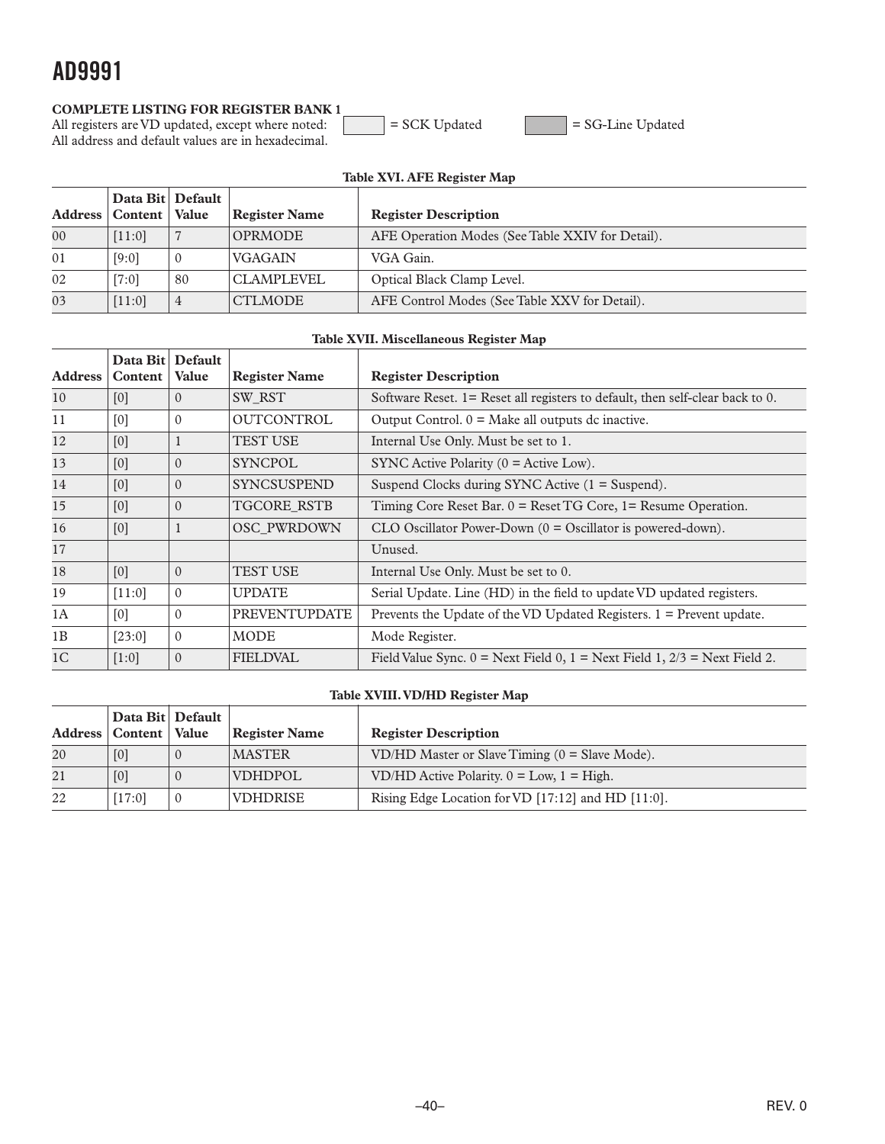#### <span id="page-39-0"></span>**COMPLETE LISTING FOR REGISTER BANK 1**

All registers are VD updated, except where noted:  $\vert$  = SCK Updated =  $\vert$  = SG-Line Updated All address and default values are in hexadecimal.

|        | Table XVI. AFE Register Map                       |          |                      |                                                  |  |  |  |  |  |  |  |
|--------|---------------------------------------------------|----------|----------------------|--------------------------------------------------|--|--|--|--|--|--|--|
|        | Data Bit   Default  <br>Address   Content   Value |          | <b>Register Name</b> | <b>Register Description</b>                      |  |  |  |  |  |  |  |
| $00\,$ | [11:0]                                            |          | <b>OPRMODE</b>       | AFE Operation Modes (See Table XXIV for Detail). |  |  |  |  |  |  |  |
| 01     | [9:0]                                             | $\theta$ | <b>VGAGAIN</b>       | VGA Gain.                                        |  |  |  |  |  |  |  |
| 02     | $[7:0]$                                           | 80       | CLAMPLEVEL           | Optical Black Clamp Level.                       |  |  |  |  |  |  |  |
| 03     | [11:0]                                            | 4        | <b>CTLMODE</b>       | AFE Control Modes (See Table XXV for Detail).    |  |  |  |  |  |  |  |

#### **Table XVII. Miscellaneous Register Map**

|                | Data Bit Default |              |                      |                                                                                 |
|----------------|------------------|--------------|----------------------|---------------------------------------------------------------------------------|
| <b>Address</b> | Content          | <b>Value</b> | <b>Register Name</b> | <b>Register Description</b>                                                     |
| 10             | [0]              | $\Omega$     | SW RST               | Software Reset. 1= Reset all registers to default, then self-clear back to 0.   |
| 11             | [0]              | $\Omega$     | <b>OUTCONTROL</b>    | Output Control. $0 =$ Make all outputs dc inactive.                             |
| 12             | [0]              | $\mathbf{I}$ | TEST USE             | Internal Use Only. Must be set to 1.                                            |
| 13             | [0]              | $\Omega$     | <b>SYNCPOL</b>       | SYNC Active Polarity $(0 = \text{Active Low})$ .                                |
| 14             | [0]              | $\theta$     | <b>SYNCSUSPEND</b>   | Suspend Clocks during SYNC Active $(1 =$ Suspend).                              |
| 15             | [0]              | $\Omega$     | TGCORE_RSTB          | Timing Core Reset Bar. $0 =$ Reset TG Core, $1 =$ Resume Operation.             |
| 16             | [0]              |              | <b>OSC PWRDOWN</b>   | CLO Oscillator Power-Down $(0 = 0$ scillator is powered-down).                  |
| 17             |                  |              |                      | Unused.                                                                         |
| 18             | [0]              | $\theta$     | <b>TEST USE</b>      | Internal Use Only. Must be set to 0.                                            |
| 19             | $[11:0]$         | $\Omega$     | <b>UPDATE</b>        | Serial Update. Line (HD) in the field to update VD updated registers.           |
| 1A             | [0]              | $\Omega$     | <b>PREVENTUPDATE</b> | Prevents the Update of the VD Updated Registers. $1 =$ Prevent update.          |
| 1B             | [23:0]           | $\Omega$     | <b>MODE</b>          | Mode Register.                                                                  |
| 1 <sup>C</sup> | [1:0]            | $\Omega$     | <b>FIELDVAL</b>      | Field Value Sync. $0 =$ Next Field 0, $1 =$ Next Field 1, $2/3 =$ Next Field 2. |

#### **Table XVIII. VD/HD Register Map**

|    | Data Bit Default          |          |                      |                                                         |
|----|---------------------------|----------|----------------------|---------------------------------------------------------|
|    | Address   Content   Value |          | <b>Register Name</b> | <b>Register Description</b>                             |
| 20 | [0]                       | $\theta$ | <b>MASTER</b>        | VD/HD Master or Slave Timing $(0 =$ Slave Mode).        |
| 21 | [0]                       | $\left($ | <b>VDHDPOL</b>       | VD/HD Active Polarity. $0 = Low$ , $1 = High$ .         |
| 22 | $[17:0]$                  |          | <b>VDHDRISE</b>      | Rising Edge Location for VD $[17:12]$ and HD $[11:0]$ . |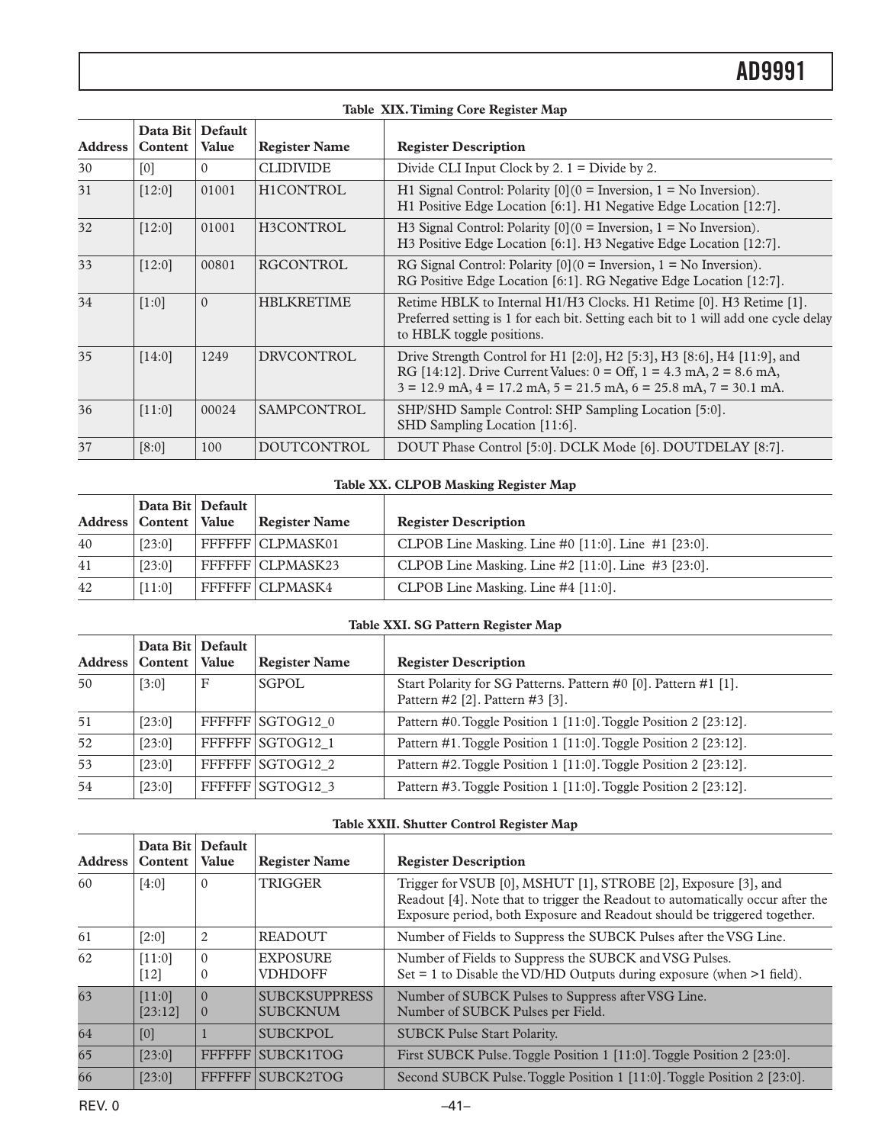|         | Table XIX. Timing Core Register Map |                                |                      |                                                                                                                                                                                                                                                       |  |
|---------|-------------------------------------|--------------------------------|----------------------|-------------------------------------------------------------------------------------------------------------------------------------------------------------------------------------------------------------------------------------------------------|--|
| Address | Data Bit<br>Content                 | <b>Default</b><br><b>Value</b> | <b>Register Name</b> | <b>Register Description</b>                                                                                                                                                                                                                           |  |
| 30      | [0]                                 | $\Omega$                       | <b>CLIDIVIDE</b>     | Divide CLI Input Clock by 2. $1 =$ Divide by 2.                                                                                                                                                                                                       |  |
| 31      | $[12:0]$                            | 01001                          | H1CONTROL            | H1 Signal Control: Polarity $[0](0)$ = Inversion, $1 = No$ Inversion).<br>H1 Positive Edge Location [6:1]. H1 Negative Edge Location [12:7].                                                                                                          |  |
| 32      | $[12:0]$                            | 01001                          | H3CONTROL            | H3 Signal Control: Polarity $[0](0)$ = Inversion, $1 = No$ Inversion).<br>H3 Positive Edge Location [6:1]. H3 Negative Edge Location [12:7].                                                                                                          |  |
| 33      | $[12:0]$                            | 00801                          | <b>RGCONTROL</b>     | RG Signal Control: Polarity $[0](0)$ = Inversion, $1 = No$ Inversion).<br>RG Positive Edge Location [6:1]. RG Negative Edge Location [12:7].                                                                                                          |  |
| 34      | [1:0]                               | $\Omega$                       | <b>HBLKRETIME</b>    | Retime HBLK to Internal H1/H3 Clocks. H1 Retime [0]. H3 Retime [1].<br>Preferred setting is 1 for each bit. Setting each bit to 1 will add one cycle delay<br>to HBLK toggle positions.                                                               |  |
| 35      | [14:0]                              | 1249                           | <b>DRVCONTROL</b>    | Drive Strength Control for H1 [2:0], H2 [5:3], H3 [8:6], H4 [11:9], and<br>RG [14:12]. Drive Current Values: $0 = \text{Off}, 1 = 4.3 \text{ mA}, 2 = 8.6 \text{ mA}$ ,<br>$3 = 12.9$ mA, $4 = 17.2$ mA, $5 = 21.5$ mA, $6 = 25.8$ mA, $7 = 30.1$ mA. |  |
| 36      | [11:0]                              | 00024                          | <b>SAMPCONTROL</b>   | SHP/SHD Sample Control: SHP Sampling Location [5:0].<br>SHD Sampling Location [11:6].                                                                                                                                                                 |  |
| 37      | [8:0]                               | 100                            | <b>DOUTCONTROL</b>   | DOUT Phase Control [5:0]. DCLK Mode [6]. DOUTDELAY [8:7].                                                                                                                                                                                             |  |

#### **Table XX. CLPOB Masking Register Map**

|    | Data Bit   Default        |                    |                                                           |
|----|---------------------------|--------------------|-----------------------------------------------------------|
|    | Address   Content   Value | Register Name      | <b>Register Description</b>                               |
| 40 | [23:0]                    | FFFFFF   CLPMASK01 | CLPOB Line Masking. Line #0 $[11:0]$ . Line #1 $[23:0]$ . |
| 41 | [23:0]                    | FFFFFF CLPMASK23   | CLPOB Line Masking. Line $#2$ [11:0]. Line $#3$ [23:0].   |
| 42 | [11:0]                    | FFFFFF   CLPMASK4  | CLPOB Line Masking. Line #4 [11:0].                       |

#### **Table XXI. SG Pattern Register Map**

| Address | Data Bit Default<br>Content   Value |   | <b>Register Name</b> | <b>Register Description</b>                                                                        |
|---------|-------------------------------------|---|----------------------|----------------------------------------------------------------------------------------------------|
| 50      | [3:0]                               | F | <b>SGPOL</b>         | Start Polarity for SG Patterns. Pattern #0 [0]. Pattern #1 [1].<br>Pattern #2 [2]. Pattern #3 [3]. |
| 51      | [23:0]                              |   | FFFFFF SGTOG12 0     | Pattern #0. Toggle Position 1 [11:0]. Toggle Position 2 [23:12].                                   |
| 52      | $[23:0]$                            |   | FFFFFF SGTOG12 1     | Pattern #1. Toggle Position 1 [11:0]. Toggle Position 2 [23:12].                                   |
| 53      | $[23:0]$                            |   | FFFFFF SGTOG12 2     | Pattern #2. Toggle Position 1 [11:0]. Toggle Position 2 [23:12].                                   |
| 54      | [23:0]                              |   | FFFFFF SGTOG12 3     | Pattern #3. Toggle Position 1 [11:0]. Toggle Position 2 [23:12].                                   |

#### **Table XXII. Shutter Control Register Map**

| <b>Address</b>  | Data Bit Default<br>Content | <b>Value</b>             | <b>Register Name</b>                    | <b>Register Description</b>                                                                                                                                                                                                  |  |
|-----------------|-----------------------------|--------------------------|-----------------------------------------|------------------------------------------------------------------------------------------------------------------------------------------------------------------------------------------------------------------------------|--|
| 60              | [4:0]                       | $\Omega$                 | TRIGGER                                 | Trigger for VSUB [0], MSHUT [1], STROBE [2], Exposure [3], and<br>Readout [4]. Note that to trigger the Readout to automatically occur after the<br>Exposure period, both Exposure and Readout should be triggered together. |  |
| 61              | [2:0]                       | $\overline{2}$           | <b>READOUT</b>                          | Number of Fields to Suppress the SUBCK Pulses after the VSG Line.                                                                                                                                                            |  |
| 62              | [11:0]<br>[12]              | $\theta$<br>$\mathbf{0}$ | <b>EXPOSURE</b><br><b>VDHDOFF</b>       | Number of Fields to Suppress the SUBCK and VSG Pulses.<br>Set $= 1$ to Disable the VD/HD Outputs during exposure (when $>1$ field).                                                                                          |  |
| $\overline{63}$ | [11:0]<br>[23:12]           | $\Omega$<br>$\theta$     | <b>SUBCKSUPPRESS</b><br><b>SUBCKNUM</b> | Number of SUBCK Pulses to Suppress after VSG Line.<br>Number of SUBCK Pulses per Field.                                                                                                                                      |  |
| 64              | [0]                         |                          | <b>SUBCKPOL</b>                         | <b>SUBCK Pulse Start Polarity.</b>                                                                                                                                                                                           |  |
| 65              | [23:0]                      |                          | FFFFFF SUBCK1TOG                        | First SUBCK Pulse. Toggle Position 1 [11:0]. Toggle Position 2 [23:0].                                                                                                                                                       |  |
| 66              | [23:0]                      |                          | FFFFFF SUBCK2TOG                        | Second SUBCK Pulse. Toggle Position 1 [11:0]. Toggle Position 2 [23:0].                                                                                                                                                      |  |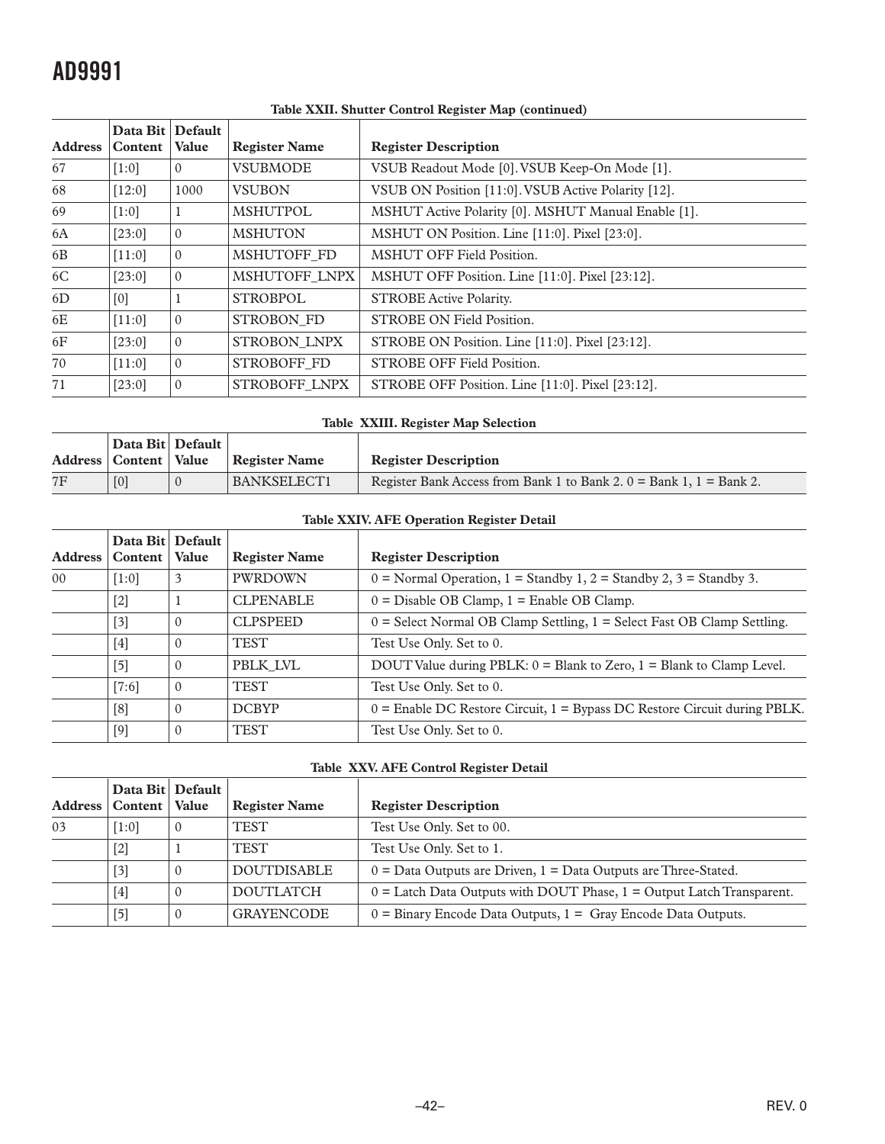|                | Data Bit Default<br>Address   Content | <b>Value</b>   | <b>Register Name</b> | <b>Register Description</b>                         |  |
|----------------|---------------------------------------|----------------|----------------------|-----------------------------------------------------|--|
| 67             | [1:0]                                 | $\Omega$       | <b>VSUBMODE</b>      | VSUB Readout Mode [0]. VSUB Keep-On Mode [1].       |  |
| 68             | $[12:0]$                              | 1000           | <b>VSUBON</b>        | VSUB ON Position [11:0]. VSUB Active Polarity [12]. |  |
| 69             | $[1:0]$                               |                | <b>MSHUTPOL</b>      | MSHUT Active Polarity [0]. MSHUT Manual Enable [1]. |  |
| 6A             | $[23:0]$                              | $\Omega$       | <b>MSHUTON</b>       | MSHUT ON Position. Line [11:0]. Pixel [23:0].       |  |
| 6 <sub>B</sub> | $[11:0]$                              | $\mathbf{0}$   | MSHUTOFF FD          | <b>MSHUT OFF Field Position.</b>                    |  |
| 6C             | [23:0]                                | $\overline{0}$ | MSHUTOFF LNPX        | MSHUT OFF Position. Line [11:0]. Pixel [23:12].     |  |
| 6D             | [0]                                   |                | <b>STROBPOL</b>      | <b>STROBE Active Polarity.</b>                      |  |
| 6E             | $[11:0]$                              | $\mathbf{0}$   | STROBON FD           | <b>STROBE ON Field Position.</b>                    |  |
| 6F             | [23:0]                                | $\mathbf{0}$   | STROBON LNPX         | STROBE ON Position. Line [11:0]. Pixel [23:12].     |  |
| 70             | $[11:0]$                              | $\mathbf{0}$   | STROBOFF FD          | STROBE OFF Field Position.                          |  |
| 71             | [23:0]                                | $\mathbf{0}$   | STROBOFF LNPX        | STROBE OFF Position. Line [11:0]. Pixel [23:12].    |  |

#### **Table XXII. Shutter Control Register Map (continued)**

#### **Table XXIII. Register Map Selection**

|    | Data Bit   Default        |               |                                                                         |
|----|---------------------------|---------------|-------------------------------------------------------------------------|
|    | Address   Content   Value | Register Name | <b>Register Description</b>                                             |
| 7F |                           | BANKSELECT1   | Register Bank Access from Bank 1 to Bank 2, $0 =$ Bank 1, $1 =$ Bank 2. |

#### **Table XXIV. AFE Operation Register Detail**

| <b>Address</b>  | Data Bit Default<br>Content | <b>Value</b> | <b>Register Name</b> | <b>Register Description</b>                                                    |
|-----------------|-----------------------------|--------------|----------------------|--------------------------------------------------------------------------------|
| 00 <sup>°</sup> | [1:0]                       | 3            | <b>PWRDOWN</b>       | $0 = Normal Operation$ , $1 = Standard$ 1, $2 = Standard$ 2, $3 = Standard$ 3. |
|                 | $[2]$                       |              | <b>CLPENABLE</b>     | $0 =$ Disable OB Clamp, $1 =$ Enable OB Clamp.                                 |
|                 | $[3]$                       |              | <b>CLPSPEED</b>      | $0 =$ Select Normal OB Clamp Settling, $1 =$ Select Fast OB Clamp Settling.    |
|                 | $[4]$                       |              | TEST                 | Test Use Only. Set to 0.                                                       |
|                 | $[5]$                       | 0            | PBLK LVL             | DOUT Value during PBLK: $0 =$ Blank to Zero, $1 =$ Blank to Clamp Level.       |
|                 | $[7:6]$                     | $\Omega$     | <b>TEST</b>          | Test Use Only. Set to 0.                                                       |
|                 | [8]                         | 0            | <b>DCBYP</b>         | $0 =$ Enable DC Restore Circuit, $1 =$ Bypass DC Restore Circuit during PBLK.  |
|                 | $[9]$                       | 0            | TEST                 | Test Use Only. Set to 0.                                                       |

#### **Table XXV. AFE Control Register Detail**

| Address | Data Bit   Default  <br>  Content   Value |          | <b>Register Name</b> | <b>Register Description</b>                                               |
|---------|-------------------------------------------|----------|----------------------|---------------------------------------------------------------------------|
|         |                                           |          |                      |                                                                           |
| 03      | [1:0]                                     | $\theta$ | <b>TEST</b>          | Test Use Only. Set to 00.                                                 |
|         | $[2]$                                     |          | <b>TEST</b>          | Test Use Only. Set to 1.                                                  |
|         | $[3]$                                     | $\theta$ | <b>DOUTDISABLE</b>   | $0 =$ Data Outputs are Driven, $1 =$ Data Outputs are Three-Stated.       |
|         | $[4]$                                     | $\Omega$ | <b>DOUTLATCH</b>     | $0 =$ Latch Data Outputs with DOUT Phase, $1 =$ Output Latch Transparent. |
|         | $[5]$                                     | $\theta$ | <b>GRAYENCODE</b>    | $0 =$ Binary Encode Data Outputs, $1 =$ Gray Encode Data Outputs.         |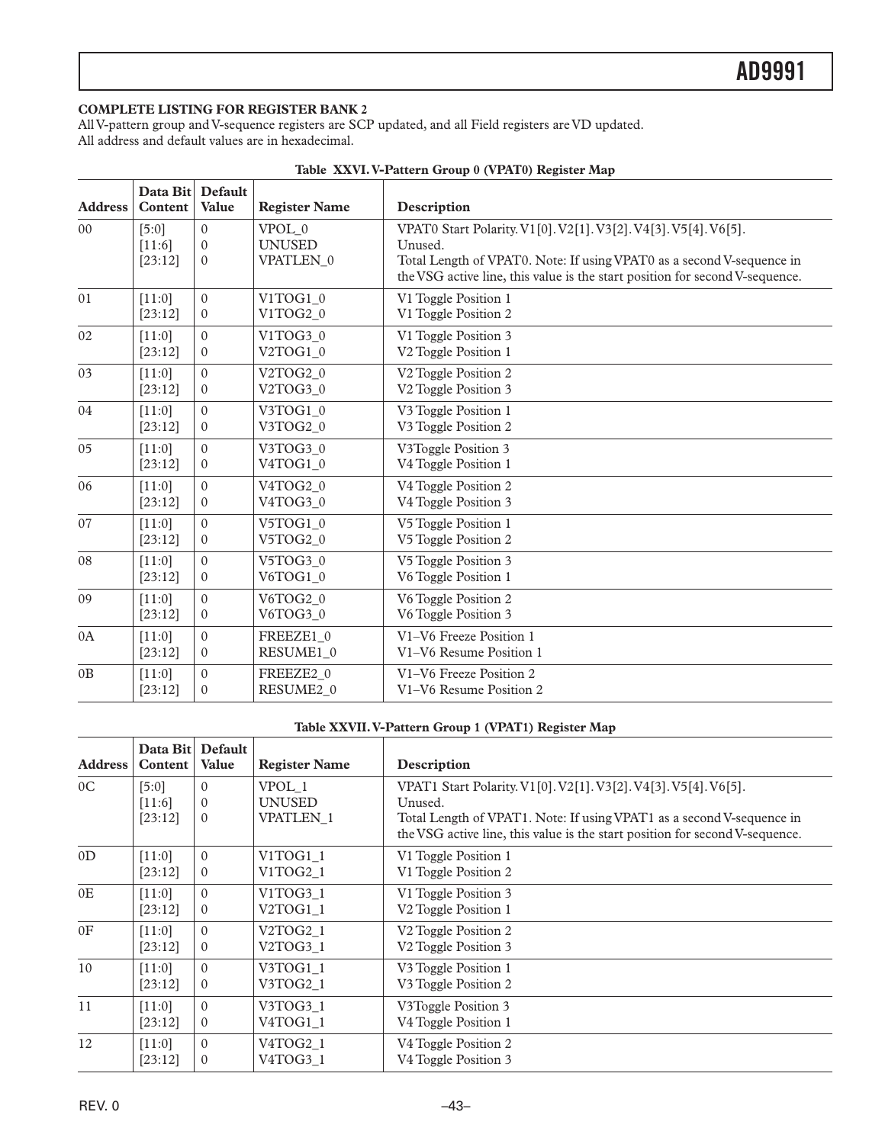#### <span id="page-42-0"></span>**COMPLETE LISTING FOR REGISTER BANK 2**

All V-pattern group and V-sequence registers are SCP updated, and all Field registers are VD updated. All address and default values are in hexadecimal.

| <b>Address</b> | Data Bit Default<br>Content | Value        | <b>Register Name</b>  | Description                                                                                                                                           |
|----------------|-----------------------------|--------------|-----------------------|-------------------------------------------------------------------------------------------------------------------------------------------------------|
| 0 <sub>0</sub> | [5:0]                       | $\Omega$     | VPOL 0                | VPAT0 Start Polarity. V1[0]. V2[1]. V3[2]. V4[3]. V5[4]. V6[5].                                                                                       |
|                | [11:6]                      | $\Omega$     | <b>UNUSED</b>         | Unused.                                                                                                                                               |
|                | [23:12]                     | $\Omega$     | VPATLEN 0             | Total Length of VPAT0. Note: If using VPAT0 as a second V-sequence in<br>the VSG active line, this value is the start position for second V-sequence. |
| 01             | [11:0]                      | $\Omega$     | V1TOG1 0              | V1 Toggle Position 1                                                                                                                                  |
|                | [23:12]                     | $\mathbf{0}$ | V1TOG2 0              | V1 Toggle Position 2                                                                                                                                  |
| 02             | [11:0]                      | $\Omega$     | V1TOG3 0              | V1 Toggle Position 3                                                                                                                                  |
|                | [23:12]                     | $\mathbf{0}$ | V2TOG1_0              | V2 Toggle Position 1                                                                                                                                  |
| 03             | [11:0]                      | $\theta$     | V2TOG2 0              | V <sub>2</sub> Toggle Position 2                                                                                                                      |
|                | [23:12]                     | $\mathbf{0}$ | V2TOG3 0              | V <sub>2</sub> Toggle Position 3                                                                                                                      |
| 04             | [11:0]                      | $\Omega$     | V3TOG1 0              | V3 Toggle Position 1                                                                                                                                  |
|                | [23:12]                     | $\Omega$     | V3TOG2_0              | V3 Toggle Position 2                                                                                                                                  |
| 05             | [11:0]                      | $\theta$     | V3TOG3 0              | V3Toggle Position 3                                                                                                                                   |
|                | [23:12]                     | $\Omega$     | V4TOG1 0              | V4 Toggle Position 1                                                                                                                                  |
| 06             | [11:0]                      | $\Omega$     | V4TOG2 0              | V4 Toggle Position 2                                                                                                                                  |
|                | [23:12]                     | $\mathbf{0}$ | V4TOG3_0              | V4 Toggle Position 3                                                                                                                                  |
| 07             | [11:0]                      | $\theta$     | V5TOG1 0              | V5 Toggle Position 1                                                                                                                                  |
|                | [23:12]                     | $\mathbf{0}$ | V5TOG2 0              | V5 Toggle Position 2                                                                                                                                  |
| 08             | [11:0]                      | $\mathbf{0}$ | V5TOG3 0              | V5 Toggle Position 3                                                                                                                                  |
|                | [23:12]                     | $\Omega$     | V6TOG1 0              | V6 Toggle Position 1                                                                                                                                  |
| 09             | [11:0]                      | $\mathbf{0}$ | V6TOG2 0              | V6 Toggle Position 2                                                                                                                                  |
|                | [23:12]                     | $\mathbf{0}$ | V6TOG3 0              | V6 Toggle Position 3                                                                                                                                  |
| 0A             | [11:0]                      | $\Omega$     | FREEZE1 0             | V1-V6 Freeze Position 1                                                                                                                               |
|                | [23:12]                     | $\mathbf{0}$ | RESUME1 0             | V1-V6 Resume Position 1                                                                                                                               |
| 0B             | [11:0]                      | $\theta$     | FREEZE2 0             | V1-V6 Freeze Position 2                                                                                                                               |
|                | [23:12]                     | $\mathbf{0}$ | RESUME <sub>2</sub> 0 | V1-V6 Resume Position 2                                                                                                                               |

|  | Table XXVI. V-Pattern Group 0 (VPAT0) Register Map |  |  |
|--|----------------------------------------------------|--|--|
|  |                                                    |  |  |

#### **Table XXVII. V-Pattern Group 1 (VPAT1) Register Map**

| <b>Address</b> | Data Bit | Default<br><b>Value</b> |                      |                                                                              |
|----------------|----------|-------------------------|----------------------|------------------------------------------------------------------------------|
|                | Content  |                         | <b>Register Name</b> | Description                                                                  |
| 0 <sup>C</sup> | [5:0]    | $\Omega$                | VPOL 1               | VPAT1 Start Polarity. V1[0]. V2[1]. V3[2]. V4[3]. V5[4]. V6[5].              |
|                | [11:6]   | $\Omega$                | <b>UNUSED</b>        | Unused.                                                                      |
|                | [23:12]  | $\Omega$                | <b>VPATLEN 1</b>     | Total Length of VPAT1. Note: If using VPAT1 as a second V-sequence in        |
|                |          |                         |                      | the VSG active line, this value is the start position for second V-sequence. |
| 0 <sub>D</sub> | [11:0]   | $\Omega$                | V1TOG1_1             | V1 Toggle Position 1                                                         |
|                | [23:12]  | $\overline{0}$          | V1TOG2_1             | V1 Toggle Position 2                                                         |
| 0E             | [11:0]   | $\Omega$                | V1TOG3 1             | V1 Toggle Position 3                                                         |
|                | [23:12]  | $\mathbf{0}$            | V2TOG1 1             | V2 Toggle Position 1                                                         |
| 0 <sub>F</sub> | [11:0]   | $\Omega$                | V2TOG2_1             | V <sub>2</sub> Toggle Position 2                                             |
|                | [23:12]  | $\mathbf{0}$            | V2TOG3 1             | V <sub>2</sub> Toggle Position 3                                             |
| 10             | [11:0]   | $\Omega$                | V3TOG1_1             | V3 Toggle Position 1                                                         |
|                | [23:12]  | $\overline{0}$          | V3TOG2 1             | V3 Toggle Position 2                                                         |
| 11             | $[11:0]$ | $\Omega$                | V3TOG3_1             | V3Toggle Position 3                                                          |
|                | [23:12]  | $\mathbf{0}$            | V4TOG1 1             | V4 Toggle Position 1                                                         |
| 12             | [11:0]   | $\Omega$                | V4TOG2 1             | V4 Toggle Position 2                                                         |
|                | [23:12]  | $\mathbf{0}$            | V4TOG3_1             | V <sub>4</sub> Toggle Position 3                                             |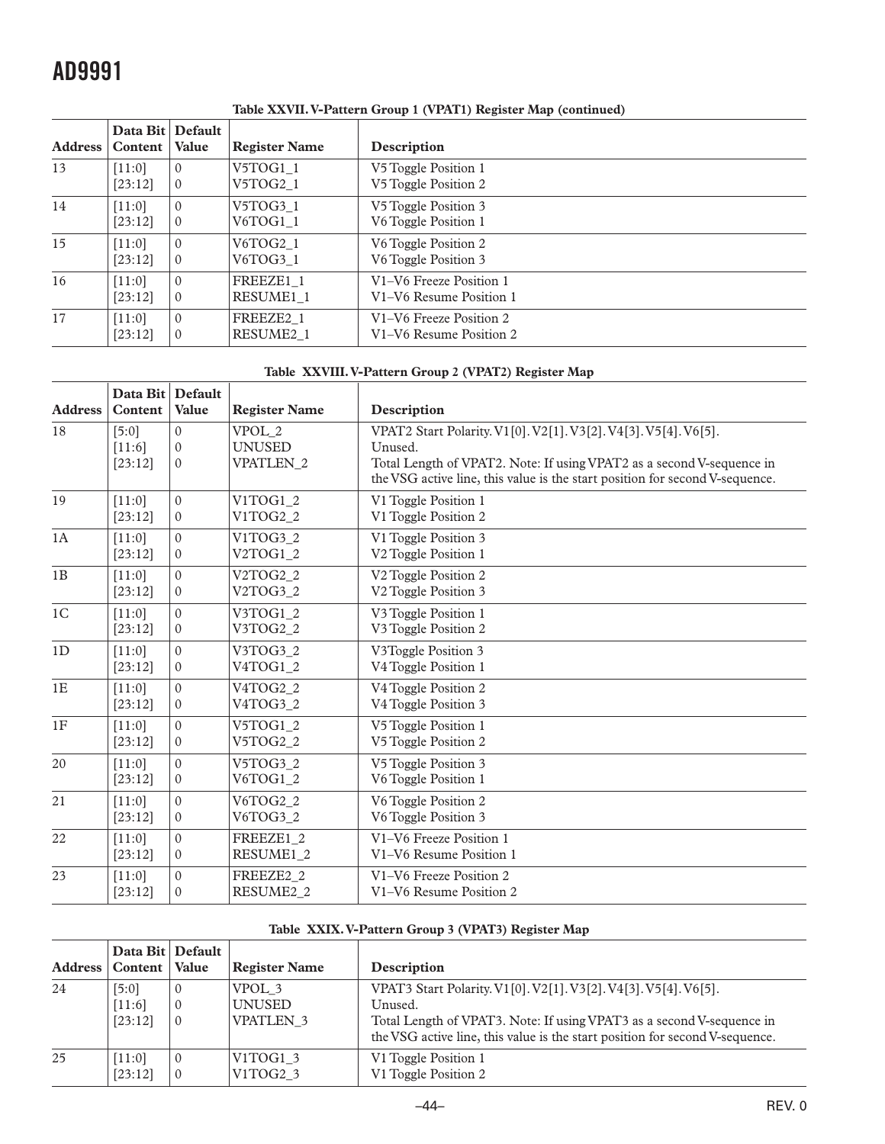| <b>Address</b> | Data Bit Default<br>Content | <b>Value</b> | <b>Register Name</b>  | Description             |
|----------------|-----------------------------|--------------|-----------------------|-------------------------|
| 13             | $[11:0]$                    | $\Omega$     | V5TOG1 1              | V5 Toggle Position 1    |
|                | [23:12]                     | $\mathbf{0}$ | V5TOG2_1              | V5 Toggle Position 2    |
| 14             | $[11:0]$                    | $\Omega$     | V5TOG3 1              | V5 Toggle Position 3    |
|                | [23:12]                     | $\mathbf{0}$ | V6TOG1_1              | V6 Toggle Position 1    |
| 15             | [11:0]                      | $\Omega$     | V6TOG2 1              | V6 Toggle Position 2    |
|                | [23:12]                     | $\mathbf{0}$ | V6TOG3 1              | V6 Toggle Position 3    |
| 16             | $[11:0]$                    | $\Omega$     | FREEZE1 1             | V1-V6 Freeze Position 1 |
|                | [23:12]                     | $\mathbf{0}$ | RESUME1 1             | V1-V6 Resume Position 1 |
| 17             | $[11:0]$                    | $\theta$     | FREEZE <sub>2</sub> 1 | V1-V6 Freeze Position 2 |
|                | [23:12]                     | $\mathbf{0}$ | RESUME <sub>2</sub> 1 | V1-V6 Resume Position 2 |

**Table XXVII. V-Pattern Group 1 (VPAT1) Register Map (continued)**

#### **Table XXVIII. V-Pattern Group 2 (VPAT2) Register Map**

|                | Data Bit Default |              |                                   |                                                                              |
|----------------|------------------|--------------|-----------------------------------|------------------------------------------------------------------------------|
| <b>Address</b> | Content          | Value        | <b>Register Name</b>              | Description                                                                  |
| 18             | [5:0]            | $\Omega$     | VPOL 2                            | VPAT2 Start Polarity. V1[0]. V2[1]. V3[2]. V4[3]. V5[4]. V6[5].              |
|                | [11:6]           | $\Omega$     | <b>UNUSED</b>                     | Unused.                                                                      |
|                | [23:12]          | $\Omega$     | <b>VPATLEN 2</b>                  | Total Length of VPAT2. Note: If using VPAT2 as a second V-sequence in        |
|                |                  |              |                                   | the VSG active line, this value is the start position for second V-sequence. |
| 19             | [11:0]           | $\Omega$     | V1TOG1 2                          | V1 Toggle Position 1                                                         |
|                | [23:12]          | $\mathbf{0}$ | V1TOG2 2                          | V1 Toggle Position 2                                                         |
| 1A             | [11:0]           | $\theta$     | V1TOG3 2                          | V1 Toggle Position 3                                                         |
|                | [23:12]          | $\Omega$     | V2TOG1 2                          | V2 Toggle Position 1                                                         |
| 1B             | [11:0]           | $\mathbf{0}$ | V2TOG2 2                          | V <sub>2</sub> Toggle Position 2                                             |
|                | [23:12]          | $\mathbf{0}$ | V <sub>2</sub> TOG <sub>3</sub> 2 | V <sub>2</sub> Toggle Position 3                                             |
| 1 <sup>C</sup> | [11:0]           | $\Omega$     | V3TOG1 2                          | V3 Toggle Position 1                                                         |
|                | [23:12]          | $\mathbf{0}$ | V3TOG2 2                          | V3 Toggle Position 2                                                         |
| 1D             | [11:0]           | $\Omega$     | V3TOG3 2                          | V3Toggle Position 3                                                          |
|                | [23:12]          | $\mathbf{0}$ | V4TOG1 2                          | V4 Toggle Position 1                                                         |
| 1E             | [11:0]           | $\Omega$     | V4TOG2 2                          | V4 Toggle Position 2                                                         |
|                | [23:12]          | $\mathbf{0}$ | V4TOG3 2                          | V4 Toggle Position 3                                                         |
| 1F             | [11:0]           | $\Omega$     | V5TOG1 2                          | V5 Toggle Position 1                                                         |
|                | [23:12]          | $\mathbf{0}$ | V5TOG2_2                          | V5 Toggle Position 2                                                         |
| 20             | [11:0]           | $\Omega$     | V5TOG3 2                          | V5 Toggle Position 3                                                         |
|                | [23:12]          | $\mathbf{0}$ | V6TOG1 2                          | V6 Toggle Position 1                                                         |
| 21             | [11:0]           | $\Omega$     | V6TOG2 2                          | V6 Toggle Position 2                                                         |
|                | [23:12]          | $\mathbf{0}$ | V6TOG3 2                          | V6 Toggle Position 3                                                         |
| 22             | [11:0]           | $\Omega$     | FREEZE1 2                         | V1-V6 Freeze Position 1                                                      |
|                | [23:12]          | $\mathbf{0}$ | RESUME1 2                         | V1-V6 Resume Position 1                                                      |
| 23             | [11:0]           | $\theta$     | FREEZE2 2                         | V1-V6 Freeze Position 2                                                      |
|                | [23:12]          | $\mathbf{0}$ | RESUME2 2                         | V1-V6 Resume Position 2                                                      |

#### **Table XXIX. V-Pattern Group 3 (VPAT3) Register Map**

|    | Data Bit Default<br>Address   Content   Value |                                         | <b>Register Name</b>                          | Description                                                                                                                                                                                                                         |
|----|-----------------------------------------------|-----------------------------------------|-----------------------------------------------|-------------------------------------------------------------------------------------------------------------------------------------------------------------------------------------------------------------------------------------|
| 24 | [5:0]<br>[11:6]<br>[23:12]                    | $\theta$<br>$\Omega$<br>$\vert 0 \vert$ | VPOL 3<br><b>UNUSED</b><br><b>VPATLEN 3</b>   | VPAT3 Start Polarity. V1[0]. V2[1]. V3[2]. V4[3]. V5[4]. V6[5].<br>Unused.<br>Total Length of VPAT3. Note: If using VPAT3 as a second V-sequence in<br>the VSG active line, this value is the start position for second V-sequence. |
| 25 | [11:0]<br>[23:12]                             | $\Omega$<br>$\overline{0}$              | V <sub>1</sub> TOG <sub>1</sub> 3<br>V1TOG2 3 | V1 Toggle Position 1<br>V1 Toggle Position 2                                                                                                                                                                                        |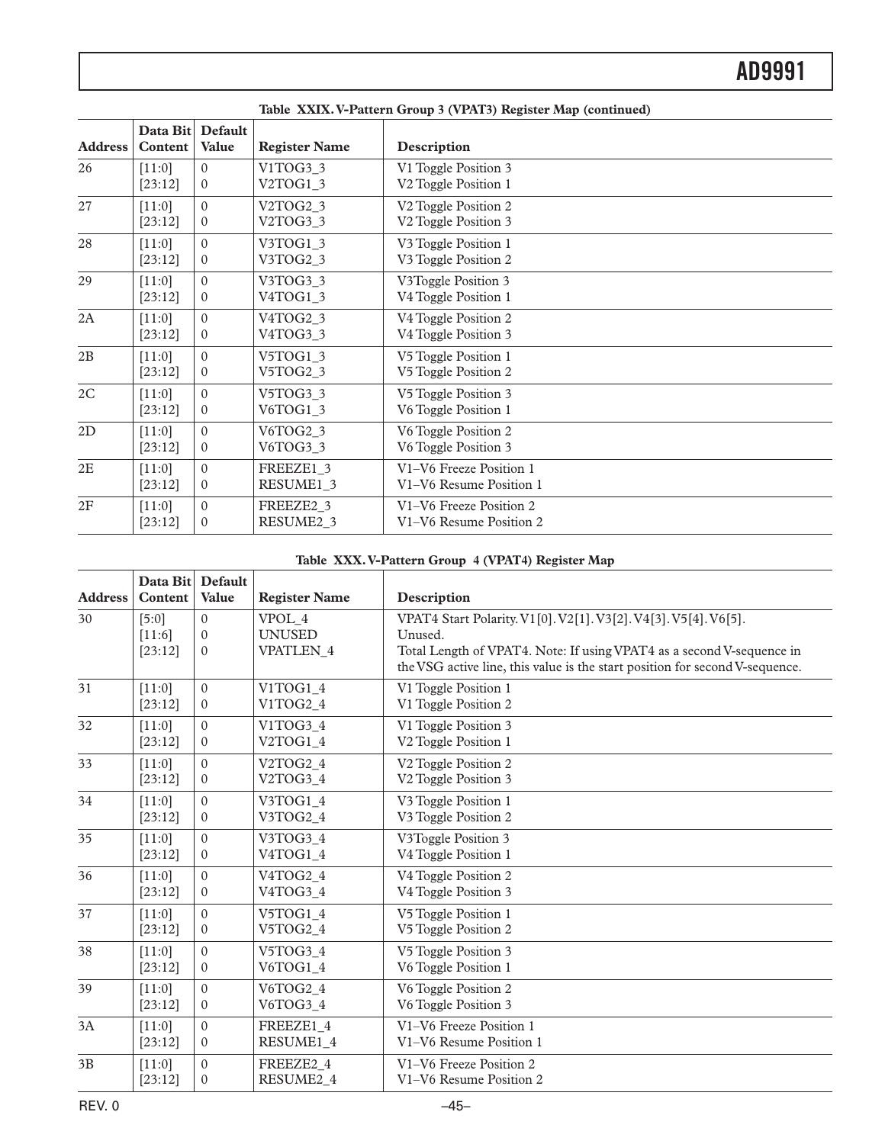| <b>Address</b> | Data Bit<br>Content | Default<br><b>Value</b> | <b>Register Name</b>              | Description                      |
|----------------|---------------------|-------------------------|-----------------------------------|----------------------------------|
| 26             | [11:0]              | $\Omega$                | V1TOG3 3                          | V1 Toggle Position 3             |
|                | [23:12]             | $\mathbf{0}$            | V2TOG1_3                          | V2 Toggle Position 1             |
| 27             | [11:0]              | $\Omega$                | V2TOG2 3                          | V <sub>2</sub> Toggle Position 2 |
|                | [23:12]             | $\Omega$                | V2TOG3_3                          | V2 Toggle Position 3             |
| 28             | [11:0]              | $\Omega$                | V3TOG1_3                          | V3 Toggle Position 1             |
|                | [23:12]             | $\overline{0}$          | V3TOG2_3                          | V3 Toggle Position 2             |
| 29             | [11:0]              | $\Omega$                | V3TOG3_3                          | V3Toggle Position 3              |
|                | [23:12]             | $\mathbf{0}$            | V4TOG1_3                          | V4 Toggle Position 1             |
| 2A             | [11:0]              | $\Omega$                | V4TOG2 3                          | V4 Toggle Position 2             |
|                | [23:12]             | $\overline{0}$          | V <sub>4</sub> TOG <sub>3_3</sub> | V4 Toggle Position 3             |
| 2B             | [11:0]              | $\Omega$                | V5TOG1_3                          | V5 Toggle Position 1             |
|                | [23:12]             | $\overline{0}$          | V5TOG2_3                          | V5 Toggle Position 2             |
| 2C             | [11:0]              | $\Omega$                | V5TOG3_3                          | V5 Toggle Position 3             |
|                | [23:12]             | $\mathbf{0}$            | V6TOG1_3                          | V6 Toggle Position 1             |
| 2D             | [11:0]              | $\Omega$                | V6TOG2 3                          | V6 Toggle Position 2             |
|                | [23:12]             | $\overline{0}$          | V6TOG3_3                          | V6 Toggle Position 3             |
| $2\mathrm{E}$  | [11:0]              | $\Omega$                | FREEZE1 3                         | V1-V6 Freeze Position 1          |
|                | [23:12]             | $\mathbf{0}$            | RESUME1 3                         | V1-V6 Resume Position 1          |
| 2F             | [11:0]              | $\mathbf{0}$            | FREEZE2 3                         | V1-V6 Freeze Position 2          |
|                | [23:12]             | $\mathbf{0}$            | RESUME2 3                         | V1-V6 Resume Position 2          |

**Table XXIX. V-Pattern Group 3 (VPAT3) Register Map (continued)**

#### **Table XXX. V-Pattern Group 4 (VPAT4) Register Map**

| <b>Address</b> | Data Bit Default<br>Content | <b>Value</b>   | <b>Register Name</b> | Description                                                                  |
|----------------|-----------------------------|----------------|----------------------|------------------------------------------------------------------------------|
| 30             | [5:0]                       | $\theta$       | VPOL 4               | VPAT4 Start Polarity. V1[0]. V2[1]. V3[2]. V4[3]. V5[4]. V6[5].              |
|                | [11:6]                      | $\Omega$       | <b>UNUSED</b>        | Unused.                                                                      |
|                | [23:12]                     | $\mathbf{0}$   | <b>VPATLEN 4</b>     | Total Length of VPAT4. Note: If using VPAT4 as a second V-sequence in        |
|                |                             |                |                      | the VSG active line, this value is the start position for second V-sequence. |
| 31             | [11:0]                      | $\theta$       | V1TOG1 4             | V1 Toggle Position 1                                                         |
|                | [23:12]                     | $\Omega$       | V1TOG2 4             | V1 Toggle Position 2                                                         |
| 32             | [11:0]                      | $\theta$       | V1TOG3 4             | V1 Toggle Position 3                                                         |
|                | [23:12]                     | $\mathbf{0}$   | V2TOG1_4             | V <sub>2</sub> Toggle Position 1                                             |
| 33             | [11:0]                      | $\Omega$       | V2TOG2 4             | V <sub>2</sub> Toggle Position 2                                             |
|                | [23:12]                     | $\overline{0}$ | V2TOG3_4             | V <sub>2</sub> Toggle Position 3                                             |
| 34             | [11:0]                      | $\theta$       | V3TOG1_4             | V3 Toggle Position 1                                                         |
|                | [23:12]                     | $\mathbf{0}$   | V3TOG2_4             | V3 Toggle Position 2                                                         |
| 35             | [11:0]                      | $\mathbf{0}$   | V3TOG3 4             | V3Toggle Position 3                                                          |
|                | [23:12]                     | $\mathbf{0}$   | V4TOG1_4             | V4 Toggle Position 1                                                         |
| 36             | [11:0]                      | $\theta$       | V4TOG2 4             | V4 Toggle Position 2                                                         |
|                | [23:12]                     | $\overline{0}$ | V4TOG3 4             | V4 Toggle Position 3                                                         |
| 37             | [11:0]                      | $\theta$       | V5TOG1 4             | V5 Toggle Position 1                                                         |
|                | [23:12]                     | $\mathbf{0}$   | V5TOG2 4             | V5 Toggle Position 2                                                         |
| 38             | [11:0]                      | $\mathbf{0}$   | V5TOG3 4             | V5 Toggle Position 3                                                         |
|                | [23:12]                     | $\overline{0}$ | V6TOG1 4             | V6 Toggle Position 1                                                         |
| 39             | [11:0]                      | $\theta$       | V6TOG2 4             | V6 Toggle Position 2                                                         |
|                | [23:12]                     | $\mathbf{0}$   | V6TOG3 4             | V6 Toggle Position 3                                                         |
| 3A             | [11:0]                      | $\theta$       | FREEZE1 4            | V1-V6 Freeze Position 1                                                      |
|                | [23:12]                     | $\overline{0}$ | RESUME1_4            | V1-V6 Resume Position 1                                                      |
| 3B             | [11:0]                      | $\theta$       | FREEZE2 4            | V1-V6 Freeze Position 2                                                      |
|                | [23:12]                     | $\mathbf{0}$   | RESUME2_4            | V1-V6 Resume Position 2                                                      |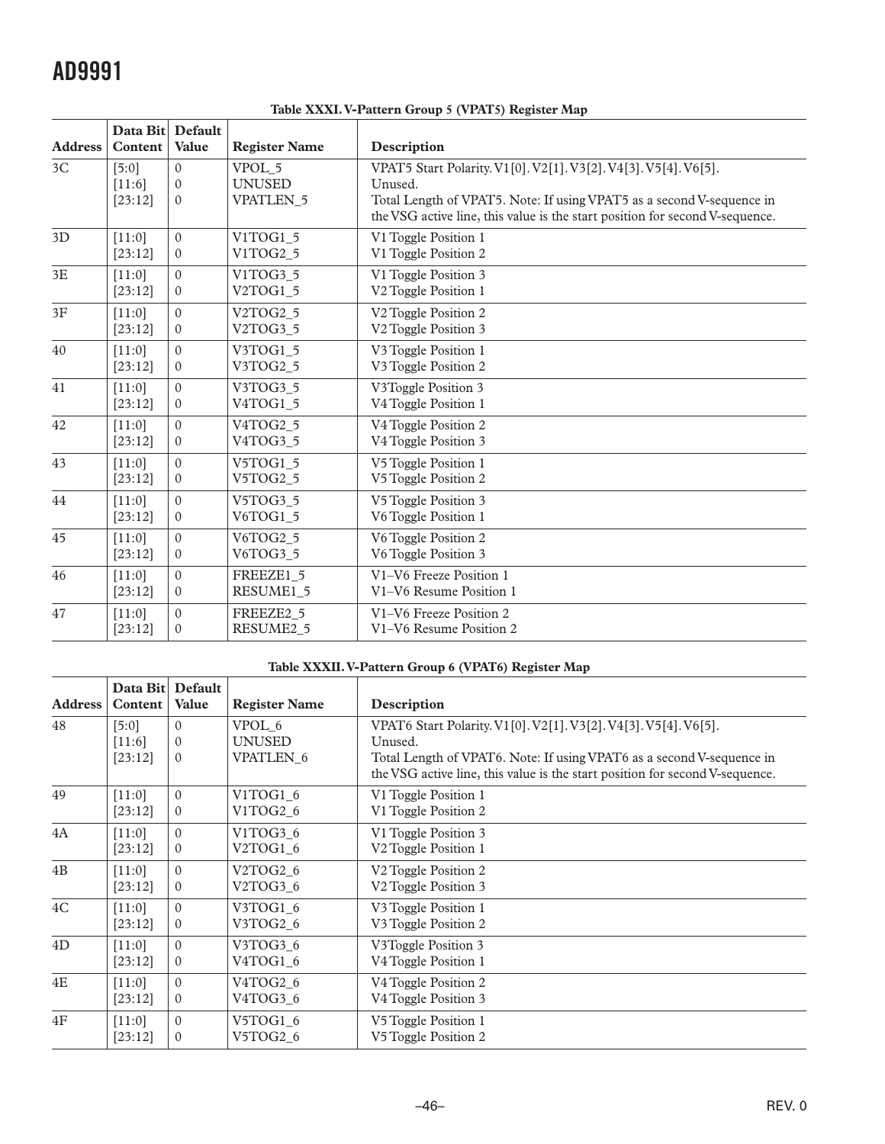|                | Data Bit Default |                |                                   |                                                                              |
|----------------|------------------|----------------|-----------------------------------|------------------------------------------------------------------------------|
| <b>Address</b> | <b>Content</b>   | <b>Value</b>   | <b>Register Name</b>              | Description                                                                  |
| 3C             | $[5:0]$          | $\theta$       | VPOL 5                            | VPAT5 Start Polarity. V1[0]. V2[1]. V3[2]. V4[3]. V5[4]. V6[5].              |
|                | $[11:6]$         | $\Omega$       | <b>UNUSED</b>                     | Unused.                                                                      |
|                | [23:12]          | $\Omega$       | <b>VPATLEN 5</b>                  | Total Length of VPAT5. Note: If using VPAT5 as a second V-sequence in        |
|                |                  |                |                                   | the VSG active line, this value is the start position for second V-sequence. |
| 3D             | [11:0]           | $\theta$       | V1TOG1 5                          | V1 Toggle Position 1                                                         |
|                | [23:12]          | $\mathbf{0}$   | V1TOG2 5                          | V1 Toggle Position 2                                                         |
| 3E             | [11:0]           | $\theta$       | V1TOG3 5                          | V1 Toggle Position 3                                                         |
|                | [23:12]          | $\mathbf{0}$   | V2TOG1_5                          | V2 Toggle Position 1                                                         |
| 3F             | [11:0]           | $\Omega$       | V2TOG2 5                          | V <sub>2</sub> Toggle Position 2                                             |
|                | [23:12]          | $\mathbf{0}$   | V2TOG3_5                          | V <sub>2</sub> Toggle Position 3                                             |
| 40             | [11:0]           | $\Omega$       | V3TOG1 5                          | V3 Toggle Position 1                                                         |
|                | [23:12]          | $\mathbf{0}$   | V3TOG2 5                          | V3 Toggle Position 2                                                         |
| 41             | [11:0]           | $\Omega$       | V3TOG3 5                          | V3Toggle Position 3                                                          |
|                | [23:12]          | $\overline{0}$ | V <sub>4</sub> TOG <sub>1</sub> 5 | V4 Toggle Position 1                                                         |
| 42             | [11:0]           | $\Omega$       | V4TOG2 5                          | V4 Toggle Position 2                                                         |
|                | [23:12]          | $\mathbf{0}$   | V4TOG3 5                          | V4 Toggle Position 3                                                         |
| 43             | [11:0]           | $\theta$       | V5TOG1 5                          | V5 Toggle Position 1                                                         |
|                | [23:12]          | $\mathbf{0}$   | V5TOG2_5                          | V5 Toggle Position 2                                                         |
| 44             | [11:0]           | $\theta$       | V5TOG3 5                          | V5 Toggle Position 3                                                         |
|                | [23:12]          | $\overline{0}$ | V6TOG1_5                          | V6 Toggle Position 1                                                         |
| 45             | [11:0]           | $\Omega$       | V6TOG2 5                          | V6 Toggle Position 2                                                         |
|                | [23:12]          | $\mathbf{0}$   | V6TOG3_5                          | V6 Toggle Position 3                                                         |
| 46             | [11:0]           | $\mathbf{0}$   | FREEZE1 5                         | V1-V6 Freeze Position 1                                                      |
|                | [23:12]          | $\mathbf{0}$   | RESUME1 5                         | V1-V6 Resume Position 1                                                      |
| 47             | [11:0]           | $\theta$       | FREEZE2 5                         | V1-V6 Freeze Position 2                                                      |
|                | [23:12]          | $\Omega$       | RESUME2 5                         | V1-V6 Resume Position 2                                                      |

#### **Table XXXI. V-Pattern Group 5 (VPAT5) Register Map**

#### **Table XXXII. V-Pattern Group 6 (VPAT6) Register Map**

| <b>Address</b> | Data Bit<br>Content        | Default<br><b>Value</b>          | <b>Register Name</b>                        | Description                                                                                                                                                                                                                         |
|----------------|----------------------------|----------------------------------|---------------------------------------------|-------------------------------------------------------------------------------------------------------------------------------------------------------------------------------------------------------------------------------------|
| 48             | [5:0]<br>[11:6]<br>[23:12] | $\theta$<br>$\Omega$<br>$\Omega$ | VPOL 6<br><b>UNUSED</b><br><b>VPATLEN 6</b> | VPAT6 Start Polarity. V1[0]. V2[1]. V3[2]. V4[3]. V5[4]. V6[5].<br>Unused.<br>Total Length of VPAT6. Note: If using VPAT6 as a second V-sequence in<br>the VSG active line, this value is the start position for second V-sequence. |
| 49             | [11:0]                     | $\theta$                         | V1TOG1_6                                    | V1 Toggle Position 1                                                                                                                                                                                                                |
|                | [23:12]                    | $\mathbf{0}$                     | V1TOG2 6                                    | V1 Toggle Position 2                                                                                                                                                                                                                |
| 4A             | [11:0]                     | $\Omega$                         | V1TOG3 6                                    | V1 Toggle Position 3                                                                                                                                                                                                                |
|                | [23:12]                    | $\Omega$                         | V2TOG1_6                                    | V2 Toggle Position 1                                                                                                                                                                                                                |
| 4B             | [11:0]                     | $\Omega$                         | V2TOG2 6                                    | V <sub>2</sub> Toggle Position 2                                                                                                                                                                                                    |
|                | [23:12]                    | $\mathbf{0}$                     | V2TOG3 6                                    | V <sub>2</sub> Toggle Position 3                                                                                                                                                                                                    |
| $4\mathrm{C}$  | [11:0]                     | $\theta$                         | V3TOG1 6                                    | V3 Toggle Position 1                                                                                                                                                                                                                |
|                | [23:12]                    | $\theta$                         | V3TOG2 6                                    | V3 Toggle Position 2                                                                                                                                                                                                                |
| 4D             | [11:0]                     | $\theta$                         | V3TOG3 6                                    | V3Toggle Position 3                                                                                                                                                                                                                 |
|                | [23:12]                    | $\Omega$                         | V4TOG1 6                                    | V <sub>4</sub> Toggle Position 1                                                                                                                                                                                                    |
| $4E$           | [11:0]                     | $\theta$                         | V4TOG2 6                                    | V4 Toggle Position 2                                                                                                                                                                                                                |
|                | [23:12]                    | $\mathbf{0}$                     | V4TOG3 6                                    | V4 Toggle Position 3                                                                                                                                                                                                                |
| 4F             | $[11:0]$                   | $\Omega$                         | V5TOG1 6                                    | V5 Toggle Position 1                                                                                                                                                                                                                |
|                | [23:12]                    | $\Omega$                         | V5TOG2_6                                    | V5 Toggle Position 2                                                                                                                                                                                                                |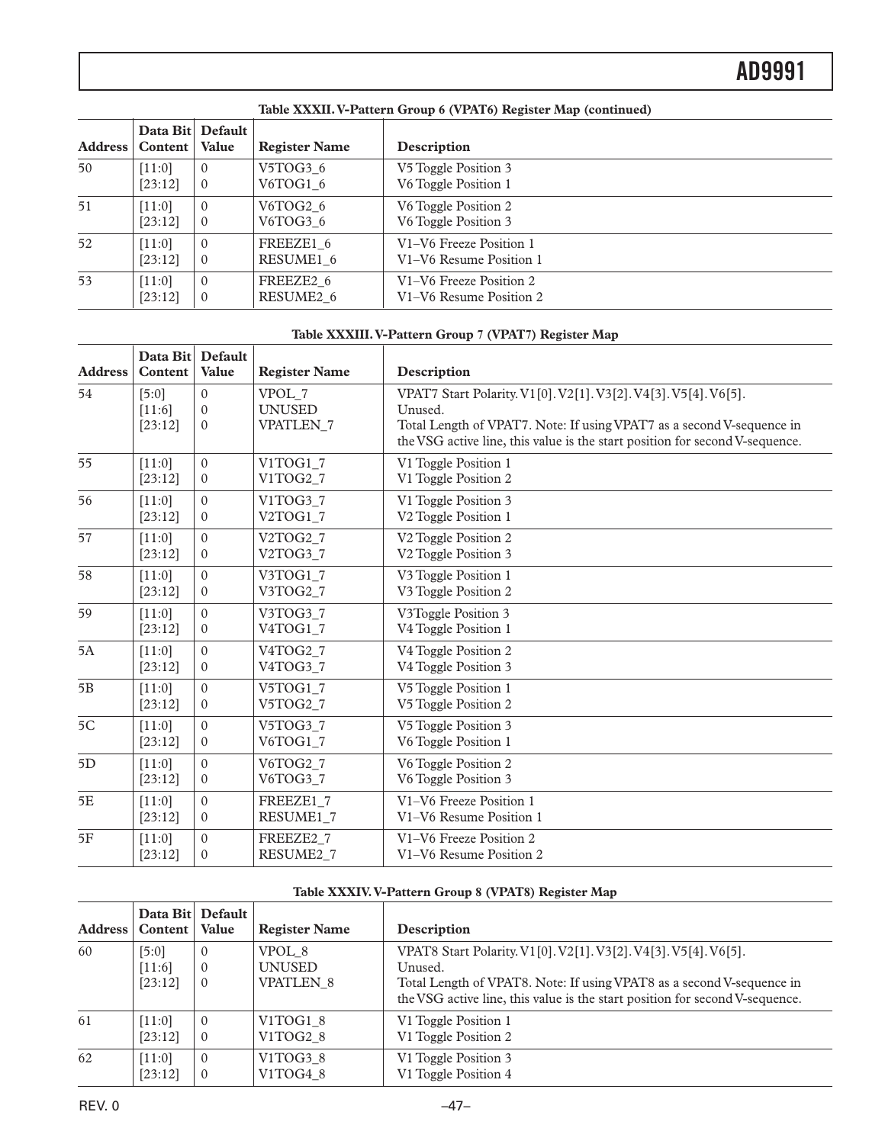|         | TWOIV INTEREST T & WILD IN OF OWD O (TAILER) INDIANAL TRAP (CONSIDERS) |                           |                       |                         |  |
|---------|------------------------------------------------------------------------|---------------------------|-----------------------|-------------------------|--|
| Address | Content                                                                | Data Bit Default<br>Value | <b>Register Name</b>  | Description             |  |
| 50      | $[11:0]$                                                               | $\Omega$                  | V5TOG3 6              | V5 Toggle Position 3    |  |
|         | [23:12]                                                                | $\theta$                  | V6TOG1 6              | V6 Toggle Position 1    |  |
| 51      | [11:0]                                                                 | $\Omega$                  | V6TOG2 6              | V6 Toggle Position 2    |  |
|         | [23:12]                                                                | $\theta$                  | V6TOG3 6              | V6 Toggle Position 3    |  |
| 52      | [11:0]                                                                 | $\Omega$                  | FREEZE1 6             | V1-V6 Freeze Position 1 |  |
|         | [23:12]                                                                | $\theta$                  | RESUME1 6             | V1-V6 Resume Position 1 |  |
| 53      | [11:0]                                                                 | $\mathbf{0}$              | FREEZE2 6             | V1-V6 Freeze Position 2 |  |
|         | [23:12]                                                                | $\mathbf{0}$              | RESUME <sub>2</sub> 6 | V1–V6 Resume Position 2 |  |

#### **Table XXXII. V-Pattern Group 6 (VPAT6) Register Map (continued)**

#### **Table XXXIII. V-Pattern Group 7 (VPAT7) Register Map**

| <b>Address</b> | Data Bit<br>Content | <b>Default</b><br>Value | <b>Register Name</b> | Description                                                                                                                                           |
|----------------|---------------------|-------------------------|----------------------|-------------------------------------------------------------------------------------------------------------------------------------------------------|
| 54             | $[5:0]$             | $\Omega$                | VPOL 7               | VPAT7 Start Polarity. V1[0]. V2[1]. V3[2]. V4[3]. V5[4]. V6[5].                                                                                       |
|                | [11:6]              | $\Omega$                | <b>UNUSED</b>        | Unused.                                                                                                                                               |
|                | [23:12]             | $\Omega$                | <b>VPATLEN 7</b>     | Total Length of VPAT7. Note: If using VPAT7 as a second V-sequence in<br>the VSG active line, this value is the start position for second V-sequence. |
| 55             | [11:0]              | $\theta$                | V1TOG1_7             | V1 Toggle Position 1                                                                                                                                  |
|                | [23:12]             | $\mathbf{0}$            | V1TOG2 7             | V1 Toggle Position 2                                                                                                                                  |
| 56             | [11:0]              | $\Omega$                | V1TOG3_7             | V1 Toggle Position 3                                                                                                                                  |
|                | [23:12]             | $\Omega$                | V2TOG1_7             | V2 Toggle Position 1                                                                                                                                  |
| 57             | [11:0]              | $\theta$                | V2TOG2 7             | V <sub>2</sub> Toggle Position 2                                                                                                                      |
|                | [23:12]             | $\mathbf{0}$            | V2TOG3_7             | V2 Toggle Position 3                                                                                                                                  |
| 58             | [11:0]              | $\theta$                | V3TOG1_7             | V3 Toggle Position 1                                                                                                                                  |
|                | [23:12]             | $\Omega$                | V3TOG2_7             | V3 Toggle Position 2                                                                                                                                  |
| 59             | [11:0]              | $\mathbf{0}$            | V3TOG3_7             | V3Toggle Position 3                                                                                                                                   |
|                | [23:12]             | $\Omega$                | V4TOG1_7             | V4 Toggle Position 1                                                                                                                                  |
| 5A             | [11:0]              | $\theta$                | V4TOG2 7             | V4 Toggle Position 2                                                                                                                                  |
|                | [23:12]             | $\mathbf{0}$            | V4TOG3_7             | V4 Toggle Position 3                                                                                                                                  |
| 5B             | [11:0]              | $\Omega$                | V5TOG1 7             | V5 Toggle Position 1                                                                                                                                  |
|                | [23:12]             | $\boldsymbol{0}$        | V5TOG2_7             | V5 Toggle Position 2                                                                                                                                  |
| 5C             | [11:0]              | $\theta$                | V5TOG3_7             | V5 Toggle Position 3                                                                                                                                  |
|                | [23:12]             | $\Omega$                | V6TOG1_7             | V6 Toggle Position 1                                                                                                                                  |
| 5D             | [11:0]              | $\theta$                | V6TOG2 7             | V6 Toggle Position 2                                                                                                                                  |
|                | [23:12]             | $\mathbf{0}$            | V6TOG3_7             | V6 Toggle Position 3                                                                                                                                  |
| 5E             | [11:0]              | $\theta$                | FREEZE1 7            | V1-V6 Freeze Position 1                                                                                                                               |
|                | [23:12]             | $\Omega$                | RESUME1 7            | V1-V6 Resume Position 1                                                                                                                               |
| 5F             | [11:0]              | $\Omega$                | FREEZE2 7            | V1-V6 Freeze Position 2                                                                                                                               |
|                | [23:12]             | $\theta$                | RESUME2_7            | V1-V6 Resume Position 2                                                                                                                               |

#### **Table XXXIV. V-Pattern Group 8 (VPAT8) Register Map**

|                |                              | Data Bit Default                 |                                               |                                                                                                                                                                                                                                     |
|----------------|------------------------------|----------------------------------|-----------------------------------------------|-------------------------------------------------------------------------------------------------------------------------------------------------------------------------------------------------------------------------------------|
| <b>Address</b> | Content   Value              |                                  | <b>Register Name</b>                          | Description                                                                                                                                                                                                                         |
| 60             | [5:0]<br>$[11:6]$<br>[23:12] | $\theta$<br>$\theta$<br>$\theta$ | VPOL 8<br><b>UNUSED</b><br><b>VPATLEN 8</b>   | VPAT8 Start Polarity. V1[0]. V2[1]. V3[2]. V4[3]. V5[4]. V6[5].<br>Unused.<br>Total Length of VPAT8. Note: If using VPAT8 as a second V-sequence in<br>the VSG active line, this value is the start position for second V-sequence. |
| 61             | $[11:0]$<br>[23:12]          | $\Omega$<br>$\Omega$             | V1TOG1 8<br>V1TOG2 8                          | V1 Toggle Position 1<br>V1 Toggle Position 2                                                                                                                                                                                        |
| 62             | $[11:0]$<br>[23:12]          | $\mathbf{0}$<br>$\theta$         | V <sub>1</sub> TOG <sub>3</sub> 8<br>V1TOG4 8 | V1 Toggle Position 3<br>V1 Toggle Position 4                                                                                                                                                                                        |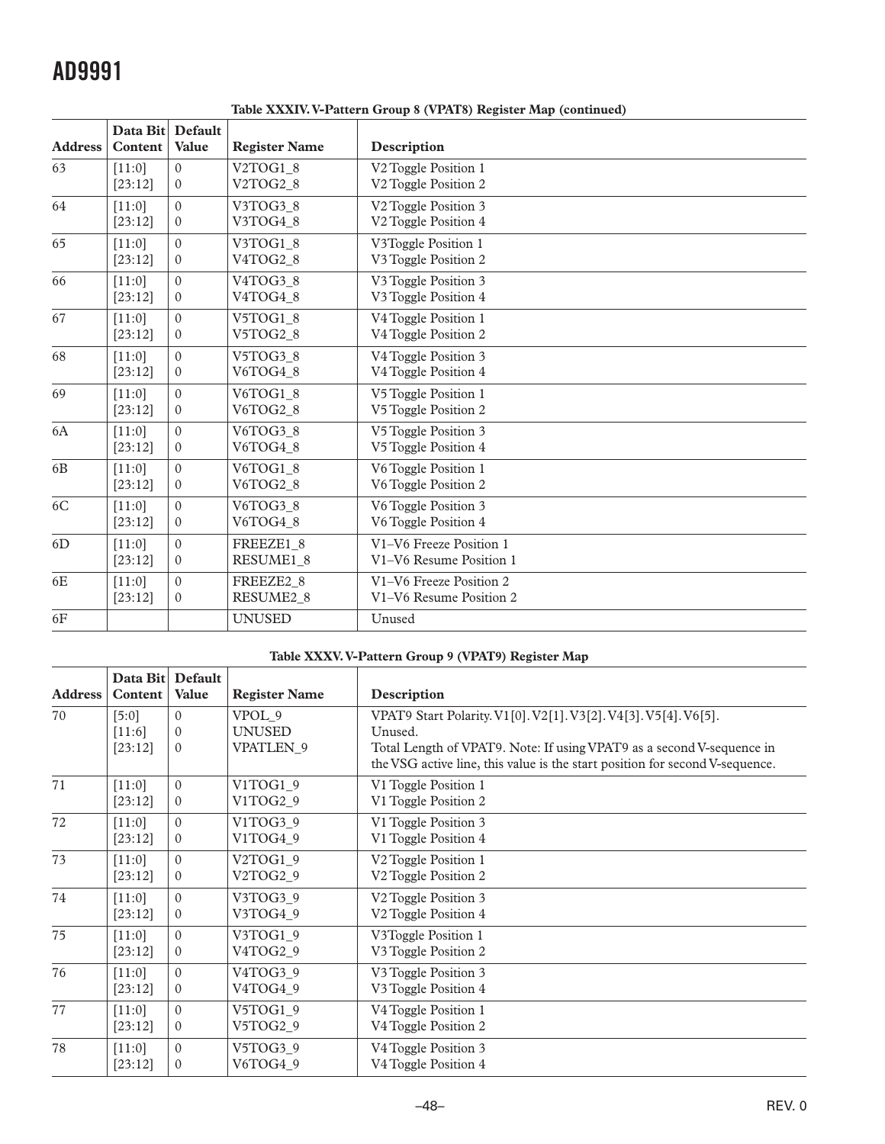| <b>Address</b> | Data Bit Default<br>Content | Value        | <b>Register Name</b>  | Description                      |
|----------------|-----------------------------|--------------|-----------------------|----------------------------------|
| 63             | [11:0]                      | $\Omega$     | V2TOG1 8              | V2 Toggle Position 1             |
|                | [23:12]                     | $\mathbf{0}$ | V2TOG2 8              | V <sub>2</sub> Toggle Position 2 |
| 64             | [11:0]                      | $\mathbf{0}$ | V3TOG3 8              | V <sub>2</sub> Toggle Position 3 |
|                | [23:12]                     | $\mathbf{0}$ | V3TOG4 8              | V <sub>2</sub> Toggle Position 4 |
| 65             | [11:0]                      | $\theta$     | V3TOG1 8              | V3Toggle Position 1              |
|                | [23:12]                     | $\mathbf{0}$ | V4TOG2_8              | V3 Toggle Position 2             |
| 66             | [11:0]                      | $\theta$     | V4TOG3 8              | V3 Toggle Position 3             |
|                | [23:12]                     | $\mathbf{0}$ | V4TOG4 8              | V3 Toggle Position 4             |
| 67             | [11:0]                      | $\mathbf{0}$ | V5TOG1 8              | V4 Toggle Position 1             |
|                | [23:12]                     | $\mathbf{0}$ | V5TOG2 8              | V4 Toggle Position 2             |
| 68             | [11:0]                      | $\mathbf{0}$ | V5TOG3 8              | V4 Toggle Position 3             |
|                | [23:12]                     | $\mathbf{0}$ | V6TOG4 8              | V4 Toggle Position 4             |
| 69             | [11:0]                      | $\theta$     | V6TOG1 8              | V5 Toggle Position 1             |
|                | [23:12]                     | $\mathbf{0}$ | V6TOG2 8              | V5 Toggle Position 2             |
| 6A             | [11:0]                      | $\Omega$     | V6TOG3 8              | V5 Toggle Position 3             |
|                | [23:12]                     | $\mathbf{0}$ | V6TOG4_8              | V5 Toggle Position 4             |
| 6 <sub>B</sub> | [11:0]                      | $\mathbf{0}$ | V6TOG1 8              | V6 Toggle Position 1             |
|                | [23:12]                     | $\mathbf{0}$ | V6TOG2 8              | V6 Toggle Position 2             |
| 6C             | [11:0]                      | $\theta$     | V6TOG3 8              | V6 Toggle Position 3             |
|                | [23:12]                     | $\mathbf{0}$ | V6TOG4 8              | V6 Toggle Position 4             |
| 6D             | [11:0]                      | $\mathbf{0}$ | FREEZE1 8             | V1-V6 Freeze Position 1          |
|                | [23:12]                     | $\mathbf{0}$ | RESUME1_8             | V1-V6 Resume Position 1          |
| 6E             | [11:0]                      | $\theta$     | FREEZE2 8             | V1-V6 Freeze Position 2          |
|                | [23:12]                     | $\theta$     | RESUME <sub>2_8</sub> | V1-V6 Resume Position 2          |
| 6F             |                             |              | <b>UNUSED</b>         | Unused                           |

**Table XXXIV. V-Pattern Group 8 (VPAT8) Register Map (continued)**

#### **Table XXXV. V-Pattern Group 9 (VPAT9) Register Map**

| <b>Address</b> | Data Bit<br>Content          | Default<br><b>Value</b>          | <b>Register Name</b>                        | Description                                                                                                                                                                                                                         |
|----------------|------------------------------|----------------------------------|---------------------------------------------|-------------------------------------------------------------------------------------------------------------------------------------------------------------------------------------------------------------------------------------|
| 70             | [5:0]<br>$[11:6]$<br>[23:12] | $\Omega$<br>$\Omega$<br>$\Omega$ | VPOL 9<br><b>UNUSED</b><br><b>VPATLEN 9</b> | VPAT9 Start Polarity. V1[0]. V2[1]. V3[2]. V4[3]. V5[4]. V6[5].<br>Unused.<br>Total Length of VPAT9. Note: If using VPAT9 as a second V-sequence in<br>the VSG active line, this value is the start position for second V-sequence. |
| 71             | [11:0]                       | $\Omega$                         | V1TOG1 <sub>9</sub>                         | V1 Toggle Position 1                                                                                                                                                                                                                |
|                | [23:12]                      | $\Omega$                         | V1TOG2 9                                    | V1 Toggle Position 2                                                                                                                                                                                                                |
| 72             | [11:0]                       | $\Omega$                         | V1TOG3 9                                    | V1 Toggle Position 3                                                                                                                                                                                                                |
|                | [23:12]                      | $\Omega$                         | V1TOG4 9                                    | V1 Toggle Position 4                                                                                                                                                                                                                |
| 73             | [11:0]                       | $\Omega$                         | V2TOG1_9                                    | V <sub>2</sub> Toggle Position 1                                                                                                                                                                                                    |
|                | [23:12]                      | $\Omega$                         | V2TOG2 9                                    | V <sub>2</sub> Toggle Position 2                                                                                                                                                                                                    |
| 74             | [11:0]                       | $\theta$                         | V3TOG3 9                                    | V <sub>2</sub> Toggle Position 3                                                                                                                                                                                                    |
|                | [23:12]                      | $\mathbf{0}$                     | V3TOG4 9                                    | V2 Toggle Position 4                                                                                                                                                                                                                |
| 75             | [11:0]                       | $\theta$                         | V3TOG1 9                                    | V3Toggle Position 1                                                                                                                                                                                                                 |
|                | [23:12]                      | $\mathbf{0}$                     | V4TOG2 9                                    | V3 Toggle Position 2                                                                                                                                                                                                                |
| 76             | [11:0]                       | $\theta$                         | V4TOG3 9                                    | V3 Toggle Position 3                                                                                                                                                                                                                |
|                | [23:12]                      | $\mathbf{0}$                     | V4TOG4 9                                    | V3 Toggle Position 4                                                                                                                                                                                                                |
| 77             | [11:0]                       | $\theta$                         | V5TOG1_9                                    | V4 Toggle Position 1                                                                                                                                                                                                                |
|                | [23:12]                      | $\mathbf{0}$                     | V5TOG2_9                                    | V4 Toggle Position 2                                                                                                                                                                                                                |
| 78             | [11:0]                       | $\Omega$                         | V5TOG3 9                                    | V4 Toggle Position 3                                                                                                                                                                                                                |
|                | [23:12]                      | $\mathbf{0}$                     | V6TOG4 9                                    | V4 Toggle Position 4                                                                                                                                                                                                                |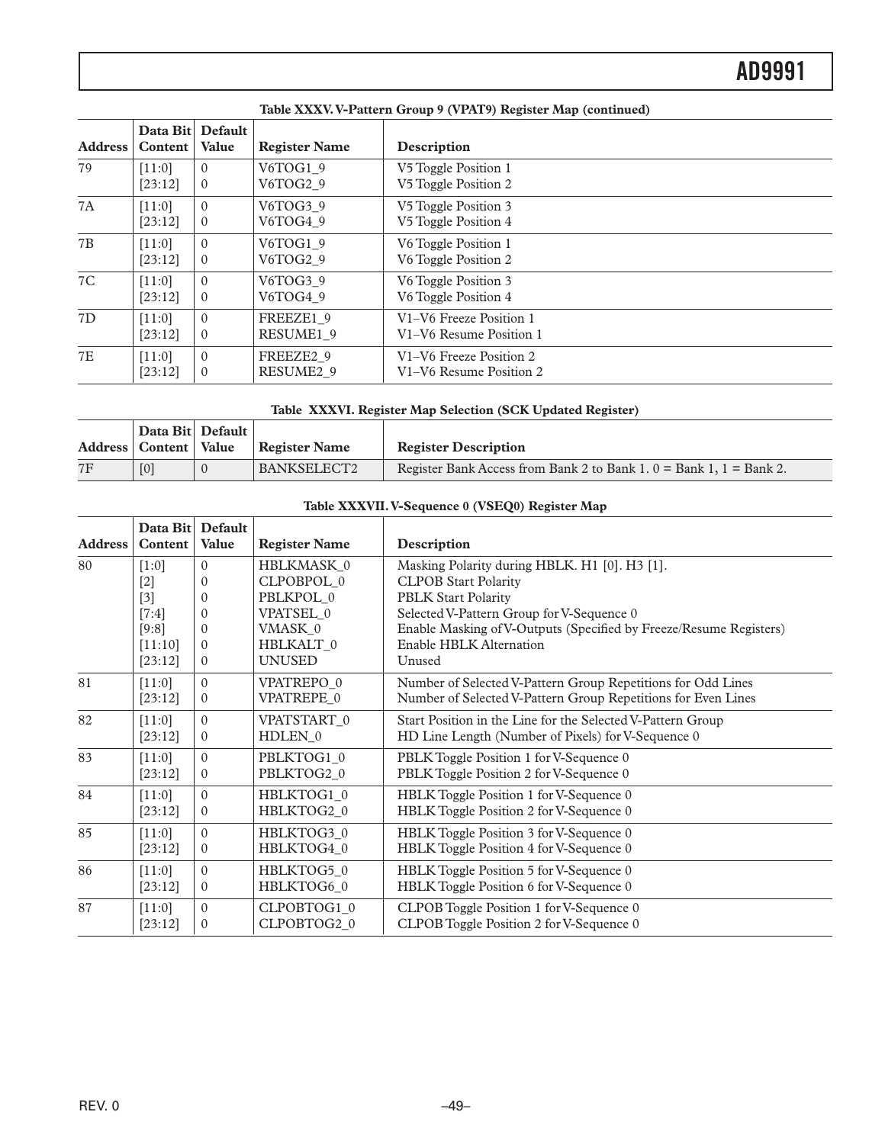|                | Taon Amin's P-1 ann an Oroup 7 ( Print 7) in gioni map (community) |                           |                       |                         |  |
|----------------|--------------------------------------------------------------------|---------------------------|-----------------------|-------------------------|--|
| <b>Address</b> | Content                                                            | Data Bit Default<br>Value | <b>Register Name</b>  | Description             |  |
| 79             | [11:0]                                                             | $\Omega$                  | V6TOG1 9              | V5 Toggle Position 1    |  |
|                | [23:12]                                                            | $\mathbf{0}$              | V6TOG2 9              | V5 Toggle Position 2    |  |
| 7A             | [11:0]                                                             | $\Omega$                  | V6TOG3 9              | V5 Toggle Position 3    |  |
|                | [23:12]                                                            | $\mathbf{0}$              | V6TOG4 9              | V5 Toggle Position 4    |  |
| 7B             | [11:0]                                                             | $\Omega$                  | V6TOG1 9              | V6 Toggle Position 1    |  |
|                | [23:12]                                                            | $\mathbf{0}$              | V6TOG2 9              | V6 Toggle Position 2    |  |
| 7C             | [11:0]                                                             | $\Omega$                  | V6TOG3 9              | V6 Toggle Position 3    |  |
|                | [23:12]                                                            | $\mathbf{0}$              | V6TOG4 9              | V6 Toggle Position 4    |  |
| 7D             | [11:0]                                                             | $\Omega$                  | FREEZE1 9             | V1-V6 Freeze Position 1 |  |
|                | [23:12]                                                            | $\mathbf{0}$              | RESUME1 9             | V1-V6 Resume Position 1 |  |
| <b>7E</b>      | [11:0]                                                             | $\Omega$                  | FREEZE2 9             | V1-V6 Freeze Position 2 |  |
|                | [23:12]                                                            | $\mathbf{0}$              | RESUME <sub>2</sub> 9 | V1-V6 Resume Position 2 |  |

#### **Table XXXV. V-Pattern Group 9 (VPAT9) Register Map (continued)**

**Table XXXVI. Register Map Selection (SCK Updated Register)**

|    | Data Bit Default          |                    |                                                                         |
|----|---------------------------|--------------------|-------------------------------------------------------------------------|
|    | Address   Content   Value | Register Name      | <b>Register Description</b>                                             |
| 7F | [0]                       | <b>BANKSELECT2</b> | Register Bank Access from Bank 2 to Bank 1, $0 =$ Bank 1, $1 =$ Bank 2. |

### **Table XXXVII. V-Sequence 0 (VSEQ0) Register Map**

| <b>Address</b> | Data Bit Default<br>Content | Value          | <b>Register Name</b> | Description                                                        |
|----------------|-----------------------------|----------------|----------------------|--------------------------------------------------------------------|
| 80             | $[1:0]$                     | $\Omega$       | HBLKMASK 0           | Masking Polarity during HBLK. H1 [0]. H3 [1].                      |
|                | $[2]$                       | $\Omega$       | CLPOBPOL 0           | <b>CLPOB Start Polarity</b>                                        |
|                | $[3]$                       | $\Omega$       | PBLKPOL 0            | <b>PBLK Start Polarity</b>                                         |
|                | $[7:4]$                     | $\Omega$       | VPATSEL 0            | Selected V-Pattern Group for V-Sequence 0                          |
|                | [9:8]                       | $\Omega$       | VMASK 0              | Enable Masking of V-Outputs (Specified by Freeze/Resume Registers) |
|                | [11:10]                     | $\Omega$       | HBLKALT 0            | Enable HBLK Alternation                                            |
|                | [23:12]                     | $\theta$       | <b>UNUSED</b>        | Unused                                                             |
| 81             | [11:0]                      | $\Omega$       | VPATREPO 0           | Number of Selected V-Pattern Group Repetitions for Odd Lines       |
|                | [23:12]                     | $\theta$       | VPATREPE_0           | Number of Selected V-Pattern Group Repetitions for Even Lines      |
| 82             | [11:0]                      | $\Omega$       | VPATSTART 0          | Start Position in the Line for the Selected V-Pattern Group        |
|                | [23:12]                     | $\Omega$       | HDLEN 0              | HD Line Length (Number of Pixels) for V-Sequence 0                 |
| 83             | [11:0]                      | $\Omega$       | PBLKTOG1 0           | PBLK Toggle Position 1 for V-Sequence 0                            |
|                | [23:12]                     | $\Omega$       | PBLKTOG2 0           | PBLK Toggle Position 2 for V-Sequence 0                            |
| 84             | [11:0]                      | $\theta$       | HBLKTOG1 0           | HBLK Toggle Position 1 for V-Sequence 0                            |
|                | [23:12]                     | $\theta$       | HBLKTOG2_0           | HBLK Toggle Position 2 for V-Sequence 0                            |
| 85             | [11:0]                      | $\Omega$       | HBLKTOG3 0           | HBLK Toggle Position 3 for V-Sequence 0                            |
|                | [23:12]                     | $\mathbf{0}$   | HBLKTOG4 0           | HBLK Toggle Position 4 for V-Sequence 0                            |
| 86             | [11:0]                      | $\Omega$       | HBLKTOG5 0           | HBLK Toggle Position 5 for V-Sequence 0                            |
|                | [23:12]                     | $\overline{0}$ | HBLKTOG6 0           | HBLK Toggle Position 6 for V-Sequence 0                            |
| 87             | [11:0]                      | $\Omega$       | CLPOBTOG10           | CLPOB Toggle Position 1 for V-Sequence 0                           |
|                | [23:12]                     | $\theta$       | CLPOBTOG2 0          | CLPOB Toggle Position 2 for V-Sequence 0                           |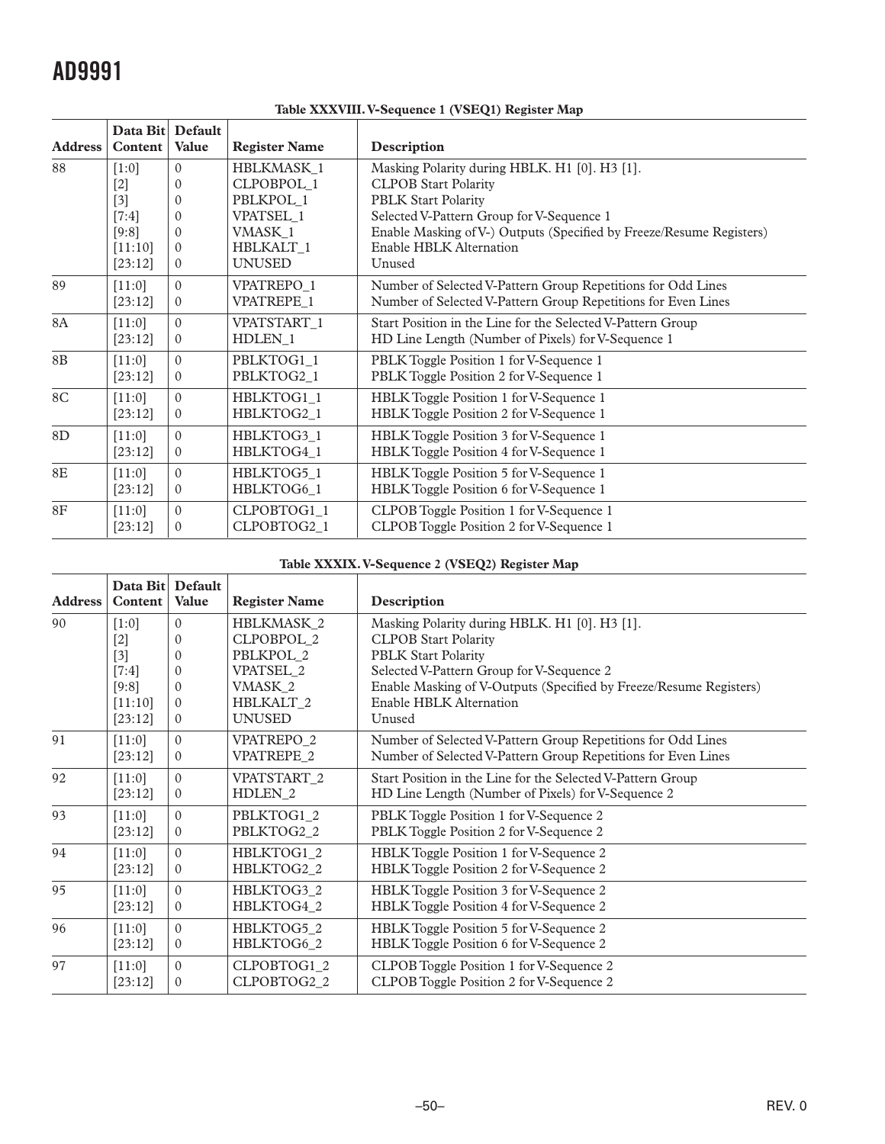| <b>Address</b> | Data Bit Default<br>Content | Value          | <b>Register Name</b>   | Description                                                          |
|----------------|-----------------------------|----------------|------------------------|----------------------------------------------------------------------|
| 88             | $[1:0]$                     | $\Omega$       | <b>HBLKMASK 1</b>      | Masking Polarity during HBLK. H1 [0]. H3 [1].                        |
|                | $[2]$                       | $\Omega$       | CLPOBPOL 1             | <b>CLPOB Start Polarity</b>                                          |
|                | $[3]$                       | $\Omega$       | PBLKPOL 1              | <b>PBLK Start Polarity</b>                                           |
|                | $[7:4]$                     | $\Omega$       | VPATSEL 1              | Selected V-Pattern Group for V-Sequence 1                            |
|                | [9:8]                       | $\Omega$       | VMASK <sub>1</sub>     | Enable Masking of V-) Outputs (Specified by Freeze/Resume Registers) |
|                | [11:10]                     | $\Omega$       | HBLKALT 1              | Enable HBLK Alternation                                              |
|                | [23:12]                     | $\Omega$       | <b>UNUSED</b>          | Unused                                                               |
| 89             | [11:0]                      | $\theta$       | VPATREPO <sub>1</sub>  | Number of Selected V-Pattern Group Repetitions for Odd Lines         |
|                | [23:12]                     | $\overline{0}$ | VPATREPE 1             | Number of Selected V-Pattern Group Repetitions for Even Lines        |
| <b>8A</b>      | $[11:0]$                    | $\Omega$       | VPATSTART <sub>1</sub> | Start Position in the Line for the Selected V-Pattern Group          |
|                | [23:12]                     | $\mathbf{0}$   | HDLEN 1                | HD Line Length (Number of Pixels) for V-Sequence 1                   |
| 8B             | [11:0]                      | $\theta$       | PBLKTOG1 1             | PBLK Toggle Position 1 for V-Sequence 1                              |
|                | [23:12]                     | $\Omega$       | PBLKTOG2_1             | PBLK Toggle Position 2 for V-Sequence 1                              |
| 8C             | [11:0]                      | $\Omega$       | HBLKTOG1 1             | HBLK Toggle Position 1 for V-Sequence 1                              |
|                | [23:12]                     | $\Omega$       | HBLKTOG2 1             | HBLK Toggle Position 2 for V-Sequence 1                              |
| 8D             | [11:0]                      | $\theta$       | HBLKTOG3 1             | HBLK Toggle Position 3 for V-Sequence 1                              |
|                | [23:12]                     | $\theta$       | HBLKTOG4 1             | HBLK Toggle Position 4 for V-Sequence 1                              |
| 8E             | [11:0]                      | $\Omega$       | HBLKTOG5 1             | HBLK Toggle Position 5 for V-Sequence 1                              |
|                | [23:12]                     | $\mathbf{0}$   | HBLKTOG6_1             | HBLK Toggle Position 6 for V-Sequence 1                              |
| 8F             | $[11:0]$                    | $\Omega$       | CLPOBTOG1_1            | CLPOB Toggle Position 1 for V-Sequence 1                             |
|                | [23:12]                     | $\Omega$       | CLPOBTOG2 1            | CLPOB Toggle Position 2 for V-Sequence 1                             |

**Table XXXVIII. V-Sequence 1 (VSEQ1) Register Map**

### **Table XXXIX. V-Sequence 2 (VSEQ2) Register Map**

| <b>Address</b> | Data Bit<br>Content | Default<br><b>Value</b> | <b>Register Name</b>   | Description                                                        |
|----------------|---------------------|-------------------------|------------------------|--------------------------------------------------------------------|
| 90             | $[1:0]$             | $\Omega$                | HBLKMASK 2             | Masking Polarity during HBLK. H1 [0]. H3 [1].                      |
|                | $[2]$               | $\Omega$                | CLPOBPOL 2             | <b>CLPOB Start Polarity</b>                                        |
|                | $[3]$               | $\Omega$                | PBLKPOL 2              | <b>PBLK Start Polarity</b>                                         |
|                | $[7:4]$             | $\Omega$                | VPATSEL 2              | Selected V-Pattern Group for V-Sequence 2                          |
|                | [9:8]               | $\Omega$                | VMASK 2                | Enable Masking of V-Outputs (Specified by Freeze/Resume Registers) |
|                | [11:10]             | $\Omega$                | <b>HBLKALT 2</b>       | <b>Enable HBLK Alternation</b>                                     |
|                | [23:12]             | $\Omega$                | <b>UNUSED</b>          | Unused                                                             |
| 91             | [11:0]              | $\Omega$                | VPATREPO_2             | Number of Selected V-Pattern Group Repetitions for Odd Lines       |
|                | [23:12]             | $\Omega$                | VPATREPE 2             | Number of Selected V-Pattern Group Repetitions for Even Lines      |
| 92             | [11:0]              | $\Omega$                | VPATSTART <sub>2</sub> | Start Position in the Line for the Selected V-Pattern Group        |
|                | [23:12]             | $\Omega$                | HDLEN <sub>2</sub>     | HD Line Length (Number of Pixels) for V-Sequence 2                 |
| 93             | [11:0]              | $\Omega$                | PBLKTOG1 2             | PBLK Toggle Position 1 for V-Sequence 2                            |
|                | [23:12]             | $\theta$                | PBLKTOG2_2             | PBLK Toggle Position 2 for V-Sequence 2                            |
| 94             | [11:0]              | $\Omega$                | HBLKTOG1 2             | HBLK Toggle Position 1 for V-Sequence 2                            |
|                | [23:12]             | $\theta$                | HBLKTOG2_2             | HBLK Toggle Position 2 for V-Sequence 2                            |
| 95             | [11:0]              | $\Omega$                | HBLKTOG3 2             | HBLK Toggle Position 3 for V-Sequence 2                            |
|                | [23:12]             | $\Omega$                | HBLKTOG4 2             | HBLK Toggle Position 4 for V-Sequence 2                            |
| 96             | [11:0]              | $\Omega$                | HBLKTOG5 2             | HBLK Toggle Position 5 for V-Sequence 2                            |
|                | [23:12]             | $\overline{0}$          | HBLKTOG6 2             | HBLK Toggle Position 6 for V-Sequence 2                            |
| 97             | [11:0]              | $\Omega$                | CLPOBTOG1_2            | CLPOB Toggle Position 1 for V-Sequence 2                           |
|                | [23:12]             | $\theta$                | CLPOBTOG2_2            | CLPOB Toggle Position 2 for V-Sequence 2                           |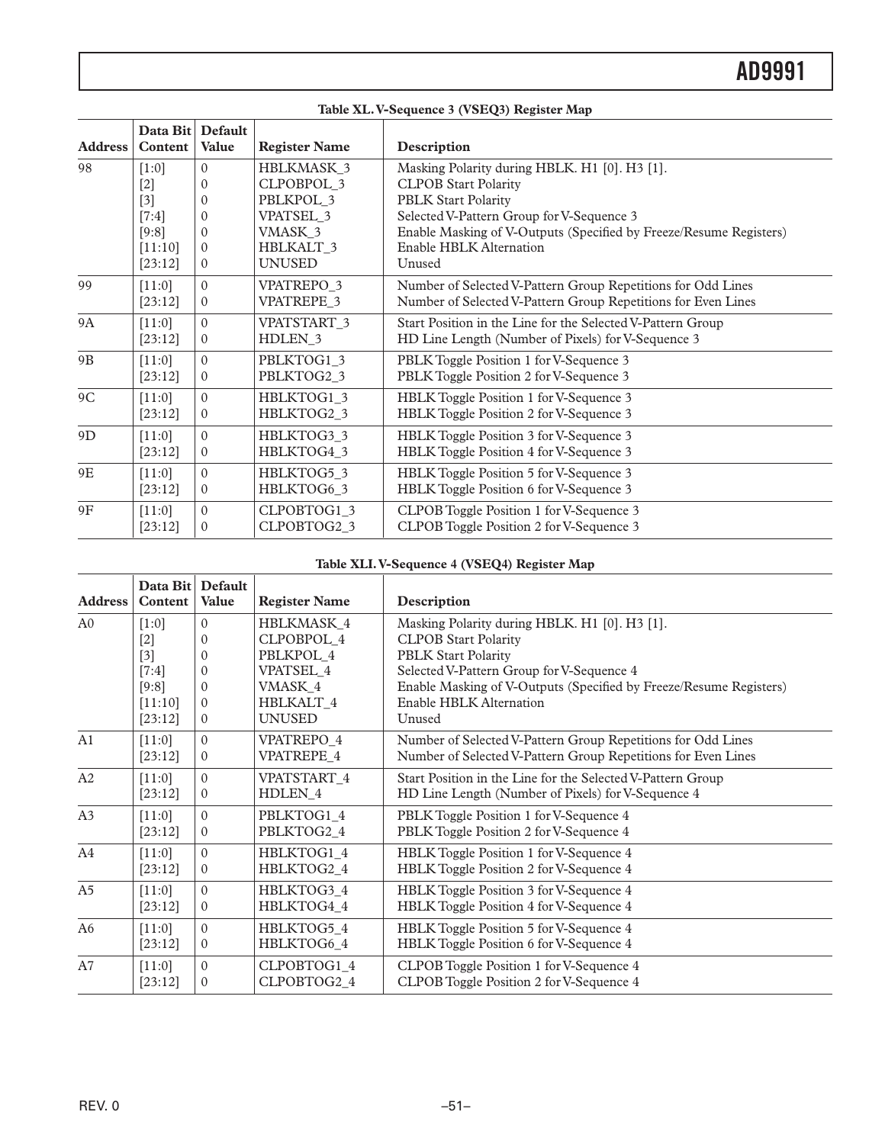|                | Table XL. V-Sequence 3 (VSEQ3) Register Map |                |                        |                                                                    |  |  |
|----------------|---------------------------------------------|----------------|------------------------|--------------------------------------------------------------------|--|--|
| <b>Address</b> | Data Bit Default<br>Content                 | <b>Value</b>   | <b>Register Name</b>   | Description                                                        |  |  |
| 98             | $[1:0]$                                     | $\Omega$       | HBLKMASK_3             | Masking Polarity during HBLK. H1 [0]. H3 [1].                      |  |  |
|                | $[2]$                                       | $\Omega$       | CLPOBPOL 3             | <b>CLPOB Start Polarity</b>                                        |  |  |
|                | $[3]$                                       | $\Omega$       | PBLKPOL 3              | <b>PBLK Start Polarity</b>                                         |  |  |
|                | $[7:4]$                                     | $\Omega$       | VPATSEL_3              | Selected V-Pattern Group for V-Sequence 3                          |  |  |
|                | [9:8]                                       | $\Omega$       | VMASK 3                | Enable Masking of V-Outputs (Specified by Freeze/Resume Registers) |  |  |
|                | [11:10]                                     | $\Omega$       | <b>HBLKALT 3</b>       | Enable HBLK Alternation                                            |  |  |
|                | [23:12]                                     | $\Omega$       | <b>UNUSED</b>          | Unused                                                             |  |  |
| 99             | [11:0]                                      | $\Omega$       | VPATREPO_3             | Number of Selected V-Pattern Group Repetitions for Odd Lines       |  |  |
|                | [23:12]                                     | $\mathbf{0}$   | VPATREPE 3             | Number of Selected V-Pattern Group Repetitions for Even Lines      |  |  |
| <b>9A</b>      | [11:0]                                      | $\Omega$       | VPATSTART <sub>3</sub> | Start Position in the Line for the Selected V-Pattern Group        |  |  |
|                | [23:12]                                     | $\theta$       | HDLEN_3                | HD Line Length (Number of Pixels) for V-Sequence 3                 |  |  |
| 9 <sub>B</sub> | [11:0]                                      | $\Omega$       | PBLKTOG1 3             | PBLK Toggle Position 1 for V-Sequence 3                            |  |  |
|                | [23:12]                                     | $\Omega$       | PBLKTOG2 3             | PBLK Toggle Position 2 for V-Sequence 3                            |  |  |
| 9C             | [11:0]                                      | $\Omega$       | HBLKTOG1_3             | HBLK Toggle Position 1 for V-Sequence 3                            |  |  |
|                | [23:12]                                     | $\mathbf{0}$   | HBLKTOG2_3             | HBLK Toggle Position 2 for V-Sequence 3                            |  |  |
| 9D             | [11:0]                                      | $\Omega$       | HBLKTOG3 3             | HBLK Toggle Position 3 for V-Sequence 3                            |  |  |
|                | [23:12]                                     | $\mathbf{0}$   | HBLKTOG4 3             | HBLK Toggle Position 4 for V-Sequence 3                            |  |  |
| 9E             | [11:0]                                      | $\Omega$       | HBLKTOG5_3             | HBLK Toggle Position 5 for V-Sequence 3                            |  |  |
|                | [23:12]                                     | $\overline{0}$ | HBLKTOG6 3             | HBLK Toggle Position 6 for V-Sequence 3                            |  |  |
| 9F             | [11:0]                                      | $\Omega$       | CLPOBTOG1_3            | CLPOB Toggle Position 1 for V-Sequence 3                           |  |  |
|                | [23:12]                                     | $\Omega$       | CLPOBTOG2_3            | CLPOB Toggle Position 2 for V-Sequence 3                           |  |  |

#### **Table XLI. V-Sequence 4 (VSEQ4) Register Map**

| <b>Address</b> | Data Bit<br><b>Content</b> | <b>Default</b><br><b>Value</b> | <b>Register Name</b> | Description                                                        |
|----------------|----------------------------|--------------------------------|----------------------|--------------------------------------------------------------------|
| A <sub>0</sub> | $[1:0]$                    | $\Omega$                       | HBLKMASK 4           | Masking Polarity during HBLK. H1 [0]. H3 [1].                      |
|                | $[2]$                      | $\Omega$                       | CLPOBPOL 4           | <b>CLPOB Start Polarity</b>                                        |
|                | $[3]$                      | $\Omega$                       | PBLKPOL 4            | <b>PBLK Start Polarity</b>                                         |
|                | $[7:4]$                    | $\Omega$                       | <b>VPATSEL 4</b>     | Selected V-Pattern Group for V-Sequence 4                          |
|                | [9:8]                      | $\Omega$                       | VMASK_4              | Enable Masking of V-Outputs (Specified by Freeze/Resume Registers) |
|                | [11:10]                    | $\Omega$                       | <b>HBLKALT 4</b>     | Enable HBLK Alternation                                            |
|                | [23:12]                    | $\Omega$                       | <b>UNUSED</b>        | Unused                                                             |
| A <sub>1</sub> | [11:0]                     | $\Omega$                       | VPATREPO 4           | Number of Selected V-Pattern Group Repetitions for Odd Lines       |
|                | [23:12]                    | $\Omega$                       | VPATREPE 4           | Number of Selected V-Pattern Group Repetitions for Even Lines      |
| A2             | $[11:0]$                   | $\Omega$                       | VPATSTART 4          | Start Position in the Line for the Selected V-Pattern Group        |
|                | [23:12]                    | $\Omega$                       | HDLEN 4              | HD Line Length (Number of Pixels) for V-Sequence 4                 |
| A3             | [11:0]                     | $\Omega$                       | PBLKTOG1 4           | PBLK Toggle Position 1 for V-Sequence 4                            |
|                | [23:12]                    | $\mathbf{0}$                   | PBLKTOG2 4           | PBLK Toggle Position 2 for V-Sequence 4                            |
| A4             | [11:0]                     | $\Omega$                       | HBLKTOG1 4           | HBLK Toggle Position 1 for V-Sequence 4                            |
|                | [23:12]                    | $\Omega$                       | HBLKTOG2 4           | HBLK Toggle Position 2 for V-Sequence 4                            |
| A <sub>5</sub> | [11:0]                     | $\Omega$                       | HBLKTOG3 4           | HBLK Toggle Position 3 for V-Sequence 4                            |
|                | [23:12]                    | $\Omega$                       | HBLKTOG4_4           | HBLK Toggle Position 4 for V-Sequence 4                            |
| A <sub>6</sub> | [11:0]                     | $\Omega$                       | HBLKTOG5 4           | <b>HBLK</b> Toggle Position 5 for V-Sequence 4                     |
|                | [23:12]                    | $\mathbf{0}$                   | HBLKTOG6 4           | HBLK Toggle Position 6 for V-Sequence 4                            |
| A7             | [11:0]                     | $\Omega$                       | CLPOBTOG1 4          | CLPOB Toggle Position 1 for V-Sequence 4                           |
|                | [23:12]                    | $\Omega$                       | CLPOBTOG2 4          | CLPOB Toggle Position 2 for V-Sequence 4                           |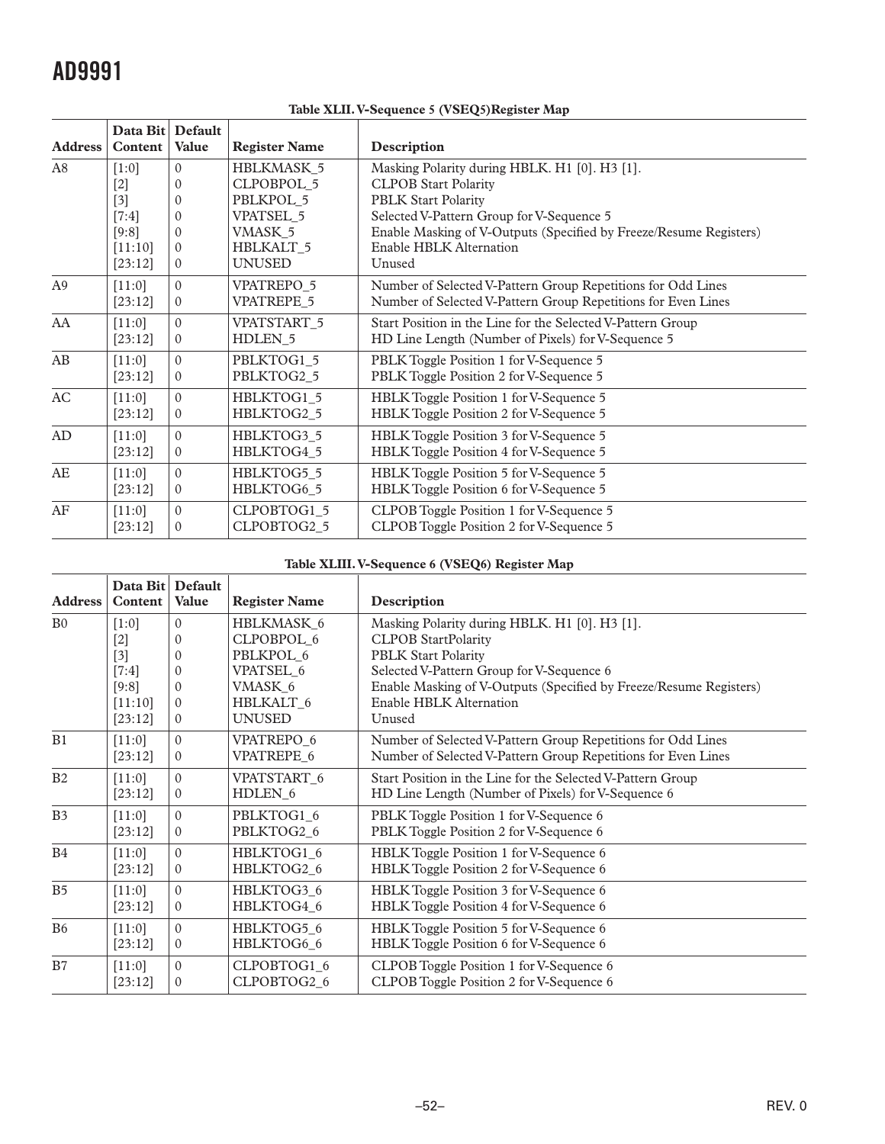| <b>Address</b> | Data Bit Default<br>Content | Value        | <b>Register Name</b>   | Description                                                        |
|----------------|-----------------------------|--------------|------------------------|--------------------------------------------------------------------|
| A8             | $[1:0]$                     | $\theta$     | <b>HBLKMASK 5</b>      | Masking Polarity during HBLK. H1 [0]. H3 [1].                      |
|                | $[2]$                       | $\Omega$     | CLPOBPOL 5             | <b>CLPOB Start Polarity</b>                                        |
|                | $[3]$                       | $\Omega$     | PBLKPOL 5              | <b>PBLK Start Polarity</b>                                         |
|                | $[7:4]$                     | $\Omega$     | <b>VPATSEL 5</b>       | Selected V-Pattern Group for V-Sequence 5                          |
|                | [9:8]                       | $\Omega$     | VMASK 5                | Enable Masking of V-Outputs (Specified by Freeze/Resume Registers) |
|                | [11:10]                     | $\Omega$     | <b>HBLKALT 5</b>       | Enable HBLK Alternation                                            |
|                | [23:12]                     | $\Omega$     | <b>UNUSED</b>          | Unused                                                             |
| A <sub>9</sub> | [11:0]                      | $\Omega$     | <b>VPATREPO 5</b>      | Number of Selected V-Pattern Group Repetitions for Odd Lines       |
|                | [23:12]                     | $\Omega$     | <b>VPATREPE 5</b>      | Number of Selected V-Pattern Group Repetitions for Even Lines      |
| AA             | [11:0]                      | $\theta$     | VPATSTART <sub>5</sub> | Start Position in the Line for the Selected V-Pattern Group        |
|                | [23:12]                     | $\Omega$     | HDLEN <sub>5</sub>     | HD Line Length (Number of Pixels) for V-Sequence 5                 |
| AB             | [11:0]                      | $\theta$     | PBLKTOG1 5             | PBLK Toggle Position 1 for V-Sequence 5                            |
|                | [23:12]                     | $\theta$     | PBLKTOG2_5             | PBLK Toggle Position 2 for V-Sequence 5                            |
| AC             | [11:0]                      | $\Omega$     | HBLKTOG1_5             | HBLK Toggle Position 1 for V-Sequence 5                            |
|                | [23:12]                     | $\Omega$     | HBLKTOG2 5             | HBLK Toggle Position 2 for V-Sequence 5                            |
| AD             | [11:0]                      | $\theta$     | HBLKTOG3 5             | HBLK Toggle Position 3 for V-Sequence 5                            |
|                | [23:12]                     | $\Omega$     | HBLKTOG4 5             | HBLK Toggle Position 4 for V-Sequence 5                            |
| AE             | [11:0]                      | $\Omega$     | HBLKTOG5_5             | HBLK Toggle Position 5 for V-Sequence 5                            |
|                | [23:12]                     | $\mathbf{0}$ | HBLKTOG6_5             | HBLK Toggle Position 6 for V-Sequence 5                            |
| AF             | [11:0]                      | $\Omega$     | CLPOBTOG1 5            | CLPOB Toggle Position 1 for V-Sequence 5                           |
|                | [23:12]                     | $\Omega$     | CLPOBTOG2_5            | CLPOB Toggle Position 2 for V-Sequence 5                           |

**Table XLII. V-Sequence 5 (VSEQ5)Register Map**

### **Table XLIII. V-Sequence 6 (VSEQ6) Register Map**

| <b>Address</b> | Data Bit Default<br>Content | <b>Value</b> | <b>Register Name</b> | Description                                                        |
|----------------|-----------------------------|--------------|----------------------|--------------------------------------------------------------------|
| B <sub>0</sub> | $[1:0]$                     | $\Omega$     | HBLKMASK_6           | Masking Polarity during HBLK. H1 [0]. H3 [1].                      |
|                | $[2]$                       | $\Omega$     | CLPOBPOL 6           | <b>CLPOB StartPolarity</b>                                         |
|                | $[3]$                       | $\Omega$     | PBLKPOL 6            | <b>PBLK Start Polarity</b>                                         |
|                | $[7:4]$                     | $\Omega$     | VPATSEL 6            | Selected V-Pattern Group for V-Sequence 6                          |
|                | [9:8]                       | $\Omega$     | VMASK 6              | Enable Masking of V-Outputs (Specified by Freeze/Resume Registers) |
|                | [11:10]                     | $\Omega$     | <b>HBLKALT 6</b>     | Enable HBLK Alternation                                            |
|                | [23:12]                     | $\Omega$     | <b>UNUSED</b>        | Unused                                                             |
| B1             | [11:0]                      | $\theta$     | VPATREPO 6           | Number of Selected V-Pattern Group Repetitions for Odd Lines       |
|                | [23:12]                     | $\Omega$     | VPATREPE 6           | Number of Selected V-Pattern Group Repetitions for Even Lines      |
| B2             | [11:0]                      | $\Omega$     | VPATSTART 6          | Start Position in the Line for the Selected V-Pattern Group        |
|                | [23:12]                     | $\Omega$     | HDLEN 6              | HD Line Length (Number of Pixels) for V-Sequence 6                 |
| B <sub>3</sub> | [11:0]                      | $\Omega$     | PBLKTOG1 6           | PBLK Toggle Position 1 for V-Sequence 6                            |
|                | [23:12]                     | $\theta$     | PBLKTOG2_6           | PBLK Toggle Position 2 for V-Sequence 6                            |
| B4             | [11:0]                      | $\Omega$     | HBLKTOG1_6           | HBLK Toggle Position 1 for V-Sequence 6                            |
|                | [23:12]                     | $\Omega$     | HBLKTOG2 6           | HBLK Toggle Position 2 for V-Sequence 6                            |
| B <sub>5</sub> | [11:0]                      | $\Omega$     | HBLKTOG3 6           | HBLK Toggle Position 3 for V-Sequence 6                            |
|                | [23:12]                     | $\Omega$     | HBLKTOG4 6           | HBLK Toggle Position 4 for V-Sequence 6                            |
| B <sub>6</sub> | $[11:0]$                    | $\Omega$     | HBLKTOG5 6           | HBLK Toggle Position 5 for V-Sequence 6                            |
|                | [23:12]                     | $\mathbf{0}$ | HBLKTOG6_6           | HBLK Toggle Position 6 for V-Sequence 6                            |
| B7             | [11:0]                      | $\Omega$     | CLPOBTOG1 6          | CLPOB Toggle Position 1 for V-Sequence 6                           |
|                | [23:12]                     | $\Omega$     | CLPOBTOG2 6          | CLPOB Toggle Position 2 for V-Sequence 6                           |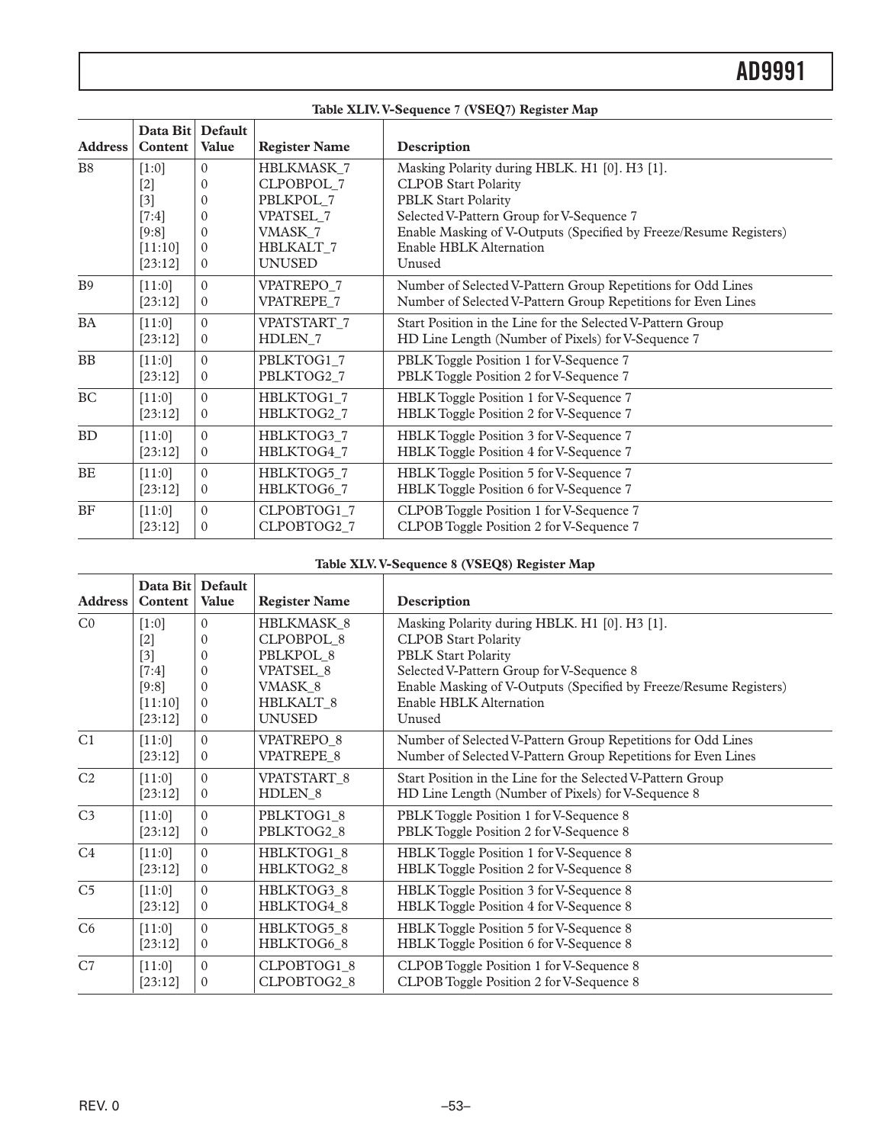|                | Table XLIV. V-Sequence 7 (VSEQ7) Register Map |                         |                      |                                                                    |  |  |
|----------------|-----------------------------------------------|-------------------------|----------------------|--------------------------------------------------------------------|--|--|
| <b>Address</b> | Data Bit<br>Content                           | Default<br><b>Value</b> | <b>Register Name</b> | Description                                                        |  |  |
| <b>B8</b>      | $[1:0]$                                       | $\Omega$                | HBLKMASK_7           | Masking Polarity during HBLK. H1 [0]. H3 [1].                      |  |  |
|                | $[2]$                                         | $\Omega$                | CLPOBPOL 7           | <b>CLPOB Start Polarity</b>                                        |  |  |
|                | $[3]$                                         | $\Omega$                | PBLKPOL 7            | <b>PBLK Start Polarity</b>                                         |  |  |
|                | $[7:4]$                                       | $\Omega$                | VPATSEL_7            | Selected V-Pattern Group for V-Sequence 7                          |  |  |
|                | [9:8]                                         | $\Omega$                | VMASK 7              | Enable Masking of V-Outputs (Specified by Freeze/Resume Registers) |  |  |
|                | [11:10]                                       | $\Omega$                | HBLKALT 7            | Enable HBLK Alternation                                            |  |  |
|                | [23:12]                                       | $\mathbf{0}$            | <b>UNUSED</b>        | Unused                                                             |  |  |
| B <sub>9</sub> | [11:0]                                        | $\Omega$                | VPATREPO_7           | Number of Selected V-Pattern Group Repetitions for Odd Lines       |  |  |
|                | [23:12]                                       | $\overline{0}$          | VPATREPE 7           | Number of Selected V-Pattern Group Repetitions for Even Lines      |  |  |
| <b>BA</b>      | [11:0]                                        | $\theta$                | VPATSTART 7          | Start Position in the Line for the Selected V-Pattern Group        |  |  |
|                | [23:12]                                       | $\Omega$                | HDLEN <sub>7</sub>   | HD Line Length (Number of Pixels) for V-Sequence 7                 |  |  |
| BB             | [11:0]                                        | $\Omega$                | PBLKTOG1_7           | PBLK Toggle Position 1 for V-Sequence 7                            |  |  |
|                | [23:12]                                       | $\theta$                | PBLKTOG2 7           | PBLK Toggle Position 2 for V-Sequence 7                            |  |  |
| <b>BC</b>      | $[11:0]$                                      | $\Omega$                | HBLKTOG1_7           | HBLK Toggle Position 1 for V-Sequence 7                            |  |  |
|                | [23:12]                                       | $\Omega$                | HBLKTOG2_7           | HBLK Toggle Position 2 for V-Sequence 7                            |  |  |
| BD             | [11:0]                                        | $\Omega$                | HBLKTOG3_7           | HBLK Toggle Position 3 for V-Sequence 7                            |  |  |
|                | [23:12]                                       | $\mathbf{0}$            | HBLKTOG4_7           | HBLK Toggle Position 4 for V-Sequence 7                            |  |  |
| <b>BE</b>      | [11:0]                                        | $\Omega$                | HBLKTOG5_7           | HBLK Toggle Position 5 for V-Sequence 7                            |  |  |
|                | [23:12]                                       | $\mathbf{0}$            | HBLKTOG6 7           | HBLK Toggle Position 6 for V-Sequence 7                            |  |  |
| BF             | [11:0]                                        | $\Omega$                | CLPOBTOG1_7          | CLPOB Toggle Position 1 for V-Sequence 7                           |  |  |
|                | [23:12]                                       | $\Omega$                | CLPOBTOG2_7          | CLPOB Toggle Position 2 for V-Sequence 7                           |  |  |

#### **Table XLV. V-Sequence 8 (VSEQ8) Register Map**

| <b>Address</b> | Data Bit<br>Content | Default<br>Value | <b>Register Name</b> | Description                                                        |
|----------------|---------------------|------------------|----------------------|--------------------------------------------------------------------|
| CO             | $[1:0]$             | $\Omega$         | HBLKMASK 8           | Masking Polarity during HBLK. H1 [0]. H3 [1].                      |
|                | $[2]$               | $\Omega$         | <b>CLPOBPOL 8</b>    | <b>CLPOB Start Polarity</b>                                        |
|                | $[3]$               | $\Omega$         | PBLKPOL 8            | <b>PBLK Start Polarity</b>                                         |
|                | $[7:4]$             | $\Omega$         | VPATSEL 8            | Selected V-Pattern Group for V-Sequence 8                          |
|                | [9:8]               | $\Omega$         | VMASK 8              | Enable Masking of V-Outputs (Specified by Freeze/Resume Registers) |
|                | [11:10]             | $\Omega$         | <b>HBLKALT 8</b>     | Enable HBLK Alternation                                            |
|                | [23:12]             | $\mathbf{0}$     | <b>UNUSED</b>        | Unused                                                             |
| C <sub>1</sub> | [11:0]              | $\Omega$         | VPATREPO 8           | Number of Selected V-Pattern Group Repetitions for Odd Lines       |
|                | [23:12]             | $\Omega$         | VPATREPE 8           | Number of Selected V-Pattern Group Repetitions for Even Lines      |
| C <sub>2</sub> | $[11:0]$            | $\Omega$         | VPATSTART 8          | Start Position in the Line for the Selected V-Pattern Group        |
|                | [23:12]             | $\Omega$         | HDLEN <sub>8</sub>   | HD Line Length (Number of Pixels) for V-Sequence 8                 |
| C <sub>3</sub> | [11:0]              | $\Omega$         | PBLKTOG1 8           | PBLK Toggle Position 1 for V-Sequence 8                            |
|                | [23:12]             | $\theta$         | PBLKTOG2_8           | PBLK Toggle Position 2 for V-Sequence 8                            |
| C <sub>4</sub> | [11:0]              | $\Omega$         | HBLKTOG1 8           | HBLK Toggle Position 1 for V-Sequence 8                            |
|                | [23:12]             | $\mathbf{0}$     | HBLKTOG2 8           | HBLK Toggle Position 2 for V-Sequence 8                            |
| C <sub>5</sub> | $[11:0]$            | $\Omega$         | HBLKTOG3 8           | HBLK Toggle Position 3 for V-Sequence 8                            |
|                | [23:12]             | $\mathbf{0}$     | HBLKTOG4 8           | HBLK Toggle Position 4 for V-Sequence 8                            |
| C6             | [11:0]              | $\Omega$         | HBLKTOG5 8           | HBLK Toggle Position 5 for V-Sequence 8                            |
|                | [23:12]             | $\mathbf{0}$     | HBLKTOG6 8           | HBLK Toggle Position 6 for V-Sequence 8                            |
| C7             | [11:0]              | $\Omega$         | CLPOBTOG1 8          | CLPOB Toggle Position 1 for V-Sequence 8                           |
|                | [23:12]             | $\Omega$         | CLPOBTOG2 8          | CLPOB Toggle Position 2 for V-Sequence 8                           |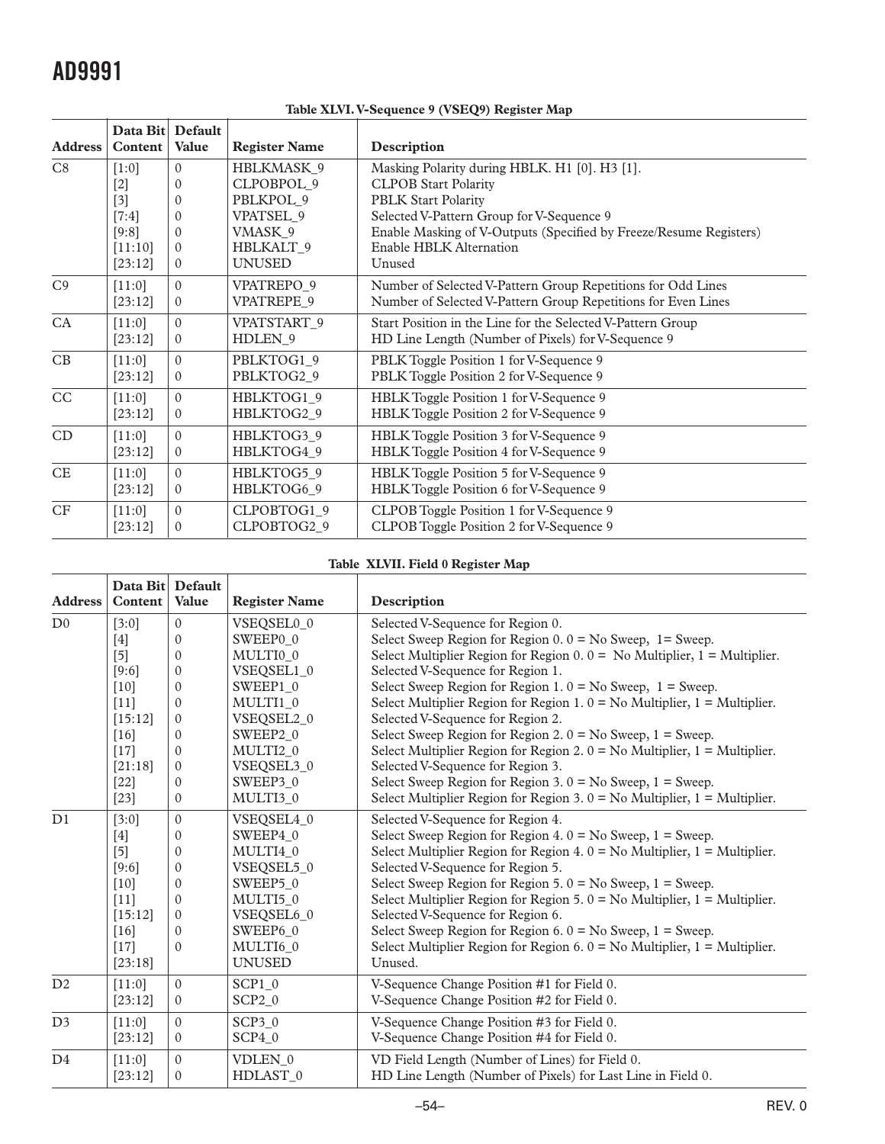| <b>Address</b> | Data Bit Default<br>Content | <b>Value</b> | <b>Register Name</b>   | Description                                                        |
|----------------|-----------------------------|--------------|------------------------|--------------------------------------------------------------------|
| C8             | $[1:0]$                     | $\Omega$     | HBLKMASK 9             | Masking Polarity during HBLK. H1 [0]. H3 [1].                      |
|                | $[2]$                       | $\Omega$     | CLPOBPOL 9             | <b>CLPOB Start Polarity</b>                                        |
|                | $[3]$                       | $\Omega$     | PBLKPOL 9              | <b>PBLK Start Polarity</b>                                         |
|                | $[7:4]$                     | $\Omega$     | VPATSEL 9              | Selected V-Pattern Group for V-Sequence 9                          |
|                | [9:8]                       | $\Omega$     | VMASK 9                | Enable Masking of V-Outputs (Specified by Freeze/Resume Registers) |
|                | [11:10]                     | $\Omega$     | HBLKALT 9              | Enable HBLK Alternation                                            |
|                | [23:12]                     | $\Omega$     | <b>UNUSED</b>          | Unused                                                             |
| C <sub>9</sub> | [11:0]                      | $\Omega$     | VPATREPO 9             | Number of Selected V-Pattern Group Repetitions for Odd Lines       |
|                | [23:12]                     | $\Omega$     | VPATREPE 9             | Number of Selected V-Pattern Group Repetitions for Even Lines      |
| CA             | [11:0]                      | $\Omega$     | VPATSTART <sub>9</sub> | Start Position in the Line for the Selected V-Pattern Group        |
|                | [23:12]                     | $\theta$     | HDLEN <sub>9</sub>     | HD Line Length (Number of Pixels) for V-Sequence 9                 |
| CB             | [11:0]                      | $\Omega$     | PBLKTOG1 9             | PBLK Toggle Position 1 for V-Sequence 9                            |
|                | [23:12]                     | $\Omega$     | PBLKTOG2 9             | PBLK Toggle Position 2 for V-Sequence 9                            |
| CC             | [11:0]                      | $\Omega$     | HBLKTOG1_9             | HBLK Toggle Position 1 for V-Sequence 9                            |
|                | [23:12]                     | $\Omega$     | HBLKTOG2 9             | HBLK Toggle Position 2 for V-Sequence 9                            |
| CD             | $[11:0]$                    | $\Omega$     | HBLKTOG3 9             | HBLK Toggle Position 3 for V-Sequence 9                            |
|                | [23:12]                     | $\Omega$     | HBLKTOG4 9             | HBLK Toggle Position 4 for V-Sequence 9                            |
| $\rm CE$       | [11:0]                      | $\Omega$     | HBLKTOG5 9             | HBLK Toggle Position 5 for V-Sequence 9                            |
|                | [23:12]                     | $\theta$     | HBLKTOG6 9             | HBLK Toggle Position 6 for V-Sequence 9                            |
| CF             | [11:0]                      | $\theta$     | CLPOBTOG1_9            | CLPOB Toggle Position 1 for V-Sequence 9                           |
|                | [23:12]                     | $\Omega$     | CLPOBTOG2 9            | CLPOB Toggle Position 2 for V-Sequence 9                           |

**Table XLVI. V-Sequence 9 (VSEQ9) Register Map**

#### **Table XLVII. Field 0 Register Map**

| <b>Address</b> | Data Bit Default<br>Content | Value        | <b>Register Name</b> | Description                                                                    |
|----------------|-----------------------------|--------------|----------------------|--------------------------------------------------------------------------------|
| D <sub>0</sub> | [3:0]                       | $\mathbf{0}$ | VSEQSEL0 0           | Selected V-Sequence for Region 0.                                              |
|                | $[4]$                       | $\Omega$     | SWEEP0 0             | Select Sweep Region for Region $0.0 =$ No Sweep, 1 = Sweep.                    |
|                | $[5]$                       | $\mathbf{0}$ | MULTI0 0             | Select Multiplier Region for Region $0.0 =$ No Multiplier, $1 =$ Multiplier.   |
|                | [9:6]                       | $\mathbf{0}$ | VSEQSEL1_0           | Selected V-Sequence for Region 1.                                              |
|                | $[10]$                      | $\Omega$     | SWEEP1_0             | Select Sweep Region for Region 1. $0 = No$ Sweep, $1 = S$ weep.                |
|                | $[11]$                      | $\Omega$     | MULTI1 0             | Select Multiplier Region for Region 1. $0 = No$ Multiplier, $1 = Multiplier$ . |
|                | [15:12]                     | $\mathbf{0}$ | VSEQSEL2_0           | Selected V-Sequence for Region 2.                                              |
|                | $[16]$                      | $\mathbf{0}$ | SWEEP2 0             | Select Sweep Region for Region 2. $0 = No$ Sweep, $1 =$ Sweep.                 |
|                | $[17]$                      | $\Omega$     | MULTI2 0             | Select Multiplier Region for Region 2. $0 = No$ Multiplier, $1 = Multiplier$ . |
|                | [21:18]                     | $\mathbf{0}$ | VSEQSEL3_0           | Selected V-Sequence for Region 3.                                              |
|                | $[22]$                      | $\mathbf{0}$ | SWEEP3 0             | Select Sweep Region for Region 3. $0 = No$ Sweep, $1 = S$ weep.                |
|                | $[23]$                      | $\mathbf{0}$ | MULTI3 0             | Select Multiplier Region for Region 3. $0 = No$ Multiplier, $1 = Multiplier$ . |
| D1             | [3:0]                       | $\Omega$     | VSEQSEL4_0           | Selected V-Sequence for Region 4.                                              |
|                | $[4]$                       | $\mathbf{0}$ | SWEEP4 0             | Select Sweep Region for Region 4. $0 = No$ Sweep, $1 = S$ weep.                |
|                | $[5]$                       | $\mathbf{0}$ | MULTI40              | Select Multiplier Region for Region 4. $0 = No$ Multiplier, $1 = Multiplier$ . |
|                | $[9:6]$                     | $\Omega$     | VSEQSEL5_0           | Selected V-Sequence for Region 5.                                              |
|                | $[10]$                      | $\mathbf{0}$ | SWEEP5 0             | Select Sweep Region for Region 5. $0 = No$ Sweep, $1 = S$ weep.                |
|                | $[11]$                      | $\Omega$     | MULTI5 0             | Select Multiplier Region for Region 5. $0 = No$ Multiplier, $1 = Multiplier$ . |
|                | [15:12]                     | $\mathbf{0}$ | VSEQSEL6 0           | Selected V-Sequence for Region 6.                                              |
|                | [16]                        | $\Omega$     | SWEEP6 0             | Select Sweep Region for Region 6. $0 = No$ Sweep, $1 = S$ weep.                |
|                | $[17]$                      | $\Omega$     | MULTI6 0             | Select Multiplier Region for Region 6. $0 = No$ Multiplier, $1 = Multiplier$ . |
|                | [23:18]                     |              | <b>UNUSED</b>        | Unused.                                                                        |
| D2             | [11:0]                      | $\mathbf{0}$ | SCP10                | V-Sequence Change Position #1 for Field 0.                                     |
|                | [23:12]                     | $\mathbf{0}$ | $SCP2_0$             | V-Sequence Change Position #2 for Field 0.                                     |
| D <sub>3</sub> | [11:0]                      | $\Omega$     | SCP30                | V-Sequence Change Position #3 for Field 0.                                     |
|                | [23:12]                     | $\mathbf{0}$ | SCP40                | V-Sequence Change Position #4 for Field 0.                                     |
| D <sub>4</sub> | [11:0]                      | $\mathbf{0}$ | VDLEN 0              | VD Field Length (Number of Lines) for Field 0.                                 |
|                | [23:12]                     | $\mathbf{0}$ | HDLAST_0             | HD Line Length (Number of Pixels) for Last Line in Field 0.                    |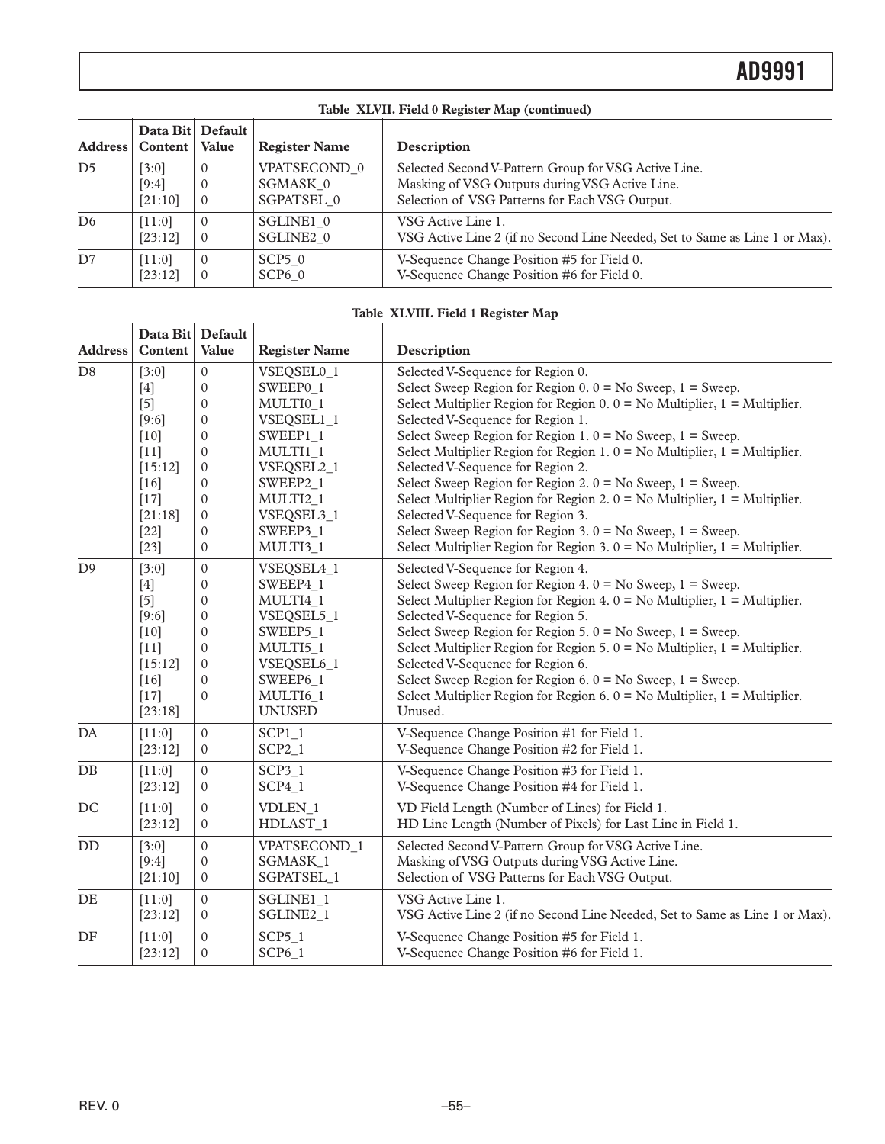| Table XLVII. Field 0 Register Map (continued) |                                       |              |                      |                                                                             |  |
|-----------------------------------------------|---------------------------------------|--------------|----------------------|-----------------------------------------------------------------------------|--|
|                                               | Data Bit Default<br>Address   Content | Value        | <b>Register Name</b> | Description                                                                 |  |
| D <sub>5</sub>                                | [3:0]                                 | $\Omega$     | VPATSECOND 0         | Selected Second V-Pattern Group for VSG Active Line.                        |  |
|                                               | [9:4]                                 | $\theta$     | SGMASK 0             | Masking of VSG Outputs during VSG Active Line.                              |  |
|                                               | [21:10]                               | $\Omega$     | SGPATSEL 0           | Selection of VSG Patterns for Each VSG Output.                              |  |
| D <sub>6</sub>                                | [11:0]                                | $\Omega$     | SGLINE1 0            | VSG Active Line 1.                                                          |  |
|                                               | [23:12]                               | $\mathbf{0}$ | SGLINE2 0            | VSG Active Line 2 (if no Second Line Needed, Set to Same as Line 1 or Max). |  |
| D7                                            | [11:0]                                | $\Omega$     | SCP50                | V-Sequence Change Position #5 for Field 0.                                  |  |
|                                               | [23:12]                               | $\Omega$     | SCP60                | V-Sequence Change Position #6 for Field 0.                                  |  |

## **Table XLVIII. Field 1 Register Map**

|                        | Data Bit Default |                  |                      | raoic Albertin I Rua I Register Map                                            |
|------------------------|------------------|------------------|----------------------|--------------------------------------------------------------------------------|
| <b>Address</b>         | Content          | Value            | <b>Register Name</b> | Description                                                                    |
| $\mathbf{D}8$          | [3:0]            | $\boldsymbol{0}$ | VSEQSEL0_1           | Selected V-Sequence for Region 0.                                              |
|                        | $[4]$            | $\Omega$         | SWEEP0 1             | Select Sweep Region for Region $0.0 =$ No Sweep, $1 =$ Sweep.                  |
|                        | $[5]$            | $\mathbf{0}$     | MULTI0_1             | Select Multiplier Region for Region $0.0 =$ No Multiplier, $1 =$ Multiplier.   |
|                        | $[9:6]$          | $\mathbf{0}$     | VSEQSEL1_1           | Selected V-Sequence for Region 1.                                              |
|                        | $[10]$           | $\mathbf{0}$     | SWEEP1_1             | Select Sweep Region for Region 1. $0 = No$ Sweep, $1 = S$ weep.                |
|                        | $[11]$           | $\mathbf{0}$     | MULTI1_1             | Select Multiplier Region for Region 1. $0 = No$ Multiplier, $1 = Multiplier$ . |
|                        | [15:12]          | $\mathbf{0}$     | VSEQSEL2_1           | Selected V-Sequence for Region 2.                                              |
|                        | $[16]$           | $\Omega$         | SWEEP2 1             | Select Sweep Region for Region 2. $0 = No$ Sweep, $1 = S$ weep.                |
|                        | $[17]$           | $\mathbf{0}$     | MULTI2 1             | Select Multiplier Region for Region 2. $0 = No$ Multiplier, $1 = Multiplier$ . |
|                        | [21:18]          | $\mathbf{0}$     | VSEQSEL3_1           | Selected V-Sequence for Region 3.                                              |
|                        | $[22]$           | $\Omega$         | SWEEP3 1             | Select Sweep Region for Region 3. $0 = No$ Sweep, $1 = S$ weep.                |
|                        | $[23]$           | $\mathbf{0}$     | MULTI3_1             | Select Multiplier Region for Region 3. $0 = No$ Multiplier, $1 = Multiplier$ . |
| D <sup>9</sup>         | [3:0]            | $\mathbf{0}$     | VSEQSEL4_1           | Selected V-Sequence for Region 4.                                              |
|                        | $[4]$            | $\mathbf{0}$     | SWEEP4 1             | Select Sweep Region for Region 4. $0 = No$ Sweep, $1 = S$ weep.                |
|                        | $[5]$            | $\theta$         | MULTI4 1             | Select Multiplier Region for Region 4. $0 = No$ Multiplier, $1 = Multiplier$ . |
|                        | $[9:6]$          | $\Omega$         | VSEQSEL5_1           | Selected V-Sequence for Region 5.                                              |
|                        | $[10]$           | $\theta$         | SWEEP5 1             | Select Sweep Region for Region 5. $0 = No$ Sweep, $1 = S$ weep.                |
|                        | $[11]$           | $\mathbf{0}$     | MULTI5_1             | Select Multiplier Region for Region 5. $0 = No$ Multiplier, $1 = Multiplier$ . |
|                        | [15:12]          | $\mathbf{0}$     | VSEQSEL6_1           | Selected V-Sequence for Region 6.                                              |
|                        | $[16]$           | $\mathbf{0}$     | SWEEP6_1             | Select Sweep Region for Region 6. $0 = No$ Sweep, $1 = S$ weep.                |
|                        | $[17]$           | $\mathbf{0}$     | MULTI6_1             | Select Multiplier Region for Region 6. $0 = No$ Multiplier, $1 = Multiplier$ . |
|                        | [23:18]          |                  | <b>UNUSED</b>        | Unused.                                                                        |
| $\mathbf{D}\mathbf{A}$ | [11:0]           | $\mathbf{0}$     | $SCP1_1$             | V-Sequence Change Position #1 for Field 1.                                     |
|                        | [23:12]          | $\mathbf{0}$     | $SCP2_1$             | V-Sequence Change Position #2 for Field 1.                                     |
| $\rm DB$               | $[11:0]$         | $\mathbf{0}$     | $SCP3_1$             | V-Sequence Change Position #3 for Field 1.                                     |
|                        | [23:12]          | $\mathbf{0}$     | $SCP4_1$             | V-Sequence Change Position #4 for Field 1.                                     |
| $\rm DC$               | [11:0]           | $\mathbf{0}$     | VDLEN_1              | VD Field Length (Number of Lines) for Field 1.                                 |
|                        | [23:12]          | $\mathbf{0}$     | HDLAST_1             | HD Line Length (Number of Pixels) for Last Line in Field 1.                    |
| DD                     | [3:0]            | $\mathbf{0}$     | VPATSECOND 1         | Selected Second V-Pattern Group for VSG Active Line.                           |
|                        | [9:4]            | $\mathbf{0}$     | SGMASK_1             | Masking of VSG Outputs during VSG Active Line.                                 |
|                        | [21:10]          | $\mathbf{0}$     | SGPATSEL_1           | Selection of VSG Patterns for Each VSG Output.                                 |
| DE                     | [11:0]           | $\mathbf{0}$     | SGLINE1 <sub>1</sub> | VSG Active Line 1.                                                             |
|                        | [23:12]          | $\mathbf{0}$     | SGLINE2_1            | VSG Active Line 2 (if no Second Line Needed, Set to Same as Line 1 or Max).    |
| $\rm DF$               | [11:0]           | $\Omega$         | $SCP5_1$             | V-Sequence Change Position #5 for Field 1.                                     |
|                        | [23:12]          | $\Omega$         | $SCP6_1$             | V-Sequence Change Position #6 for Field 1.                                     |
|                        |                  |                  |                      |                                                                                |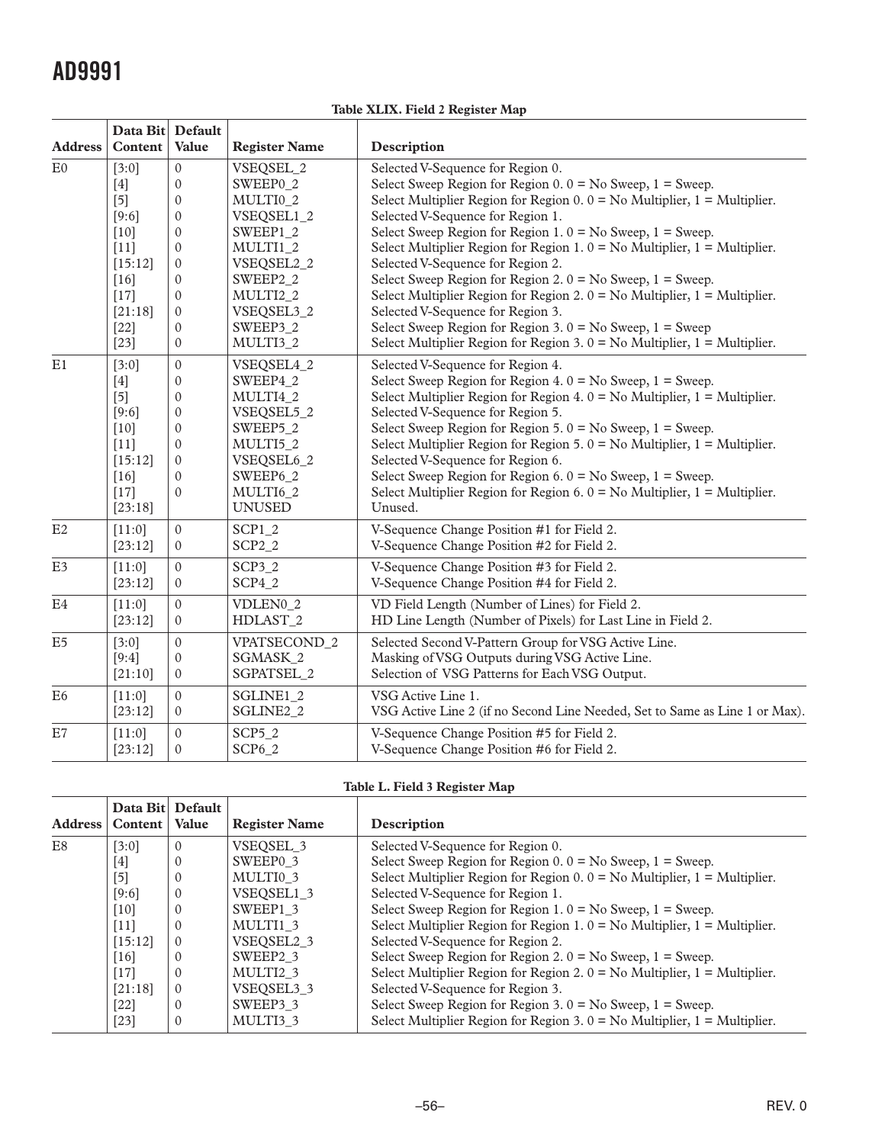**Table XLIX. Field 2 Register Map**

|                | Data Bit Default |                  |                       |                                                                                |
|----------------|------------------|------------------|-----------------------|--------------------------------------------------------------------------------|
| <b>Address</b> | Content          | <b>Value</b>     | <b>Register Name</b>  | Description                                                                    |
| E0             | [3:0]            | $\mathbf{0}$     | VSEQSEL_2             | Selected V-Sequence for Region 0.                                              |
|                | $[4]$            | $\Omega$         | SWEEP0 2              | Select Sweep Region for Region $0.0 =$ No Sweep, $1 =$ Sweep.                  |
|                | $[5]$            | $\boldsymbol{0}$ | MULTI0 2              | Select Multiplier Region for Region $0.0 =$ No Multiplier, $1 =$ Multiplier.   |
|                | [9:6]            | $\boldsymbol{0}$ | VSEQSEL1_2            | Selected V-Sequence for Region 1.                                              |
|                | $[10]$           | $\boldsymbol{0}$ | SWEEP1_2              | Select Sweep Region for Region 1. $0 = No$ Sweep, $1 = S$ weep.                |
|                | $[11]$           | $\mathbf{0}$     | MULTI1_2              | Select Multiplier Region for Region 1. $0 = No$ Multiplier, $1 = Multiplier$ . |
|                | [15:12]          | $\mathbf{0}$     | VSEQSEL2_2            | Selected V-Sequence for Region 2.                                              |
|                | $[16]$           | $\mathbf{0}$     | SWEEP2_2              | Select Sweep Region for Region 2. $0 = No$ Sweep, $1 =$ Sweep.                 |
|                | $[17]$           | $\mathbf{0}$     | MULTI2 2              | Select Multiplier Region for Region 2. $0 = No$ Multiplier, $1 = Multiplier$ . |
|                | [21:18]          | $\boldsymbol{0}$ | VSEQSEL3_2            | Selected V-Sequence for Region 3.                                              |
|                | $[22]$           | $\boldsymbol{0}$ | SWEEP3 2              | Select Sweep Region for Region 3. $0 = No$ Sweep, $1 = S$ weep                 |
|                | $[23]$           | $\mathbf{0}$     | MULTI3_2              | Select Multiplier Region for Region 3. $0 = No$ Multiplier, $1 = Multiplier$ . |
| E1             | [3:0]            | $\mathbf{0}$     | VSEQSEL4 2            | Selected V-Sequence for Region 4.                                              |
|                | $[4]$            | $\boldsymbol{0}$ | SWEEP4_2              | Select Sweep Region for Region 4. $0 = No$ Sweep, $1 =$ Sweep.                 |
|                | $[5]$            | $\boldsymbol{0}$ | MULTI4 2              | Select Multiplier Region for Region 4. $0 = No$ Multiplier, $1 = Multiplier$ . |
|                | [9:6]            | $\mathbf{0}$     | VSEQSEL5_2            | Selected V-Sequence for Region 5.                                              |
|                | $[10]$           | $\mathbf{0}$     | SWEEP5_2              | Select Sweep Region for Region 5. $0 = No$ Sweep, $1 =$ Sweep.                 |
|                | $[11]$           | $\mathbf{0}$     | MULTI5 <sub>2</sub>   | Select Multiplier Region for Region 5. $0 = No$ Multiplier, $1 = Multiplier$ . |
|                | [15:12]          | $\mathbf{0}$     | VSEQSEL6_2            | Selected V-Sequence for Region 6.                                              |
|                | [16]             | $\Omega$         | SWEEP6 2              | Select Sweep Region for Region 6. $0 = No$ Sweep, $1 =$ Sweep.                 |
|                | $[17]$           | $\Omega$         | MULTI6 <sub>2</sub>   | Select Multiplier Region for Region 6. $0 = No$ Multiplier, $1 = Multiplier$ . |
|                | [23:18]          |                  | <b>UNUSED</b>         | Unused.                                                                        |
| E2             | $[11:0]$         | $\Omega$         | SCP1 2                | V-Sequence Change Position #1 for Field 2.                                     |
|                | [23:12]          | $\Omega$         | $SCP2_2$              | V-Sequence Change Position #2 for Field 2.                                     |
| E <sub>3</sub> | [11:0]           | $\mathbf{0}$     | SCP3 2                | V-Sequence Change Position #3 for Field 2.                                     |
|                | [23:12]          | $\mathbf{0}$     | $SCP4_2$              | V-Sequence Change Position #4 for Field 2.                                     |
|                |                  |                  |                       |                                                                                |
| E4             | [11:0]           | $\mathbf{0}$     | VDLEN0_2              | VD Field Length (Number of Lines) for Field 2.                                 |
|                | [23:12]          | $\mathbf{0}$     | HDLAST_2              | HD Line Length (Number of Pixels) for Last Line in Field 2.                    |
| E <sub>5</sub> | [3:0]            | $\mathbf{0}$     | VPATSECOND_2          | Selected Second V-Pattern Group for VSG Active Line.                           |
|                | $[9:4]$          | $\theta$         | SGMASK 2              | Masking of VSG Outputs during VSG Active Line.                                 |
|                | [21:10]          | $\mathbf{0}$     | SGPATSEL_2            | Selection of VSG Patterns for Each VSG Output.                                 |
| E <sub>6</sub> | [11:0]           | $\mathbf{0}$     | SGLINE1_2             | VSG Active Line 1.                                                             |
|                | [23:12]          | $\mathbf{0}$     | SGLINE <sub>2</sub> 2 | VSG Active Line 2 (if no Second Line Needed, Set to Same as Line 1 or Max).    |
| $\rm E7$       | [11:0]           | $\mathbf{0}$     | $SCP5_2$              | V-Sequence Change Position #5 for Field 2.                                     |
|                | [23:12]          | $\boldsymbol{0}$ | $SCP6_2$              | V-Sequence Change Position #6 for Field 2.                                     |
|                |                  |                  |                       |                                                                                |

#### **Table L. Field 3 Register Map**

| Address | Data Bit Default<br>Content | Value    | <b>Register Name</b>   | Description                                                                    |
|---------|-----------------------------|----------|------------------------|--------------------------------------------------------------------------------|
| E8      | [3:0]                       | $\Omega$ | VSEQSEL 3              | Selected V-Sequence for Region 0.                                              |
|         | $[4]$                       | $\theta$ | SWEEP0 3               | Select Sweep Region for Region $0.0 = No$ Sweep, $1 = S$ weep.                 |
|         | $[5]$                       | $\Omega$ | MULTI0 3               | Select Multiplier Region for Region $0.0 =$ No Multiplier, $1 =$ Multiplier.   |
|         | [9:6]                       | $\Omega$ | VSEOSEL1 3             | Selected V-Sequence for Region 1.                                              |
|         | $[10]$                      | $\theta$ | SWEEP1 3               | Select Sweep Region for Region 1. $0 = No$ Sweep, $1 = S$ weep.                |
|         | $[11]$                      | $\theta$ | MULTI1 3               | Select Multiplier Region for Region 1. $0 = No$ Multiplier, $1 = Multiplier$ . |
|         | [15:12]                     | $\Omega$ | VSEOSEL <sub>2</sub> 3 | Selected V-Sequence for Region 2.                                              |
|         | [16]                        | $\theta$ | SWEEP <sub>2</sub> 3   | Select Sweep Region for Region 2. $0 = No$ Sweep, $1 = S$ weep.                |
|         | $[17]$                      | $\theta$ | MULTI2 3               | Select Multiplier Region for Region 2. $0 = No$ Multiplier, $1 = Multipher$ .  |
|         | [21:18]                     | $\Omega$ | VSEOSEL3 3             | Selected V-Sequence for Region 3.                                              |
|         | $[22]$                      | $\theta$ | SWEEP3 3               | Select Sweep Region for Region 3. $0 = No$ Sweep, $1 = S$ weep.                |
|         | $[23]$                      | $\theta$ | MULTI3 3               | Select Multiplier Region for Region 3. $0 = No$ Multiplier, $1 = Multipher$ .  |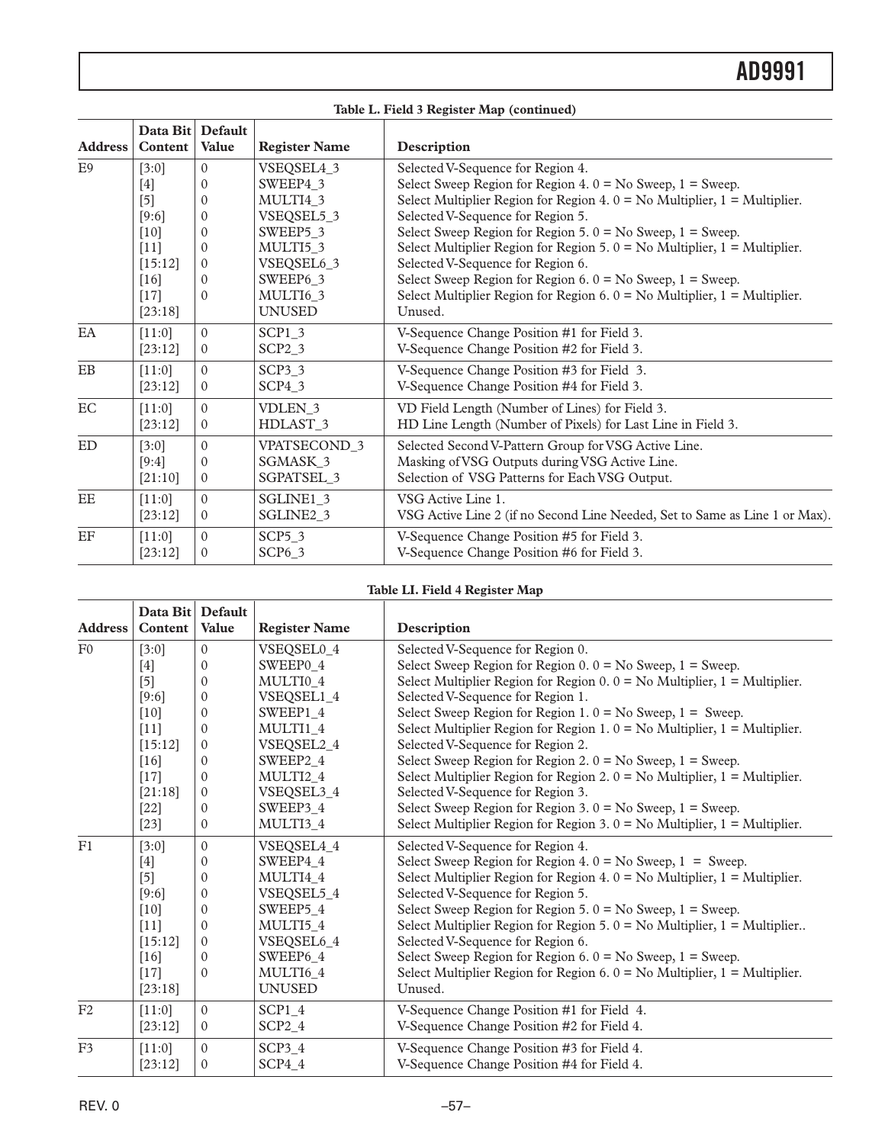| Table L. Field 3 Register Map (continued) |                             |                |                         |                                                                                |  |
|-------------------------------------------|-----------------------------|----------------|-------------------------|--------------------------------------------------------------------------------|--|
| <b>Address</b>                            | Data Bit Default<br>Content | <b>Value</b>   | <b>Register Name</b>    | Description                                                                    |  |
| E <sub>9</sub>                            | [3:0]                       | $\Omega$       | VSEQSEL4_3              | Selected V-Sequence for Region 4.                                              |  |
|                                           | $[4]$                       | $\Omega$       | SWEEP4 3                | Select Sweep Region for Region 4. $0 = No$ Sweep, $1 = S$ weep.                |  |
|                                           | $[5]$                       | $\mathbf{0}$   | MULTI4 3                | Select Multiplier Region for Region 4. $0 = No$ Multiplier, $1 = Multiplier$ . |  |
|                                           | [9:6]                       | $\Omega$       | VSEQSEL5_3              | Selected V-Sequence for Region 5.                                              |  |
|                                           | $[10]$                      | $\Omega$       | SWEEP5 3                | Select Sweep Region for Region 5. $0 = No$ Sweep, $1 = S$ weep.                |  |
|                                           | $[11]$                      | $\Omega$       | MULTI5 3                | Select Multiplier Region for Region 5. $0 = No$ Multiplier, $1 = Multiplier$ . |  |
|                                           | [15:12]                     | $\Omega$       | VSEQSEL6_3              | Selected V-Sequence for Region 6.                                              |  |
|                                           | $[16]$                      | $\Omega$       | SWEEP6 3                | Select Sweep Region for Region 6. $0 = No$ Sweep, $1 = S$ weep.                |  |
|                                           | $[17]$                      | $\Omega$       | MULTI6 3                | Select Multiplier Region for Region 6. $0 = No$ Multiplier, $1 = Multiplier$ . |  |
|                                           | [23:18]                     |                | <b>UNUSED</b>           | Unused.                                                                        |  |
| EA                                        | [11:0]                      | $\Omega$       | SCP1 3                  | V-Sequence Change Position #1 for Field 3.                                     |  |
|                                           | [23:12]                     | $\overline{0}$ | $SCP2_3$                | V-Sequence Change Position #2 for Field 3.                                     |  |
| $\mathbf{E}\mathbf{B}$                    | [11:0]                      | $\Omega$       | SCP <sub>3</sub> 3      | V-Sequence Change Position #3 for Field 3.                                     |  |
|                                           | [23:12]                     | $\overline{0}$ | $SCP4_3$                | V-Sequence Change Position #4 for Field 3.                                     |  |
| EC                                        | [11:0]                      | $\Omega$       | VDLEN <sub>3</sub>      | VD Field Length (Number of Lines) for Field 3.                                 |  |
|                                           | [23:12]                     | $\overline{0}$ | HDLAST_3                | HD Line Length (Number of Pixels) for Last Line in Field 3.                    |  |
| ED                                        | [3:0]                       | $\Omega$       | VPATSECOND <sub>3</sub> | Selected Second V-Pattern Group for VSG Active Line.                           |  |
|                                           | [9:4]                       | $\Omega$       | SGMASK_3                | Masking of VSG Outputs during VSG Active Line.                                 |  |
|                                           | [21:10]                     | $\Omega$       | <b>SGPATSEL 3</b>       | Selection of VSG Patterns for Each VSG Output.                                 |  |
| $\rm{EE}$                                 | [11:0]                      | $\Omega$       | SGLINE1 3               | VSG Active Line 1.                                                             |  |
|                                           | [23:12]                     | $\overline{0}$ | SGLINE2_3               | VSG Active Line 2 (if no Second Line Needed, Set to Same as Line 1 or Max).    |  |
| $\operatorname{EF}$                       | [11:0]                      | $\Omega$       | SCP5 <sub>3</sub>       | V-Sequence Change Position #5 for Field 3.                                     |  |
|                                           | [23:12]                     | $\Omega$       | $SCP6_3$                | V-Sequence Change Position #6 for Field 3.                                     |  |

#### **Table LI. Field 4 Register Map**

| <b>Address</b> | Data Bit Default<br>Content | Value        | <b>Register Name</b> | Description                                                                    |
|----------------|-----------------------------|--------------|----------------------|--------------------------------------------------------------------------------|
| F <sub>0</sub> | [3:0]                       | $\mathbf{0}$ | VSEQSEL0_4           | Selected V-Sequence for Region 0.                                              |
|                | $[4]$                       | $\Omega$     | SWEEP0 4             | Select Sweep Region for Region $0.0 =$ No Sweep, $1 =$ Sweep.                  |
|                | $[5]$                       | $\Omega$     | MULTI0 4             | Select Multiplier Region for Region $0.0 =$ No Multiplier, $1 =$ Multiplier.   |
|                | [9:6]                       | $\Omega$     | VSEQSEL1_4           | Selected V-Sequence for Region 1.                                              |
|                | $[10]$                      | $\Omega$     | SWEEP1_4             | Select Sweep Region for Region 1. $0 = No$ Sweep, $1 =$ Sweep.                 |
|                | $[11]$                      | $\Omega$     | MULTI1 4             | Select Multiplier Region for Region 1. $0 = No$ Multiplier, $1 = Multiplier$ . |
|                | [15:12]                     | $\Omega$     | VSEQSEL2_4           | Selected V-Sequence for Region 2.                                              |
|                | $[16]$                      | $\Omega$     | SWEEP2_4             | Select Sweep Region for Region 2. $0 = No$ Sweep, $1 = S$ weep.                |
|                | $[17]$                      | $\Omega$     | MULTI2 4             | Select Multiplier Region for Region 2. $0 = No$ Multiplier, $1 = Multiplier$ . |
|                | [21:18]                     | $\mathbf{0}$ | VSEQSEL3_4           | Selected V-Sequence for Region 3.                                              |
|                | $[22]$                      | $\Omega$     | SWEEP3_4             | Select Sweep Region for Region 3. $0 = No$ Sweep, $1 = S$ weep.                |
|                | $[23]$                      | $\mathbf{0}$ | MULTI3 4             | Select Multiplier Region for Region 3. $0 = No$ Multiplier, $1 = Multiplier$ . |
| F1             | [3:0]                       | $\Omega$     | VSEQSEL4_4           | Selected V-Sequence for Region 4.                                              |
|                | $[4]$                       | $\theta$     | SWEEP4 4             | Select Sweep Region for Region 4. $0 = No$ Sweep, $1 =$ Sweep.                 |
|                | $[5]$                       | $\theta$     | MULTI4 4             | Select Multiplier Region for Region 4. $0 = No$ Multiplier, $1 = Multiplier$ . |
|                | [9:6]                       | $\mathbf{0}$ | VSEQSEL5_4           | Selected V-Sequence for Region 5.                                              |
|                | $[10]$                      | $\theta$     | SWEEP5 4             | Select Sweep Region for Region 5. $0 = No$ Sweep, $1 = S$ weep.                |
|                | $[11]$                      | $\Omega$     | MULTI5_4             | Select Multiplier Region for Region 5. $0 = No$ Multiplier, $1 = Multiplier$ . |
|                | [15:12]                     | $\Omega$     | VSEQSEL6_4           | Selected V-Sequence for Region 6.                                              |
|                | $[16]$                      | $\Omega$     | SWEEP6_4             | Select Sweep Region for Region 6. $0 = No$ Sweep, $1 = S$ weep.                |
|                | $[17]$                      | $\Omega$     | MULTI6 4             | Select Multiplier Region for Region 6. $0 = No$ Multiplier, $1 = Multiplier$ . |
|                | [23:18]                     |              | <b>UNUSED</b>        | Unused.                                                                        |
| F2             | [11:0]                      | $\mathbf{0}$ | SCP1 4               | V-Sequence Change Position #1 for Field 4.                                     |
|                | [23:12]                     | $\Omega$     | $SCP2_4$             | V-Sequence Change Position #2 for Field 4.                                     |
| F <sub>3</sub> | [11:0]                      | $\Omega$     | SCP3 4               | V-Sequence Change Position #3 for Field 4.                                     |
|                | [23:12]                     | $\mathbf{0}$ | $SCP4_4$             | V-Sequence Change Position #4 for Field 4.                                     |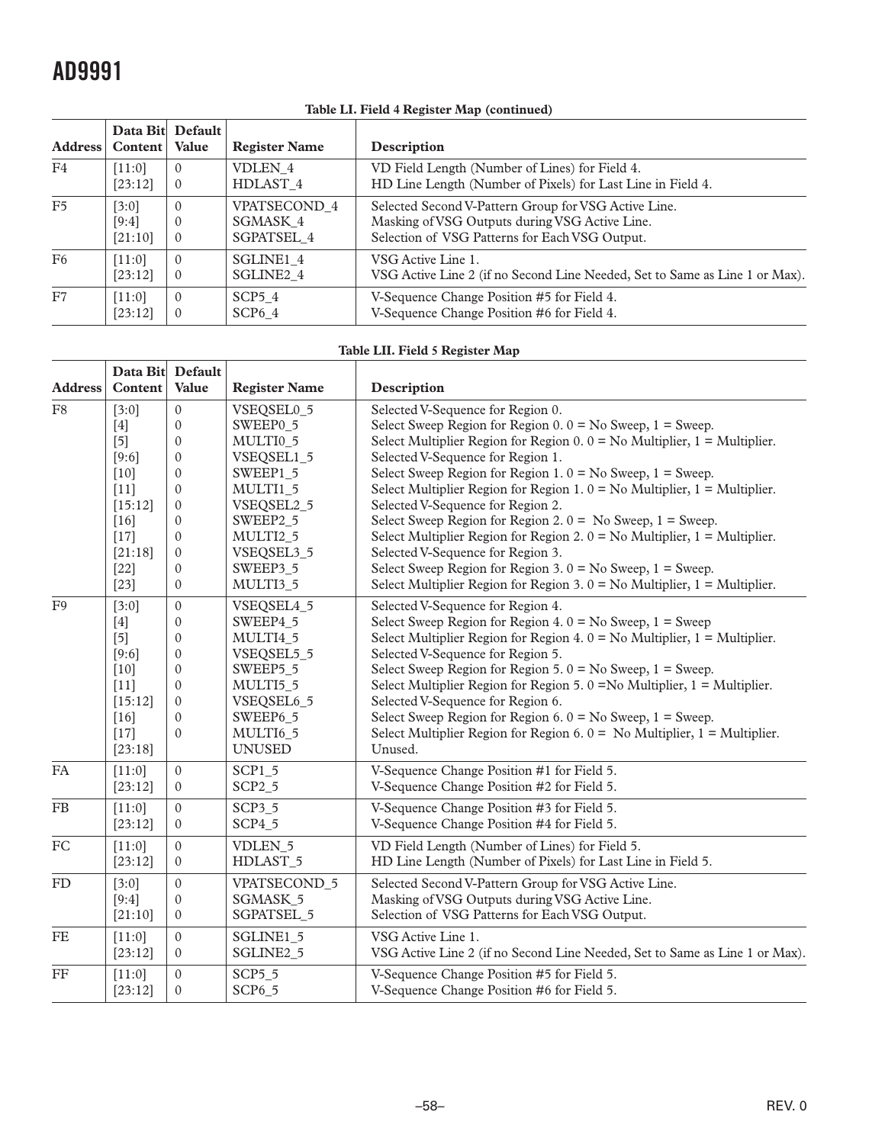$\overline{\mathbf{r}}$ 

 $\overline{\phantom{a}}$ 

| Table LI. Field 4 Register Map (continued) |          |                                  |                       |                                                                             |  |
|--------------------------------------------|----------|----------------------------------|-----------------------|-----------------------------------------------------------------------------|--|
| <b>Address</b>                             | Content  | Data Bit Default<br><b>Value</b> | <b>Register Name</b>  | Description                                                                 |  |
| F <sub>4</sub>                             | [11:0]   | $\Omega$                         | <b>VDLEN 4</b>        | VD Field Length (Number of Lines) for Field 4.                              |  |
|                                            | [23:12]  | $\overline{0}$                   | HDLAST 4              | HD Line Length (Number of Pixels) for Last Line in Field 4.                 |  |
| F <sub>5</sub>                             | [3:0]    | $\Omega$                         | VPATSECOND 4          | Selected Second V-Pattern Group for VSG Active Line.                        |  |
|                                            | [9:4]    | $\Omega$                         | SGMASK 4              | Masking of VSG Outputs during VSG Active Line.                              |  |
|                                            | [21:10]  | $\theta$                         | SGPATSEL 4            | Selection of VSG Patterns for Each VSG Output.                              |  |
| F <sub>6</sub>                             | $[11:0]$ | $\Omega$                         | SGLINE1 4             | VSG Active Line 1.                                                          |  |
|                                            | [23:12]  | $\theta$                         | SGLINE <sub>2</sub> 4 | VSG Active Line 2 (if no Second Line Needed, Set to Same as Line 1 or Max). |  |
| F7                                         | $[11:0]$ | $\Omega$                         | SCP5 <sub>4</sub>     | V-Sequence Change Position #5 for Field 4.                                  |  |
|                                            | [23:12]  | $\mathbf{0}$                     | SCP <sub>6</sub> 4    | V-Sequence Change Position #6 for Field 4.                                  |  |

#### **Table LI. Field 4 Register Map (continued)**

#### **Table LII. Field 5 Register Map**

|                |          | Data Bit Default |                      |                                                                                |
|----------------|----------|------------------|----------------------|--------------------------------------------------------------------------------|
| <b>Address</b> | Content  | Value            | <b>Register Name</b> | Description                                                                    |
| F <sub>8</sub> | [3:0]    | $\mathbf{0}$     | VSEQSEL0_5           | Selected V-Sequence for Region 0.                                              |
|                | $[4]$    | $\mathbf{0}$     | SWEEP0 5             | Select Sweep Region for Region $0.0 =$ No Sweep, $1 =$ Sweep.                  |
|                | $[5]$    | $\mathbf{0}$     | MULTI0_5             | Select Multiplier Region for Region $0.0 =$ No Multiplier, $1 =$ Multiplier.   |
|                | $[9:6]$  | $\mathbf{0}$     | VSEQSEL1_5           | Selected V-Sequence for Region 1.                                              |
|                | $[10]$   | $\mathbf{0}$     | SWEEP1 5             | Select Sweep Region for Region 1. $0 = No$ Sweep, $1 = S$ weep.                |
|                | $[11]$   | $\theta$         | MULTI1 5             | Select Multiplier Region for Region 1. $0 = No$ Multiplier, $1 = Multiplier$ . |
|                | [15:12]  | $\mathbf{0}$     | VSEQSEL2_5           | Selected V-Sequence for Region 2.                                              |
|                | $[16]$   | $\mathbf{0}$     | SWEEP2_5             | Select Sweep Region for Region 2. $0 = No$ Sweep, $1 =$ Sweep.                 |
|                | $[17]$   | $\mathbf{0}$     | MULTI2 5             | Select Multiplier Region for Region 2. $0 = No$ Multiplier, $1 = Multiplier$ . |
|                | [21:18]  | $\boldsymbol{0}$ | VSEQSEL3_5           | Selected V-Sequence for Region 3.                                              |
|                | $[22]$   | $\Omega$         | SWEEP3 5             | Select Sweep Region for Region 3. $0 = No$ Sweep, $1 = S$ weep.                |
|                | $[23]$   | $\boldsymbol{0}$ | MULTI3_5             | Select Multiplier Region for Region 3. $0 = No$ Multiplier, $1 = Multiplier$ . |
| F9             | [3:0]    | $\boldsymbol{0}$ | VSEQSEL4_5           | Selected V-Sequence for Region 4.                                              |
|                | $[4]$    | $\mathbf{0}$     | SWEEP4 5             | Select Sweep Region for Region 4. $0 = No$ Sweep, $1 = S$ weep                 |
|                | $[5]$    | $\boldsymbol{0}$ | MULTI4 5             | Select Multiplier Region for Region 4. $0 = No$ Multiplier, $1 = Multiplier$ . |
|                | [9:6]    | $\mathbf{0}$     | VSEQSEL5_5           | Selected V-Sequence for Region 5.                                              |
|                | $[10]$   | $\boldsymbol{0}$ | SWEEP5_5             | Select Sweep Region for Region 5. $0 = No$ Sweep, $1 =$ Sweep.                 |
|                | $[11]$   | $\mathbf{0}$     | MULTI5 5             | Select Multiplier Region for Region 5. $0 = No$ Multiplier, $1 = Multipher$ .  |
|                | [15:12]  | $\mathbf{0}$     | VSEQSEL6_5           | Selected V-Sequence for Region 6.                                              |
|                | [16]     | $\Omega$         | SWEEP6 5             | Select Sweep Region for Region 6. $0 = No$ Sweep, $1 =$ Sweep.                 |
|                | $[17]$   | $\mathbf{0}$     | MULTI6_5             | Select Multiplier Region for Region 6. $0 =$ No Multiplier, $1 =$ Multiplier.  |
|                | [23:18]  |                  | <b>UNUSED</b>        | Unused.                                                                        |
| <b>FA</b>      | $[11:0]$ | $\Omega$         | <b>SCP1 5</b>        | V-Sequence Change Position #1 for Field 5.                                     |
|                | [23:12]  | $\mathbf{0}$     | $SCP2_5$             | V-Sequence Change Position #2 for Field 5.                                     |
| <b>FB</b>      | [11:0]   | $\mathbf{0}$     | SCP3 <sub>5</sub>    | V-Sequence Change Position #3 for Field 5.                                     |
|                | [23:12]  | $\boldsymbol{0}$ | $SCP4_5$             | V-Sequence Change Position #4 for Field 5.                                     |
| FC             | [11:0]   | $\mathbf{0}$     | <b>VDLEN 5</b>       | VD Field Length (Number of Lines) for Field 5.                                 |
|                | [23:12]  | $\mathbf{0}$     | HDLAST_5             | HD Line Length (Number of Pixels) for Last Line in Field 5.                    |
| FD             | [3:0]    | $\Omega$         | <b>VPATSECOND 5</b>  | Selected Second V-Pattern Group for VSG Active Line.                           |
|                | [9:4]    | $\mathbf{0}$     | SGMASK_5             | Masking of VSG Outputs during VSG Active Line.                                 |
|                | [21:10]  | $\mathbf{0}$     | <b>SGPATSEL 5</b>    | Selection of VSG Patterns for Each VSG Output.                                 |
| <b>FE</b>      | [11:0]   | $\mathbf{0}$     | SGLINE1 5            | VSG Active Line 1.                                                             |
|                | [23:12]  | $\mathbf{0}$     | SGLINE2_5            | VSG Active Line 2 (if no Second Line Needed, Set to Same as Line 1 or Max).    |
| FF             | [11:0]   | $\Omega$         | <b>SCP5 5</b>        | V-Sequence Change Position #5 for Field 5.                                     |
|                | [23:12]  | $\mathbf{0}$     | $SCP6_5$             | V-Sequence Change Position #6 for Field 5.                                     |
|                |          |                  |                      |                                                                                |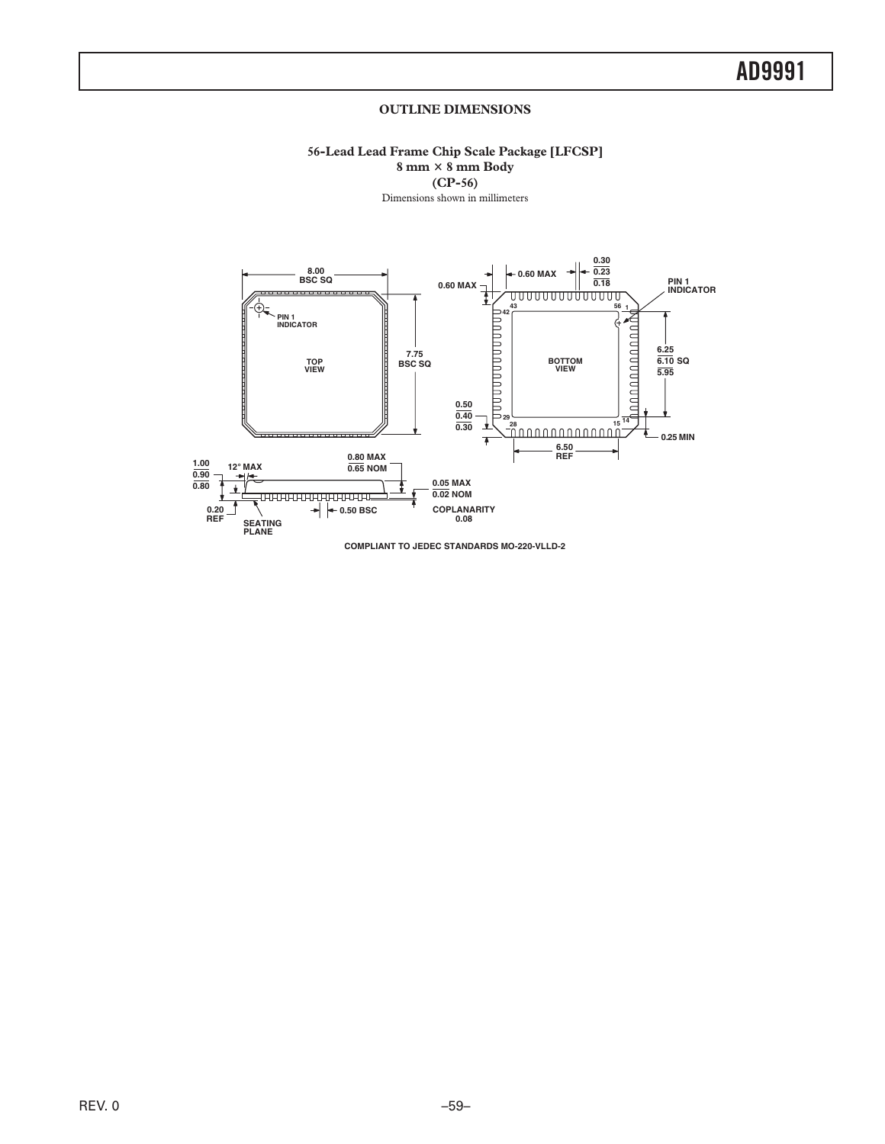#### **OUTLINE DIMENSIONS**

**56-Lead Lead Frame Chip Scale Package [LFCSP] 8 mm 8 mm Body (CP-56)**

Dimensions shown in millimeters

<span id="page-58-0"></span>![](_page_58_Figure_4.jpeg)

**COMPLIANT TO JEDEC STANDARDS MO-220-VLLD-2**